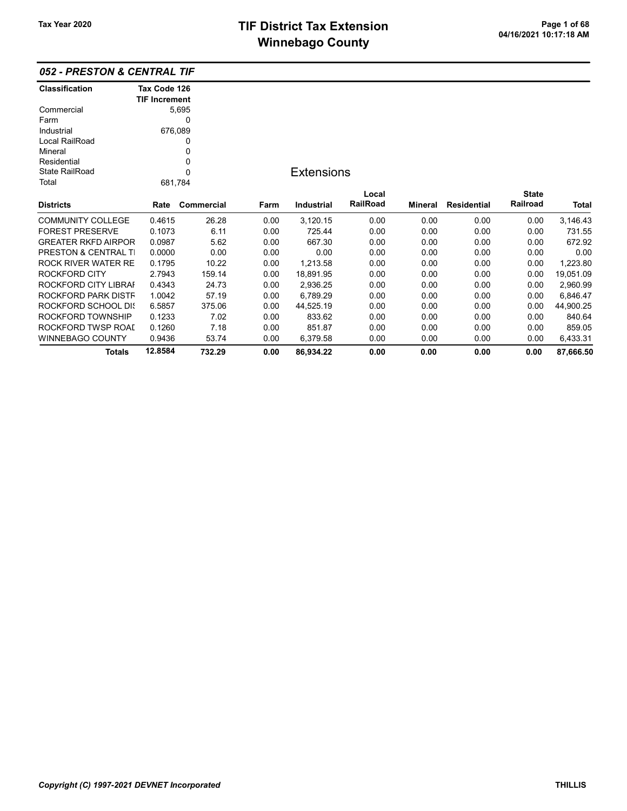| 052 - PRESTON & CENTRAL TIF |  |
|-----------------------------|--|
|-----------------------------|--|

| <b>Classification</b>    | Tax Code 126         |            |      |                   |          |                |                    |              |              |
|--------------------------|----------------------|------------|------|-------------------|----------|----------------|--------------------|--------------|--------------|
|                          | <b>TIF Increment</b> |            |      |                   |          |                |                    |              |              |
| Commercial               |                      | 5,695      |      |                   |          |                |                    |              |              |
| Farm                     |                      | 0          |      |                   |          |                |                    |              |              |
| Industrial               | 676,089              |            |      |                   |          |                |                    |              |              |
| Local RailRoad           |                      | 0          |      |                   |          |                |                    |              |              |
| Mineral                  |                      | 0          |      |                   |          |                |                    |              |              |
| Residential              |                      | 0          |      |                   |          |                |                    |              |              |
| <b>State RailRoad</b>    |                      | 0          |      | <b>Extensions</b> |          |                |                    |              |              |
| Total                    | 681,784              |            |      |                   |          |                |                    |              |              |
|                          |                      |            |      |                   | Local    |                |                    | <b>State</b> |              |
| Districts                | Rate                 | Commercial | Farm | <b>Industrial</b> | RailRoad | <b>Mineral</b> | <b>Residential</b> | Railroad     | <b>Total</b> |
| <b>COMMUNITY COLLEGE</b> | 0.4615               | 26.28      | 0.00 | 3,120.15          | 0.00     | 0.00           | 0.00               | 0.00         | 3,146.43     |
| FOREST PRESERVE          | 0.1073               | 6.11       | 0.00 | 725.44            | 0.00     | 0.00           | 0.00               | 0.00         | 731.55       |
| GREATER RKFD AIRPOR      | 0.0987               | 5.62       | 0.00 | 667.30            | 0.00     | 0.00           | 0.00               | 0.00         | 672.92       |
| PRESTON & CENTRAL TI     | 0.0000               | 0.00       | 0.00 | 0.00              | 0.00     | 0.00           | 0.00               | 0.00         | 0.00         |
| ROCK RIVER WATER RE      | 0.1795               | 10.22      | 0.00 | 1,213.58          | 0.00     | 0.00           | 0.00               | 0.00         | 1,223.80     |
| ROCKFORD CITY            | 2.7943               | 159.14     | 0.00 | 18,891.95         | 0.00     | 0.00           | 0.00               | 0.00         | 19,051.09    |
| ROCKFORD CITY LIBRAI     | 0.4343               | 24.73      | 0.00 | 2,936.25          | 0.00     | 0.00           | 0.00               | 0.00         | 2,960.99     |
| ROCKFORD PARK DISTF      | 1.0042               | 57.19      | 0.00 | 6,789.29          | 0.00     | 0.00           | 0.00               | 0.00         | 6,846.47     |
| ROCKFORD SCHOOL DI{      | 6.5857               | 375.06     | 0.00 | 44,525.19         | 0.00     | 0.00           | 0.00               | 0.00         | 44,900.25    |
| ROCKFORD TOWNSHIP        | 0.1233               | 7.02       | 0.00 | 833.62            | 0.00     | 0.00           | 0.00               | 0.00         | 840.64       |
| ROCKFORD TWSP ROAI       | 0.1260               | 7.18       | 0.00 | 851.87            | 0.00     | 0.00           | 0.00               | 0.00         | 859.05       |
| WINNEBAGO COUNTY         | 0.9436               | 53.74      | 0.00 | 6,379.58          | 0.00     | 0.00           | 0.00               | 0.00         | 6,433.31     |
| <b>Totals</b>            | 12.8584              | 732.29     | 0.00 | 86,934.22         | 0.00     | 0.00           | 0.00               | 0.00         | 87,666.50    |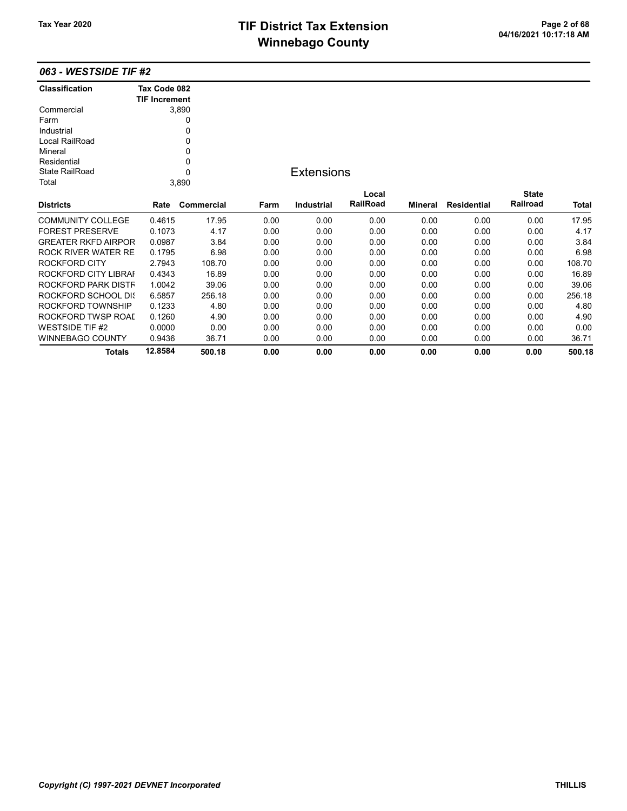## TIF District Tax Extension<br>
M's sada and 2 of the page 2 of 68 **Winnebago County**

Totals 12.8584 500.18 0.00 0.00 0.00 0.00 0.00 0.00 500.18

### 063 - WESTSIDE TIF #2

| <b>Classification</b>      | Tax Code 082<br><b>TIF Increment</b> |            |      |                   |          |         |                    |              |        |
|----------------------------|--------------------------------------|------------|------|-------------------|----------|---------|--------------------|--------------|--------|
| Commercial                 |                                      | 3,890      |      |                   |          |         |                    |              |        |
| Farm                       |                                      | 0          |      |                   |          |         |                    |              |        |
| Industrial                 |                                      | 0          |      |                   |          |         |                    |              |        |
| Local RailRoad             |                                      | 0          |      |                   |          |         |                    |              |        |
| Mineral                    |                                      | 0          |      |                   |          |         |                    |              |        |
| Residential                |                                      | 0          |      |                   |          |         |                    |              |        |
| <b>State RailRoad</b>      |                                      | $\Omega$   |      | <b>Extensions</b> |          |         |                    |              |        |
| Total                      |                                      | 3,890      |      |                   |          |         |                    |              |        |
|                            |                                      |            |      |                   | Local    |         |                    | <b>State</b> |        |
| <b>Districts</b>           | Rate                                 | Commercial | Farm | <b>Industrial</b> | RailRoad | Mineral | <b>Residential</b> | Railroad     | Total  |
| <b>COMMUNITY COLLEGE</b>   | 0.4615                               | 17.95      | 0.00 | 0.00              | 0.00     | 0.00    | 0.00               | 0.00         | 17.95  |
| <b>FOREST PRESERVE</b>     | 0.1073                               | 4.17       | 0.00 | 0.00              | 0.00     | 0.00    | 0.00               | 0.00         | 4.17   |
| <b>GREATER RKFD AIRPOR</b> | 0.0987                               | 3.84       | 0.00 | 0.00              | 0.00     | 0.00    | 0.00               | 0.00         | 3.84   |
| <b>ROCK RIVER WATER RE</b> | 0.1795                               | 6.98       | 0.00 | 0.00              | 0.00     | 0.00    | 0.00               | 0.00         | 6.98   |
| <b>ROCKFORD CITY</b>       | 2.7943                               | 108.70     | 0.00 | 0.00              | 0.00     | 0.00    | 0.00               | 0.00         | 108.70 |
| ROCKFORD CITY LIBRAI       | 0.4343                               | 16.89      | 0.00 | 0.00              | 0.00     | 0.00    | 0.00               | 0.00         | 16.89  |
| ROCKFORD PARK DISTF        | 1.0042                               | 39.06      | 0.00 | 0.00              | 0.00     | 0.00    | 0.00               | 0.00         | 39.06  |
| ROCKFORD SCHOOL DIS        | 6.5857                               | 256.18     | 0.00 | 0.00              | 0.00     | 0.00    | 0.00               | 0.00         | 256.18 |
| ROCKFORD TOWNSHIP          | 0.1233                               | 4.80       | 0.00 | 0.00              | 0.00     | 0.00    | 0.00               | 0.00         | 4.80   |
| ROCKFORD TWSP ROAL         | 0.1260                               | 4.90       | 0.00 | 0.00              | 0.00     | 0.00    | 0.00               | 0.00         | 4.90   |
| <b>WESTSIDE TIF #2</b>     | 0.0000                               | 0.00       | 0.00 | 0.00              | 0.00     | 0.00    | 0.00               | 0.00         | 0.00   |
| WINNEBAGO COUNTY           | 0.9436                               | 36.71      | 0.00 | 0.00              | 0.00     | 0.00    | 0.00               | 0.00         | 36.71  |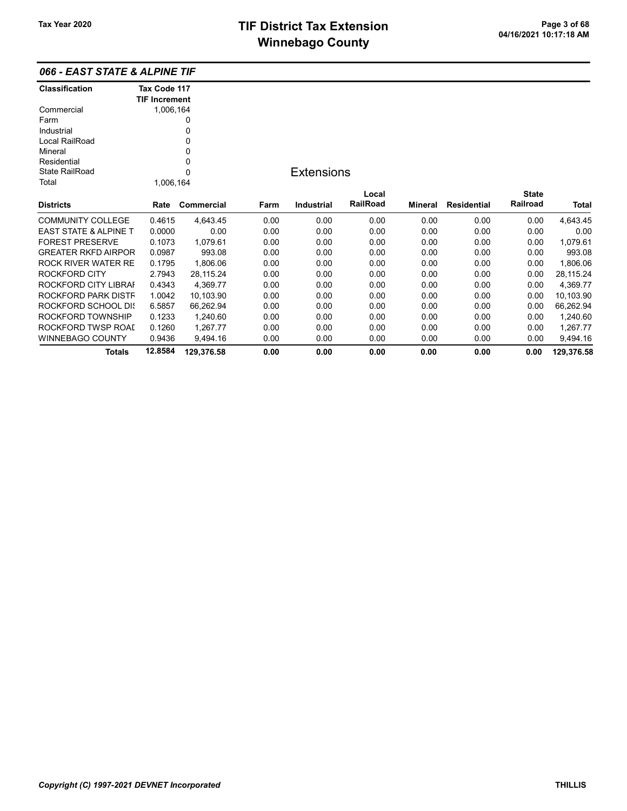| Classification             | Tax Code 117         |            |      |                   |          |                |                    |              |            |
|----------------------------|----------------------|------------|------|-------------------|----------|----------------|--------------------|--------------|------------|
|                            | <b>TIF Increment</b> |            |      |                   |          |                |                    |              |            |
| Commercial                 | 1,006,164            |            |      |                   |          |                |                    |              |            |
| Farm                       |                      | 0          |      |                   |          |                |                    |              |            |
| Industrial                 |                      | 0          |      |                   |          |                |                    |              |            |
| Local RailRoad             |                      | 0          |      |                   |          |                |                    |              |            |
| Mineral                    | 0                    |            |      |                   |          |                |                    |              |            |
| Residential                | 0                    |            |      |                   |          |                |                    |              |            |
| <b>State RailRoad</b>      | $\Omega$             |            |      | <b>Extensions</b> |          |                |                    |              |            |
| Total                      | 1,006,164            |            |      |                   |          |                |                    |              |            |
|                            |                      |            |      |                   | Local    |                |                    | <b>State</b> |            |
| Districts                  | Rate                 | Commercial | Farm | <b>Industrial</b> | RailRoad | <b>Mineral</b> | <b>Residential</b> | Railroad     | Total      |
| COMMUNITY COLLEGE          | 0.4615               | 4,643.45   | 0.00 | 0.00              | 0.00     | 0.00           | 0.00               | 0.00         | 4,643.45   |
| EAST STATE & ALPINE T      | 0.0000               | 0.00       | 0.00 | 0.00              | 0.00     | 0.00           | 0.00               | 0.00         | 0.00       |
| FOREST PRESERVE            | 0.1073               | 1,079.61   | 0.00 | 0.00              | 0.00     | 0.00           | 0.00               | 0.00         | 1,079.61   |
| <b>GREATER RKFD AIRPOR</b> | 0.0987               | 993.08     | 0.00 | 0.00              | 0.00     | 0.00           | 0.00               | 0.00         | 993.08     |
| ROCK RIVER WATER RE        | 0.1795               | 1,806.06   | 0.00 | 0.00              | 0.00     | 0.00           | 0.00               | 0.00         | 1,806.06   |
| ROCKFORD CITY              | 2.7943               | 28,115.24  | 0.00 | 0.00              | 0.00     | 0.00           | 0.00               | 0.00         | 28,115.24  |
| ROCKFORD CITY LIBRAI       | 0.4343               | 4,369.77   | 0.00 | 0.00              | 0.00     | 0.00           | 0.00               | 0.00         | 4,369.77   |
| ROCKFORD PARK DISTF        | 1.0042               | 10,103.90  | 0.00 | 0.00              | 0.00     | 0.00           | 0.00               | 0.00         | 10,103.90  |
| ROCKFORD SCHOOL DI{        | 6.5857               | 66,262.94  | 0.00 | 0.00              | 0.00     | 0.00           | 0.00               | 0.00         | 66,262.94  |
| ROCKFORD TOWNSHIP          | 0.1233               | 1,240.60   | 0.00 | 0.00              | 0.00     | 0.00           | 0.00               | 0.00         | 1,240.60   |
| ROCKFORD TWSP ROAI         | 0.1260               | 1,267.77   | 0.00 | 0.00              | 0.00     | 0.00           | 0.00               | 0.00         | 1,267.77   |
| WINNEBAGO COUNTY           | 0.9436               | 9,494.16   | 0.00 | 0.00              | 0.00     | 0.00           | 0.00               | 0.00         | 9,494.16   |
| <b>Totals</b>              | 12.8584              | 129,376.58 | 0.00 | 0.00              | 0.00     | 0.00           | 0.00               | 0.00         | 129,376.58 |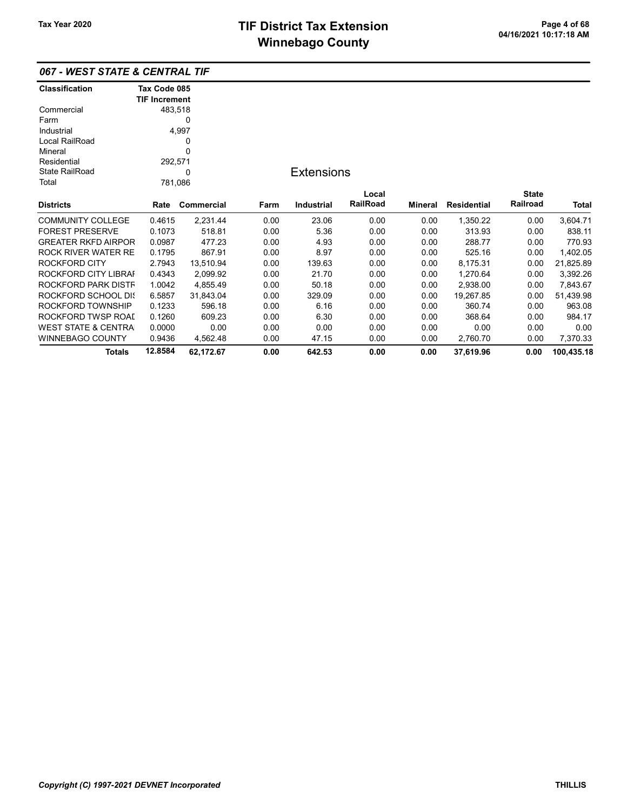| <b>067 - WEST STATE &amp; CENTRAL TIF</b> |                                      |  |  |  |  |  |  |  |
|-------------------------------------------|--------------------------------------|--|--|--|--|--|--|--|
| <b>Classification</b>                     | Tax Code 085<br><b>TIF Increment</b> |  |  |  |  |  |  |  |
| Commercial<br>Farm                        | 483,518<br>0                         |  |  |  |  |  |  |  |
| Industrial<br>Local RailRoad              | 4,997<br>O                           |  |  |  |  |  |  |  |
| Mineral<br>Residential                    | O<br>292,571                         |  |  |  |  |  |  |  |
| State RailRoad<br>Total                   | 781,086                              |  |  |  |  |  |  |  |

## ensions

|                                |         | .          |      |                   |                          |                |                    |                          |              |
|--------------------------------|---------|------------|------|-------------------|--------------------------|----------------|--------------------|--------------------------|--------------|
| <b>Districts</b>               | Rate    | Commercial | Farm | <b>Industrial</b> | Local<br><b>RailRoad</b> | <b>Mineral</b> | <b>Residential</b> | <b>State</b><br>Railroad | <b>Total</b> |
| COMMUNITY COLLEGE              | 0.4615  | 2.231.44   | 0.00 | 23.06             | 0.00                     | 0.00           | 1.350.22           | 0.00                     | 3.604.71     |
| <b>FOREST PRESERVE</b>         | 0.1073  | 518.81     | 0.00 | 5.36              | 0.00                     | 0.00           | 313.93             | 0.00                     | 838.11       |
| <b>GREATER RKFD AIRPOR</b>     | 0.0987  | 477.23     | 0.00 | 4.93              | 0.00                     | 0.00           | 288.77             | 0.00                     | 770.93       |
| ROCK RIVER WATER RE            | 0.1795  | 867.91     | 0.00 | 8.97              | 0.00                     | 0.00           | 525.16             | 0.00                     | 1.402.05     |
| ROCKFORD CITY                  | 2.7943  | 13.510.94  | 0.00 | 139.63            | 0.00                     | 0.00           | 8.175.31           | 0.00                     | 21.825.89    |
| ROCKFORD CITY LIBRAI           | 0.4343  | 2.099.92   | 0.00 | 21.70             | 0.00                     | 0.00           | 1.270.64           | 0.00                     | 3.392.26     |
| ROCKFORD PARK DISTF            | 1.0042  | 4.855.49   | 0.00 | 50.18             | 0.00                     | 0.00           | 2.938.00           | 0.00                     | 7,843.67     |
| ROCKFORD SCHOOL DIS            | 6.5857  | 31.843.04  | 0.00 | 329.09            | 0.00                     | 0.00           | 19.267.85          | 0.00                     | 51,439.98    |
| ROCKFORD TOWNSHIP              | 0.1233  | 596.18     | 0.00 | 6.16              | 0.00                     | 0.00           | 360.74             | 0.00                     | 963.08       |
| ROCKFORD TWSP ROAL             | 0.1260  | 609.23     | 0.00 | 6.30              | 0.00                     | 0.00           | 368.64             | 0.00                     | 984.17       |
| <b>WEST STATE &amp; CENTRA</b> | 0.0000  | 0.00       | 0.00 | 0.00              | 0.00                     | 0.00           | 0.00               | 0.00                     | 0.00         |
| <b>WINNEBAGO COUNTY</b>        | 0.9436  | 4,562.48   | 0.00 | 47.15             | 0.00                     | 0.00           | 2.760.70           | 0.00                     | 7,370.33     |
| Totals                         | 12.8584 | 62.172.67  | 0.00 | 642.53            | 0.00                     | 0.00           | 37.619.96          | 0.00                     | 100.435.18   |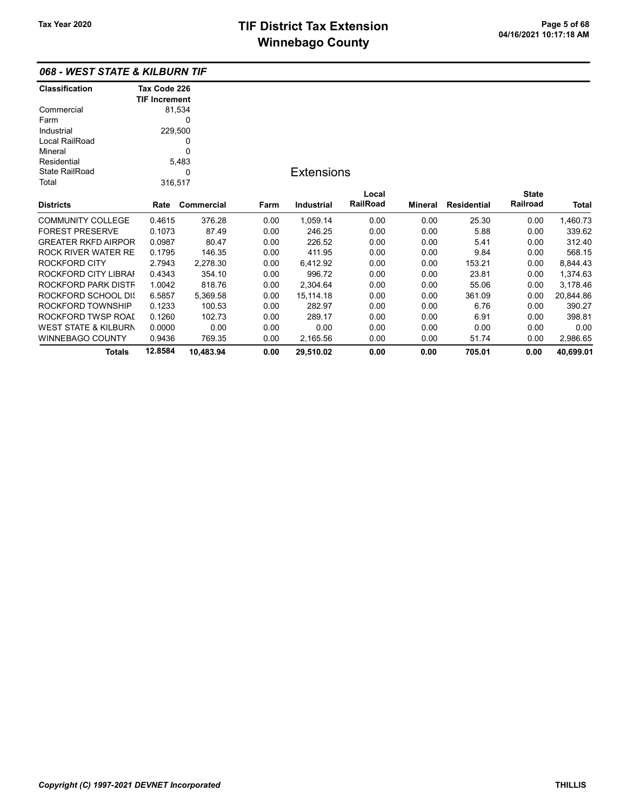### 068 - WEST STATE & KILBURN TIF

| <b>Classification</b>           | Tax Code 226         |            |      |                   |                 |         |                    |              |           |
|---------------------------------|----------------------|------------|------|-------------------|-----------------|---------|--------------------|--------------|-----------|
|                                 | <b>TIF Increment</b> |            |      |                   |                 |         |                    |              |           |
| Commercial                      |                      | 81,534     |      |                   |                 |         |                    |              |           |
| Farm                            |                      | 0          |      |                   |                 |         |                    |              |           |
| Industrial                      | 229,500              |            |      |                   |                 |         |                    |              |           |
| Local RailRoad                  | 0                    |            |      |                   |                 |         |                    |              |           |
| Mineral                         | 0                    |            |      |                   |                 |         |                    |              |           |
| Residential                     |                      | 5,483      |      |                   |                 |         |                    |              |           |
| <b>State RailRoad</b>           | 0                    |            |      | <b>Extensions</b> |                 |         |                    |              |           |
| Total                           | 316,517              |            |      |                   |                 |         |                    |              |           |
|                                 |                      |            |      |                   | Local           |         |                    | <b>State</b> |           |
| <b>Districts</b>                | Rate                 | Commercial | Farm | <b>Industrial</b> | <b>RailRoad</b> | Mineral | <b>Residential</b> | Railroad     | Total     |
| <b>COMMUNITY COLLEGE</b>        | 0.4615               | 376.28     | 0.00 | 1,059.14          | 0.00            | 0.00    | 25.30              | 0.00         | 1,460.73  |
| <b>FOREST PRESERVE</b>          | 0.1073               | 87.49      | 0.00 | 246.25            | 0.00            | 0.00    | 5.88               | 0.00         | 339.62    |
| <b>GREATER RKFD AIRPOR</b>      | 0.0987               | 80.47      | 0.00 | 226.52            | 0.00            | 0.00    | 5.41               | 0.00         | 312.40    |
| <b>ROCK RIVER WATER RE</b>      | 0.1795               | 146.35     | 0.00 | 411.95            | 0.00            | 0.00    | 9.84               | 0.00         | 568.15    |
| ROCKFORD CITY                   | 2.7943               | 2,278.30   | 0.00 | 6,412.92          | 0.00            | 0.00    | 153.21             | 0.00         | 8,844.43  |
| ROCKFORD CITY LIBRAI            | 0.4343               | 354.10     | 0.00 | 996.72            | 0.00            | 0.00    | 23.81              | 0.00         | 1,374.63  |
| ROCKFORD PARK DISTF             | 1.0042               | 818.76     | 0.00 | 2,304.64          | 0.00            | 0.00    | 55.06              | 0.00         | 3,178.46  |
| ROCKFORD SCHOOL DIS             | 6.5857               | 5,369.58   | 0.00 | 15, 114. 18       | 0.00            | 0.00    | 361.09             | 0.00         | 20,844.86 |
| ROCKFORD TOWNSHIP               | 0.1233               | 100.53     | 0.00 | 282.97            | 0.00            | 0.00    | 6.76               | 0.00         | 390.27    |
| ROCKFORD TWSP ROAI              | 0.1260               | 102.73     | 0.00 | 289.17            | 0.00            | 0.00    | 6.91               | 0.00         | 398.81    |
| <b>WEST STATE &amp; KILBURN</b> | 0.0000               | 0.00       | 0.00 | 0.00              | 0.00            | 0.00    | 0.00               | 0.00         | 0.00      |
| <b>WINNEBAGO COUNTY</b>         | 0.9436               | 769.35     | 0.00 | 2,165.56          | 0.00            | 0.00    | 51.74              | 0.00         | 2,986.65  |
| <b>Totals</b>                   | 12.8584              | 10,483.94  | 0.00 | 29,510.02         | 0.00            | 0.00    | 705.01             | 0.00         | 40,699.01 |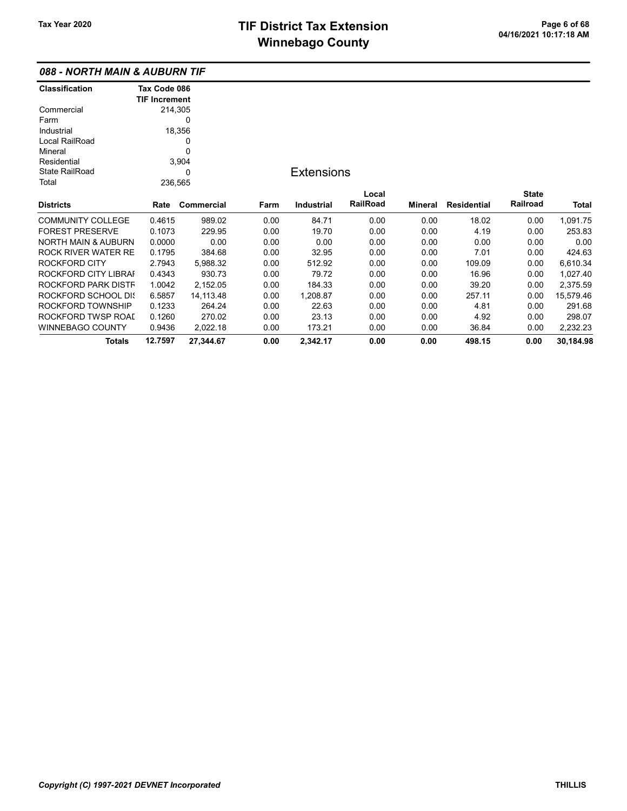### 088 - NORTH MAIN & AUBURN TIF

| <b>Classification</b>          | Tax Code 086         |            |      |                   |          |         |                    |              |           |
|--------------------------------|----------------------|------------|------|-------------------|----------|---------|--------------------|--------------|-----------|
|                                | <b>TIF Increment</b> |            |      |                   |          |         |                    |              |           |
| Commercial                     | 214,305              |            |      |                   |          |         |                    |              |           |
| Farm                           |                      | 0          |      |                   |          |         |                    |              |           |
| Industrial                     |                      | 18,356     |      |                   |          |         |                    |              |           |
| Local RailRoad                 | 0                    |            |      |                   |          |         |                    |              |           |
| Mineral                        | 0                    |            |      |                   |          |         |                    |              |           |
| Residential                    |                      | 3,904      |      |                   |          |         |                    |              |           |
| <b>State RailRoad</b>          | 0                    |            |      | <b>Extensions</b> |          |         |                    |              |           |
| Total                          | 236,565              |            |      |                   |          |         |                    |              |           |
|                                |                      |            |      |                   | Local    |         |                    | <b>State</b> |           |
| <b>Districts</b>               | Rate                 | Commercial | Farm | <b>Industrial</b> | RailRoad | Mineral | <b>Residential</b> | Railroad     | Total     |
| <b>COMMUNITY COLLEGE</b>       | 0.4615               | 989.02     | 0.00 | 84.71             | 0.00     | 0.00    | 18.02              | 0.00         | 1,091.75  |
| <b>FOREST PRESERVE</b>         | 0.1073               | 229.95     | 0.00 | 19.70             | 0.00     | 0.00    | 4.19               | 0.00         | 253.83    |
| <b>NORTH MAIN &amp; AUBURN</b> | 0.0000               | 0.00       | 0.00 | 0.00              | 0.00     | 0.00    | 0.00               | 0.00         | 0.00      |
| <b>ROCK RIVER WATER RE</b>     | 0.1795               | 384.68     | 0.00 | 32.95             | 0.00     | 0.00    | 7.01               | 0.00         | 424.63    |
| <b>ROCKFORD CITY</b>           | 2.7943               | 5,988.32   | 0.00 | 512.92            | 0.00     | 0.00    | 109.09             | 0.00         | 6,610.34  |
| ROCKFORD CITY LIBRAI           | 0.4343               | 930.73     | 0.00 | 79.72             | 0.00     | 0.00    | 16.96              | 0.00         | 1,027.40  |
| ROCKFORD PARK DISTF            | 1.0042               | 2,152.05   | 0.00 | 184.33            | 0.00     | 0.00    | 39.20              | 0.00         | 2,375.59  |
| <b>ROCKFORD SCHOOL DIS</b>     | 6.5857               | 14, 113.48 | 0.00 | 1,208.87          | 0.00     | 0.00    | 257.11             | 0.00         | 15,579.46 |
| ROCKFORD TOWNSHIP              | 0.1233               | 264.24     | 0.00 | 22.63             | 0.00     | 0.00    | 4.81               | 0.00         | 291.68    |
| ROCKFORD TWSP ROAI             | 0.1260               | 270.02     | 0.00 | 23.13             | 0.00     | 0.00    | 4.92               | 0.00         | 298.07    |
| <b>WINNEBAGO COUNTY</b>        | 0.9436               | 2,022.18   | 0.00 | 173.21            | 0.00     | 0.00    | 36.84              | 0.00         | 2,232.23  |
| Totals                         | 12.7597              | 27,344.67  | 0.00 | 2,342.17          | 0.00     | 0.00    | 498.15             | 0.00         | 30,184.98 |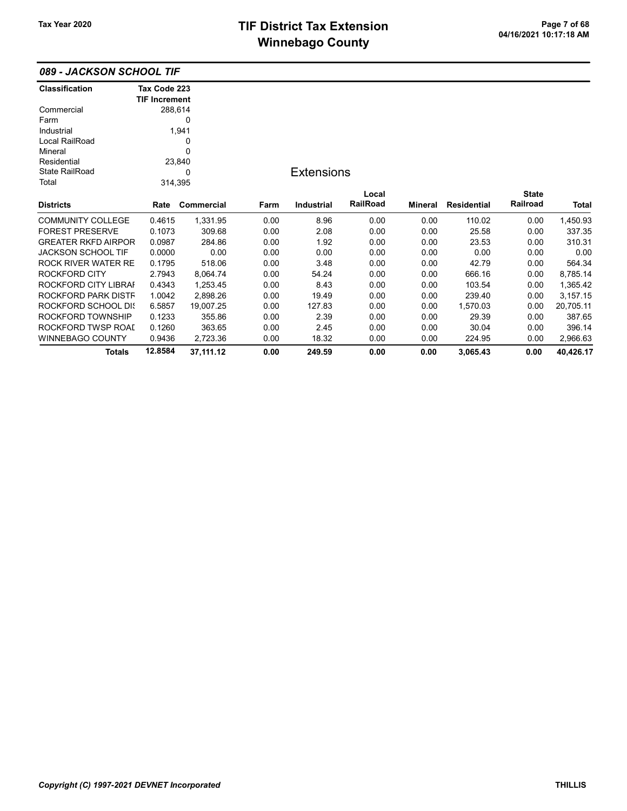|  | 089 - JACKSON SCHOOL TIF |  |
|--|--------------------------|--|
|--|--------------------------|--|

| <b>Classification</b>      | Tax Code 223         |             |      |                   |          |         |                    |              |           |
|----------------------------|----------------------|-------------|------|-------------------|----------|---------|--------------------|--------------|-----------|
|                            | <b>TIF Increment</b> |             |      |                   |          |         |                    |              |           |
| Commercial                 | 288,614              |             |      |                   |          |         |                    |              |           |
| Farm                       |                      | 0           |      |                   |          |         |                    |              |           |
| Industrial                 |                      | 1,941       |      |                   |          |         |                    |              |           |
| Local RailRoad             | 0                    |             |      |                   |          |         |                    |              |           |
| Mineral                    |                      | $\mathbf 0$ |      |                   |          |         |                    |              |           |
| Residential                | 23,840               |             |      |                   |          |         |                    |              |           |
| <b>State RailRoad</b>      | 0                    |             |      | <b>Extensions</b> |          |         |                    |              |           |
| Total                      | 314,395              |             |      |                   |          |         |                    |              |           |
|                            |                      |             |      |                   | Local    |         |                    | <b>State</b> |           |
| <b>Districts</b>           | Rate                 | Commercial  | Farm | <b>Industrial</b> | RailRoad | Mineral | <b>Residential</b> | Railroad     | Total     |
| <b>COMMUNITY COLLEGE</b>   | 0.4615               | 1,331.95    | 0.00 | 8.96              | 0.00     | 0.00    | 110.02             | 0.00         | 1,450.93  |
| <b>FOREST PRESERVE</b>     | 0.1073               | 309.68      | 0.00 | 2.08              | 0.00     | 0.00    | 25.58              | 0.00         | 337.35    |
| <b>GREATER RKFD AIRPOR</b> | 0.0987               | 284.86      | 0.00 | 1.92              | 0.00     | 0.00    | 23.53              | 0.00         | 310.31    |
| <b>JACKSON SCHOOL TIF</b>  | 0.0000               | 0.00        | 0.00 | 0.00              | 0.00     | 0.00    | 0.00               | 0.00         | 0.00      |
| ROCK RIVER WATER RE        | 0.1795               | 518.06      | 0.00 | 3.48              | 0.00     | 0.00    | 42.79              | 0.00         | 564.34    |
| ROCKFORD CITY              | 2.7943               | 8,064.74    | 0.00 | 54.24             | 0.00     | 0.00    | 666.16             | 0.00         | 8,785.14  |
| ROCKFORD CITY LIBRAI       | 0.4343               | 1,253.45    | 0.00 | 8.43              | 0.00     | 0.00    | 103.54             | 0.00         | 1,365.42  |
| ROCKFORD PARK DISTF        | 1.0042               | 2,898.26    | 0.00 | 19.49             | 0.00     | 0.00    | 239.40             | 0.00         | 3,157.15  |
| ROCKFORD SCHOOL DIS        | 6.5857               | 19,007.25   | 0.00 | 127.83            | 0.00     | 0.00    | 1,570.03           | 0.00         | 20,705.11 |
| ROCKFORD TOWNSHIP          | 0.1233               | 355.86      | 0.00 | 2.39              | 0.00     | 0.00    | 29.39              | 0.00         | 387.65    |
| ROCKFORD TWSP ROAI         | 0.1260               | 363.65      | 0.00 | 2.45              | 0.00     | 0.00    | 30.04              | 0.00         | 396.14    |
| <b>WINNEBAGO COUNTY</b>    | 0.9436               | 2,723.36    | 0.00 | 18.32             | 0.00     | 0.00    | 224.95             | 0.00         | 2,966.63  |
| <b>Totals</b>              | 12.8584              | 37,111.12   | 0.00 | 249.59            | 0.00     | 0.00    | 3,065.43           | 0.00         | 40,426.17 |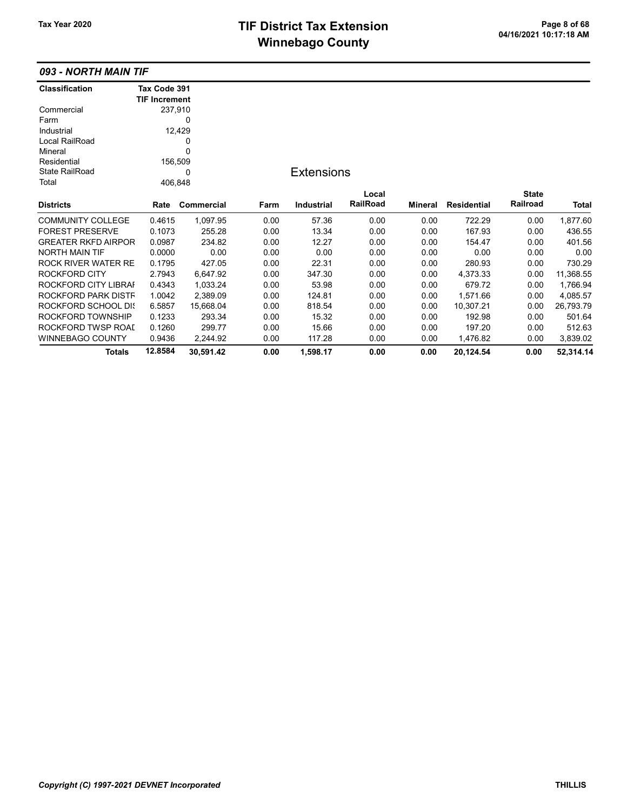#### 093 - NORTH MAIN TIF

| <b>Classification</b>      | Tax Code 391         |            |      |                   |          |                |                    |              |           |
|----------------------------|----------------------|------------|------|-------------------|----------|----------------|--------------------|--------------|-----------|
|                            | <b>TIF Increment</b> |            |      |                   |          |                |                    |              |           |
| Commercial                 | 237,910              |            |      |                   |          |                |                    |              |           |
| Farm                       |                      | 0          |      |                   |          |                |                    |              |           |
| Industrial                 |                      | 12,429     |      |                   |          |                |                    |              |           |
| Local RailRoad             |                      | 0          |      |                   |          |                |                    |              |           |
| Mineral                    |                      | 0          |      |                   |          |                |                    |              |           |
| Residential                | 156,509              |            |      |                   |          |                |                    |              |           |
| <b>State RailRoad</b>      | 0                    |            |      | <b>Extensions</b> |          |                |                    |              |           |
| Total                      | 406,848              |            |      |                   |          |                |                    |              |           |
|                            |                      |            |      |                   | Local    |                |                    | <b>State</b> |           |
| <b>Districts</b>           | Rate                 | Commercial | Farm | <b>Industrial</b> | RailRoad | <b>Mineral</b> | <b>Residential</b> | Railroad     | Total     |
| <b>COMMUNITY COLLEGE</b>   | 0.4615               | 1,097.95   | 0.00 | 57.36             | 0.00     | 0.00           | 722.29             | 0.00         | 1,877.60  |
| <b>FOREST PRESERVE</b>     | 0.1073               | 255.28     | 0.00 | 13.34             | 0.00     | 0.00           | 167.93             | 0.00         | 436.55    |
| <b>GREATER RKFD AIRPOR</b> | 0.0987               | 234.82     | 0.00 | 12.27             | 0.00     | 0.00           | 154.47             | 0.00         | 401.56    |
| <b>NORTH MAIN TIF</b>      | 0.0000               | 0.00       | 0.00 | 0.00              | 0.00     | 0.00           | 0.00               | 0.00         | 0.00      |
| <b>ROCK RIVER WATER RE</b> | 0.1795               | 427.05     | 0.00 | 22.31             | 0.00     | 0.00           | 280.93             | 0.00         | 730.29    |
| <b>ROCKFORD CITY</b>       | 2.7943               | 6,647.92   | 0.00 | 347.30            | 0.00     | 0.00           | 4,373.33           | 0.00         | 11,368.55 |
| ROCKFORD CITY LIBRAI       | 0.4343               | 1,033.24   | 0.00 | 53.98             | 0.00     | 0.00           | 679.72             | 0.00         | 1,766.94  |
| ROCKFORD PARK DISTF        | 1.0042               | 2,389.09   | 0.00 | 124.81            | 0.00     | 0.00           | 1,571.66           | 0.00         | 4,085.57  |
| ROCKFORD SCHOOL DIS        | 6.5857               | 15,668.04  | 0.00 | 818.54            | 0.00     | 0.00           | 10,307.21          | 0.00         | 26,793.79 |
| ROCKFORD TOWNSHIP          | 0.1233               | 293.34     | 0.00 | 15.32             | 0.00     | 0.00           | 192.98             | 0.00         | 501.64    |
| ROCKFORD TWSP ROAI         | 0.1260               | 299.77     | 0.00 | 15.66             | 0.00     | 0.00           | 197.20             | 0.00         | 512.63    |
| <b>WINNEBAGO COUNTY</b>    | 0.9436               | 2,244.92   | 0.00 | 117.28            | 0.00     | 0.00           | 1,476.82           | 0.00         | 3,839.02  |
| <b>Totals</b>              | 12.8584              | 30,591.42  | 0.00 | 1,598.17          | 0.00     | 0.00           | 20,124.54          | 0.00         | 52,314.14 |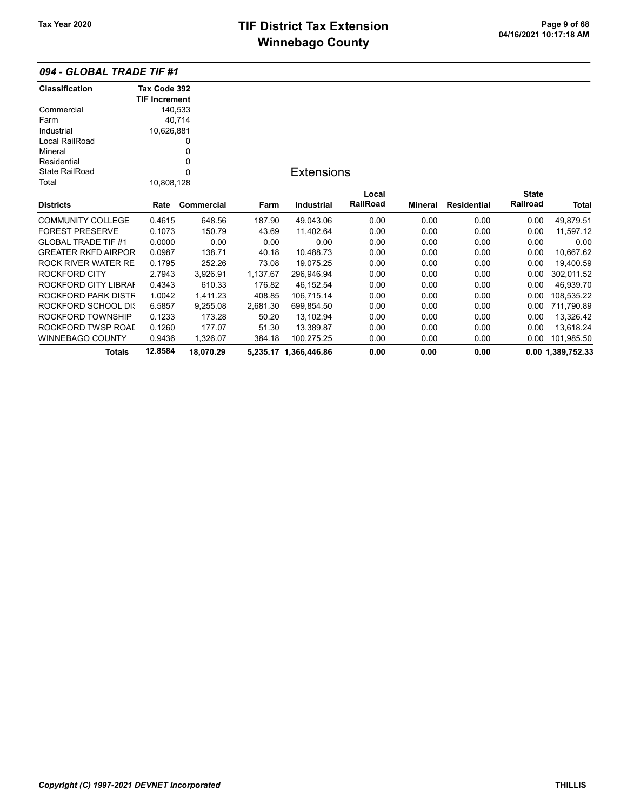# TIF District Tax Extension<br>
M's sales and Osman Actual Control of Control of Control of Control of Control of Control of Control of Control of Control of Control of Control of Control of Control of Control of Control of Co **Winnebago County**

### 094 - GLOBAL TRADE TIF #1

| <b>Classification</b>      | Tax Code 392         |            |          |                       |          |         |                    |              |                   |
|----------------------------|----------------------|------------|----------|-----------------------|----------|---------|--------------------|--------------|-------------------|
|                            | <b>TIF Increment</b> |            |          |                       |          |         |                    |              |                   |
| Commercial                 |                      | 140,533    |          |                       |          |         |                    |              |                   |
| Farm                       |                      | 40,714     |          |                       |          |         |                    |              |                   |
| Industrial                 | 10,626,881           |            |          |                       |          |         |                    |              |                   |
| Local RailRoad             |                      | 0          |          |                       |          |         |                    |              |                   |
| Mineral                    |                      | 0          |          |                       |          |         |                    |              |                   |
| Residential                |                      | 0          |          |                       |          |         |                    |              |                   |
| <b>State RailRoad</b>      |                      | $\Omega$   |          | <b>Extensions</b>     |          |         |                    |              |                   |
| Total                      | 10,808,128           |            |          |                       |          |         |                    |              |                   |
|                            |                      |            |          |                       | Local    |         |                    | <b>State</b> |                   |
| <b>Districts</b>           | Rate                 | Commercial | Farm     | <b>Industrial</b>     | RailRoad | Mineral | <b>Residential</b> | Railroad     | Total             |
| <b>COMMUNITY COLLEGE</b>   | 0.4615               | 648.56     | 187.90   | 49,043.06             | 0.00     | 0.00    | 0.00               | 0.00         | 49,879.51         |
| <b>FOREST PRESERVE</b>     | 0.1073               | 150.79     | 43.69    | 11,402.64             | 0.00     | 0.00    | 0.00               | 0.00         | 11,597.12         |
| <b>GLOBAL TRADE TIF #1</b> | 0.0000               | 0.00       | 0.00     | 0.00                  | 0.00     | 0.00    | 0.00               | 0.00         | 0.00              |
| <b>GREATER RKFD AIRPOR</b> | 0.0987               | 138.71     | 40.18    | 10,488.73             | 0.00     | 0.00    | 0.00               | 0.00         | 10,667.62         |
| <b>ROCK RIVER WATER RE</b> | 0.1795               | 252.26     | 73.08    | 19,075.25             | 0.00     | 0.00    | 0.00               | 0.00         | 19,400.59         |
| ROCKFORD CITY              | 2.7943               | 3,926.91   | 1,137.67 | 296,946.94            | 0.00     | 0.00    | 0.00               | 0.00         | 302,011.52        |
| ROCKFORD CITY LIBRAI       | 0.4343               | 610.33     | 176.82   | 46.152.54             | 0.00     | 0.00    | 0.00               | 0.00         | 46,939.70         |
| ROCKFORD PARK DISTF        | 1.0042               | 1,411.23   | 408.85   | 106,715.14            | 0.00     | 0.00    | 0.00               | 0.00         | 108,535.22        |
| <b>ROCKFORD SCHOOL DIS</b> | 6.5857               | 9,255.08   | 2,681.30 | 699,854.50            | 0.00     | 0.00    | 0.00               | 0.00         | 711,790.89        |
| ROCKFORD TOWNSHIP          | 0.1233               | 173.28     | 50.20    | 13,102.94             | 0.00     | 0.00    | 0.00               | 0.00         | 13,326.42         |
| ROCKFORD TWSP ROAI         | 0.1260               | 177.07     | 51.30    | 13,389.87             | 0.00     | 0.00    | 0.00               | 0.00         | 13,618.24         |
| WINNEBAGO COUNTY           | 0.9436               | 1,326.07   | 384.18   | 100,275.25            | 0.00     | 0.00    | 0.00               | 0.00         | 101,985.50        |
| Totals                     | 12.8584              | 18,070.29  |          | 5,235.17 1,366,446.86 | 0.00     | 0.00    | 0.00               |              | 0.00 1,389,752.33 |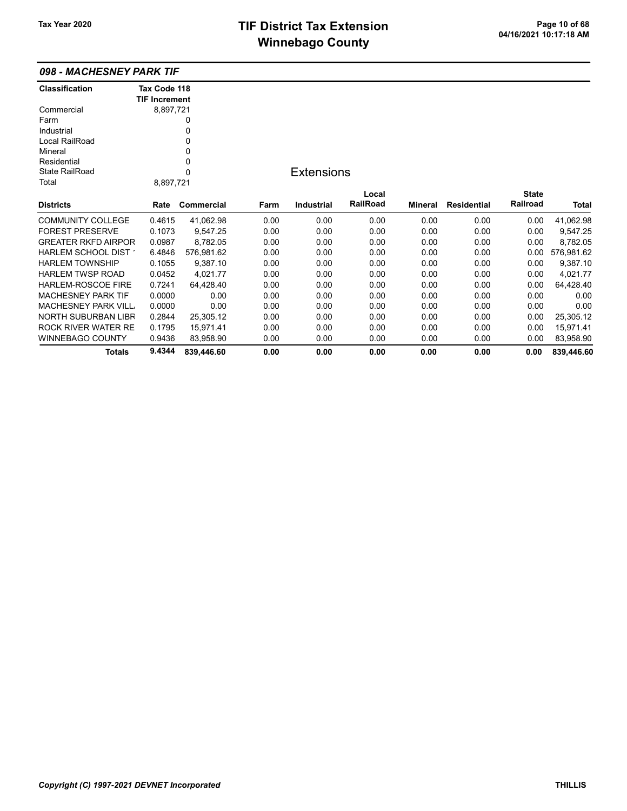|  | 098 - MACHESNEY PARK TIF |  |
|--|--------------------------|--|
|--|--------------------------|--|

| <b>Classification</b>      | Tax Code 118<br><b>TIF Increment</b> |              |      |                   |          |                |                    |              |              |
|----------------------------|--------------------------------------|--------------|------|-------------------|----------|----------------|--------------------|--------------|--------------|
| Commercial                 | 8,897,721                            |              |      |                   |          |                |                    |              |              |
| Farm                       |                                      | 0            |      |                   |          |                |                    |              |              |
| Industrial                 |                                      | $\mathbf{0}$ |      |                   |          |                |                    |              |              |
| Local RailRoad             |                                      | 0            |      |                   |          |                |                    |              |              |
| Mineral                    |                                      | 0            |      |                   |          |                |                    |              |              |
| Residential                |                                      | 0            |      |                   |          |                |                    |              |              |
| <b>State RailRoad</b>      |                                      | $\Omega$     |      | <b>Extensions</b> |          |                |                    |              |              |
| Total                      | 8,897,721                            |              |      |                   |          |                |                    |              |              |
|                            |                                      |              |      |                   | Local    |                |                    | <b>State</b> |              |
| <b>Districts</b>           | Rate                                 | Commercial   | Farm | <b>Industrial</b> | RailRoad | <b>Mineral</b> | <b>Residential</b> | Railroad     | <b>Total</b> |
| <b>COMMUNITY COLLEGE</b>   | 0.4615                               | 41,062.98    | 0.00 | 0.00              | 0.00     | 0.00           | 0.00               | 0.00         | 41,062.98    |
| <b>FOREST PRESERVE</b>     | 0.1073                               | 9,547.25     | 0.00 | 0.00              | 0.00     | 0.00           | 0.00               | 0.00         | 9,547.25     |
| <b>GREATER RKFD AIRPOR</b> | 0.0987                               | 8,782.05     | 0.00 | 0.00              | 0.00     | 0.00           | 0.00               | 0.00         | 8,782.05     |
| HARLEM SCHOOL DIST         | 6.4846                               | 576,981.62   | 0.00 | 0.00              | 0.00     | 0.00           | 0.00               | 0.00         | 576,981.62   |
| <b>HARLEM TOWNSHIP</b>     | 0.1055                               | 9,387.10     | 0.00 | 0.00              | 0.00     | 0.00           | 0.00               | 0.00         | 9,387.10     |
| <b>HARLEM TWSP ROAD</b>    | 0.0452                               | 4,021.77     | 0.00 | 0.00              | 0.00     | 0.00           | 0.00               | 0.00         | 4,021.77     |
| <b>HARLEM-ROSCOE FIRE</b>  | 0.7241                               | 64,428.40    | 0.00 | 0.00              | 0.00     | 0.00           | 0.00               | 0.00         | 64,428.40    |
| <b>MACHESNEY PARK TIF</b>  | 0.0000                               | 0.00         | 0.00 | 0.00              | 0.00     | 0.00           | 0.00               | 0.00         | 0.00         |
| <b>MACHESNEY PARK VILL</b> | 0.0000                               | 0.00         | 0.00 | 0.00              | 0.00     | 0.00           | 0.00               | 0.00         | 0.00         |
| NORTH SUBURBAN LIBR        | 0.2844                               | 25,305.12    | 0.00 | 0.00              | 0.00     | 0.00           | 0.00               | 0.00         | 25,305.12    |
| <b>ROCK RIVER WATER RE</b> | 0.1795                               | 15,971.41    | 0.00 | 0.00              | 0.00     | 0.00           | 0.00               | 0.00         | 15,971.41    |
| <b>WINNEBAGO COUNTY</b>    | 0.9436                               | 83.958.90    | 0.00 | 0.00              | 0.00     | 0.00           | 0.00               | 0.00         | 83,958.90    |
| Totals                     | 9.4344                               | 839,446.60   | 0.00 | 0.00              | 0.00     | 0.00           | 0.00               | 0.00         | 839.446.60   |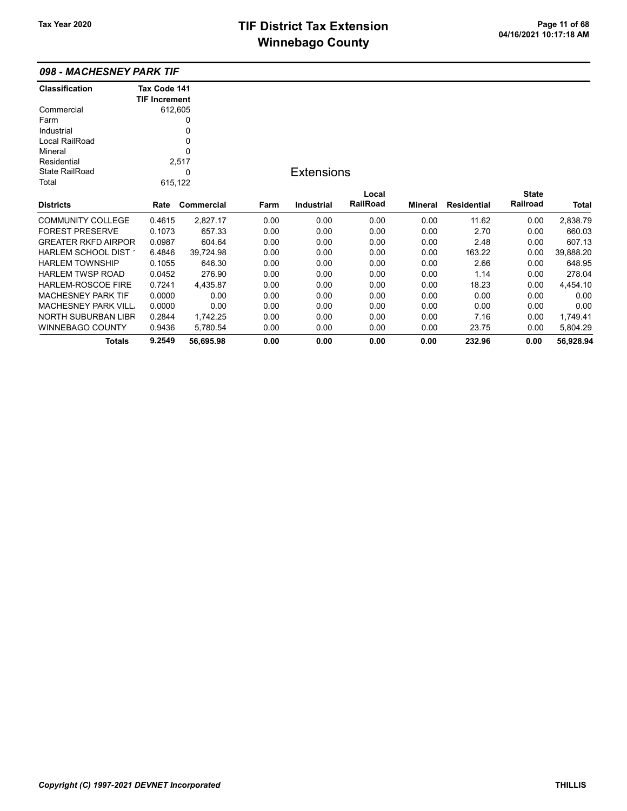098 - MACHESNEY PARK TIF

| <b>Classification</b>      | Tax Code 141         |            |      |                   |          |         |                    |              |           |
|----------------------------|----------------------|------------|------|-------------------|----------|---------|--------------------|--------------|-----------|
|                            | <b>TIF Increment</b> |            |      |                   |          |         |                    |              |           |
| Commercial                 | 612,605              |            |      |                   |          |         |                    |              |           |
| Farm                       |                      | 0          |      |                   |          |         |                    |              |           |
| Industrial                 |                      | 0          |      |                   |          |         |                    |              |           |
| Local RailRoad             |                      | 0          |      |                   |          |         |                    |              |           |
| Mineral                    |                      | 0          |      |                   |          |         |                    |              |           |
| Residential                |                      | 2,517      |      |                   |          |         |                    |              |           |
| <b>State RailRoad</b>      |                      | 0          |      | <b>Extensions</b> |          |         |                    |              |           |
| Total                      | 615,122              |            |      |                   |          |         |                    |              |           |
|                            |                      |            |      |                   | Local    |         |                    | <b>State</b> |           |
| <b>Districts</b>           | Rate                 | Commercial | Farm | <b>Industrial</b> | RailRoad | Mineral | <b>Residential</b> | Railroad     | Total     |
| <b>COMMUNITY COLLEGE</b>   | 0.4615               | 2,827.17   | 0.00 | 0.00              | 0.00     | 0.00    | 11.62              | 0.00         | 2,838.79  |
| <b>FOREST PRESERVE</b>     | 0.1073               | 657.33     | 0.00 | 0.00              | 0.00     | 0.00    | 2.70               | 0.00         | 660.03    |
| <b>GREATER RKFD AIRPOR</b> | 0.0987               | 604.64     | 0.00 | 0.00              | 0.00     | 0.00    | 2.48               | 0.00         | 607.13    |
| HARLEM SCHOOL DIST         | 6.4846               | 39,724.98  | 0.00 | 0.00              | 0.00     | 0.00    | 163.22             | 0.00         | 39,888.20 |
| <b>HARLEM TOWNSHIP</b>     | 0.1055               | 646.30     | 0.00 | 0.00              | 0.00     | 0.00    | 2.66               | 0.00         | 648.95    |
| <b>HARLEM TWSP ROAD</b>    | 0.0452               | 276.90     | 0.00 | 0.00              | 0.00     | 0.00    | 1.14               | 0.00         | 278.04    |
| HARLEM-ROSCOE FIRE         | 0.7241               | 4,435.87   | 0.00 | 0.00              | 0.00     | 0.00    | 18.23              | 0.00         | 4,454.10  |
| <b>MACHESNEY PARK TIF</b>  | 0.0000               | 0.00       | 0.00 | 0.00              | 0.00     | 0.00    | 0.00               | 0.00         | 0.00      |
| <b>MACHESNEY PARK VILL</b> | 0.0000               | 0.00       | 0.00 | 0.00              | 0.00     | 0.00    | 0.00               | 0.00         | 0.00      |
| <b>NORTH SUBURBAN LIBR</b> | 0.2844               | 1,742.25   | 0.00 | 0.00              | 0.00     | 0.00    | 7.16               | 0.00         | 1,749.41  |
| <b>WINNEBAGO COUNTY</b>    | 0.9436               | 5,780.54   | 0.00 | 0.00              | 0.00     | 0.00    | 23.75              | 0.00         | 5,804.29  |
| <b>Totals</b>              | 9.2549               | 56,695.98  | 0.00 | 0.00              | 0.00     | 0.00    | 232.96             | 0.00         | 56,928.94 |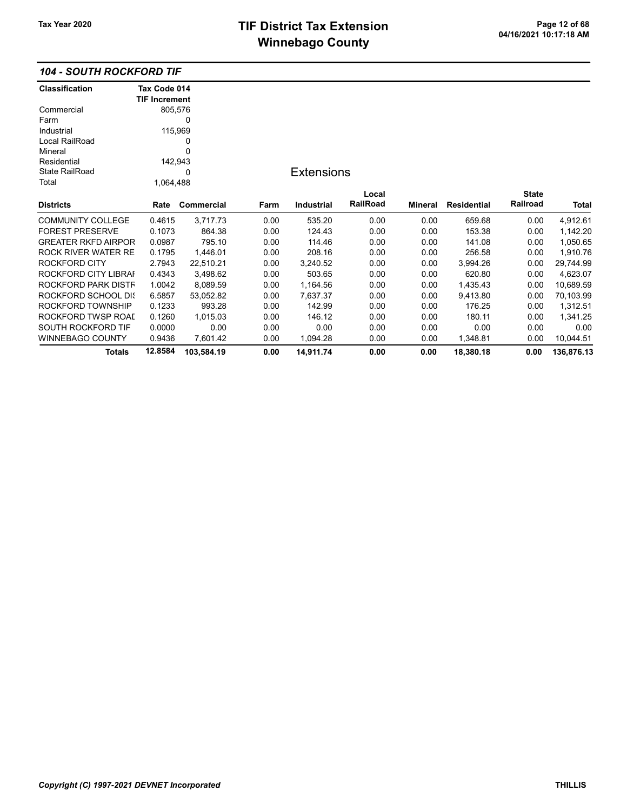### 104 - SOUTH ROCKFORD TIF

| <b>Classification</b>      | Tax Code 014         |            |      |                   |          |         |                    |              |            |
|----------------------------|----------------------|------------|------|-------------------|----------|---------|--------------------|--------------|------------|
|                            | <b>TIF Increment</b> |            |      |                   |          |         |                    |              |            |
| Commercial                 | 805,576              |            |      |                   |          |         |                    |              |            |
| Farm                       |                      | 0          |      |                   |          |         |                    |              |            |
| Industrial                 | 115,969              |            |      |                   |          |         |                    |              |            |
| Local RailRoad             |                      | 0          |      |                   |          |         |                    |              |            |
| Mineral                    |                      | 0          |      |                   |          |         |                    |              |            |
| Residential                | 142,943              |            |      |                   |          |         |                    |              |            |
| <b>State RailRoad</b>      |                      | 0          |      | <b>Extensions</b> |          |         |                    |              |            |
| Total                      | 1,064,488            |            |      |                   |          |         |                    |              |            |
|                            |                      |            |      |                   | Local    |         |                    | <b>State</b> |            |
| <b>Districts</b>           | Rate                 | Commercial | Farm | <b>Industrial</b> | RailRoad | Mineral | <b>Residential</b> | Railroad     | Total      |
| <b>COMMUNITY COLLEGE</b>   | 0.4615               | 3,717.73   | 0.00 | 535.20            | 0.00     | 0.00    | 659.68             | 0.00         | 4,912.61   |
| <b>FOREST PRESERVE</b>     | 0.1073               | 864.38     | 0.00 | 124.43            | 0.00     | 0.00    | 153.38             | 0.00         | 1,142.20   |
| <b>GREATER RKFD AIRPOR</b> | 0.0987               | 795.10     | 0.00 | 114.46            | 0.00     | 0.00    | 141.08             | 0.00         | 1,050.65   |
| ROCK RIVER WATER RE        | 0.1795               | 1,446.01   | 0.00 | 208.16            | 0.00     | 0.00    | 256.58             | 0.00         | 1,910.76   |
| ROCKFORD CITY              | 2.7943               | 22,510.21  | 0.00 | 3,240.52          | 0.00     | 0.00    | 3,994.26           | 0.00         | 29,744.99  |
| ROCKFORD CITY LIBRAI       | 0.4343               | 3,498.62   | 0.00 | 503.65            | 0.00     | 0.00    | 620.80             | 0.00         | 4,623.07   |
| ROCKFORD PARK DISTF        | 1.0042               | 8,089.59   | 0.00 | 1,164.56          | 0.00     | 0.00    | 1,435.43           | 0.00         | 10,689.59  |
| ROCKFORD SCHOOL DIS        | 6.5857               | 53,052.82  | 0.00 | 7,637.37          | 0.00     | 0.00    | 9,413.80           | 0.00         | 70,103.99  |
| ROCKFORD TOWNSHIP          | 0.1233               | 993.28     | 0.00 | 142.99            | 0.00     | 0.00    | 176.25             | 0.00         | 1,312.51   |
| ROCKFORD TWSP ROAI         | 0.1260               | 1,015.03   | 0.00 | 146.12            | 0.00     | 0.00    | 180.11             | 0.00         | 1,341.25   |
| SOUTH ROCKFORD TIF         | 0.0000               | 0.00       | 0.00 | 0.00              | 0.00     | 0.00    | 0.00               | 0.00         | 0.00       |
| <b>WINNEBAGO COUNTY</b>    | 0.9436               | 7,601.42   | 0.00 | 1,094.28          | 0.00     | 0.00    | 1,348.81           | 0.00         | 10,044.51  |
| <b>Totals</b>              | 12.8584              | 103,584.19 | 0.00 | 14,911.74         | 0.00     | 0.00    | 18,380.18          | 0.00         | 136,876.13 |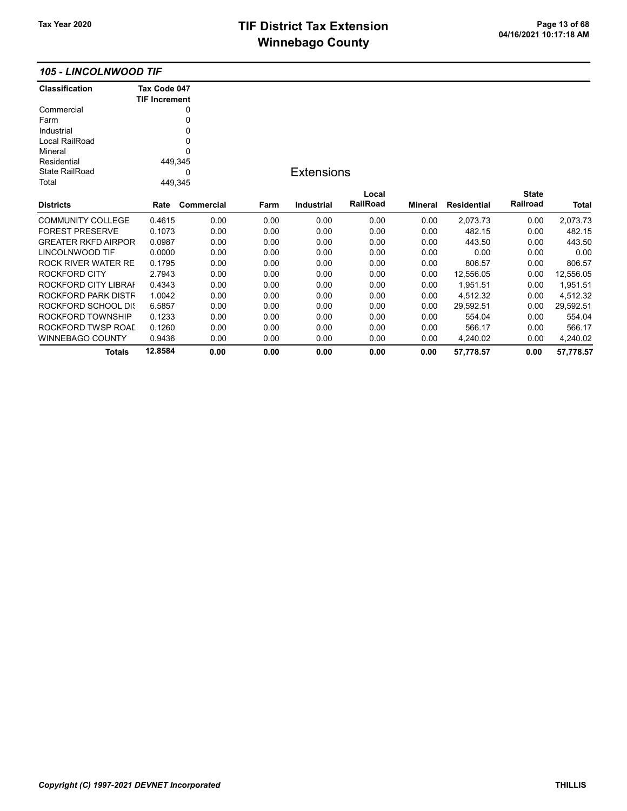#### 105 - LINCOLNWOOD TIF

| <b>Classification</b>      | Tax Code 047         |            |      |                   |          |         |                    |              |              |
|----------------------------|----------------------|------------|------|-------------------|----------|---------|--------------------|--------------|--------------|
|                            | <b>TIF Increment</b> |            |      |                   |          |         |                    |              |              |
| Commercial                 |                      | 0          |      |                   |          |         |                    |              |              |
| Farm                       |                      | 0          |      |                   |          |         |                    |              |              |
| Industrial                 |                      | 0          |      |                   |          |         |                    |              |              |
| Local RailRoad             |                      | 0          |      |                   |          |         |                    |              |              |
| Mineral                    |                      | 0          |      |                   |          |         |                    |              |              |
| Residential                |                      | 449,345    |      |                   |          |         |                    |              |              |
| <b>State RailRoad</b>      |                      | 0          |      | <b>Extensions</b> |          |         |                    |              |              |
| Total                      |                      | 449,345    |      |                   |          |         |                    |              |              |
|                            |                      |            |      |                   | Local    |         |                    | <b>State</b> |              |
| <b>Districts</b>           | Rate                 | Commercial | Farm | <b>Industrial</b> | RailRoad | Mineral | <b>Residential</b> | Railroad     | <b>Total</b> |
| <b>COMMUNITY COLLEGE</b>   | 0.4615               | 0.00       | 0.00 | 0.00              | 0.00     | 0.00    | 2,073.73           | 0.00         | 2,073.73     |
| <b>FOREST PRESERVE</b>     | 0.1073               | 0.00       | 0.00 | 0.00              | 0.00     | 0.00    | 482.15             | 0.00         | 482.15       |
| <b>GREATER RKFD AIRPOR</b> | 0.0987               | 0.00       | 0.00 | 0.00              | 0.00     | 0.00    | 443.50             | 0.00         | 443.50       |
| LINCOLNWOOD TIF            | 0.0000               | 0.00       | 0.00 | 0.00              | 0.00     | 0.00    | 0.00               | 0.00         | 0.00         |
| <b>ROCK RIVER WATER RE</b> | 0.1795               | 0.00       | 0.00 | 0.00              | 0.00     | 0.00    | 806.57             | 0.00         | 806.57       |
| ROCKFORD CITY              | 2.7943               | 0.00       | 0.00 | 0.00              | 0.00     | 0.00    | 12,556.05          | 0.00         | 12,556.05    |
| ROCKFORD CITY LIBRAI       | 0.4343               | 0.00       | 0.00 | 0.00              | 0.00     | 0.00    | 1,951.51           | 0.00         | 1,951.51     |
| ROCKFORD PARK DISTF        | 1.0042               | 0.00       | 0.00 | 0.00              | 0.00     | 0.00    | 4,512.32           | 0.00         | 4,512.32     |
| ROCKFORD SCHOOL DIS        | 6.5857               | 0.00       | 0.00 | 0.00              | 0.00     | 0.00    | 29,592.51          | 0.00         | 29,592.51    |
| ROCKFORD TOWNSHIP          | 0.1233               | 0.00       | 0.00 | 0.00              | 0.00     | 0.00    | 554.04             | 0.00         | 554.04       |
| ROCKFORD TWSP ROAI         | 0.1260               | 0.00       | 0.00 | 0.00              | 0.00     | 0.00    | 566.17             | 0.00         | 566.17       |
| <b>WINNEBAGO COUNTY</b>    | 0.9436               | 0.00       | 0.00 | 0.00              | 0.00     | 0.00    | 4,240.02           | 0.00         | 4,240.02     |
| <b>Totals</b>              | 12.8584              | 0.00       | 0.00 | 0.00              | 0.00     | 0.00    | 57,778.57          | 0.00         | 57,778.57    |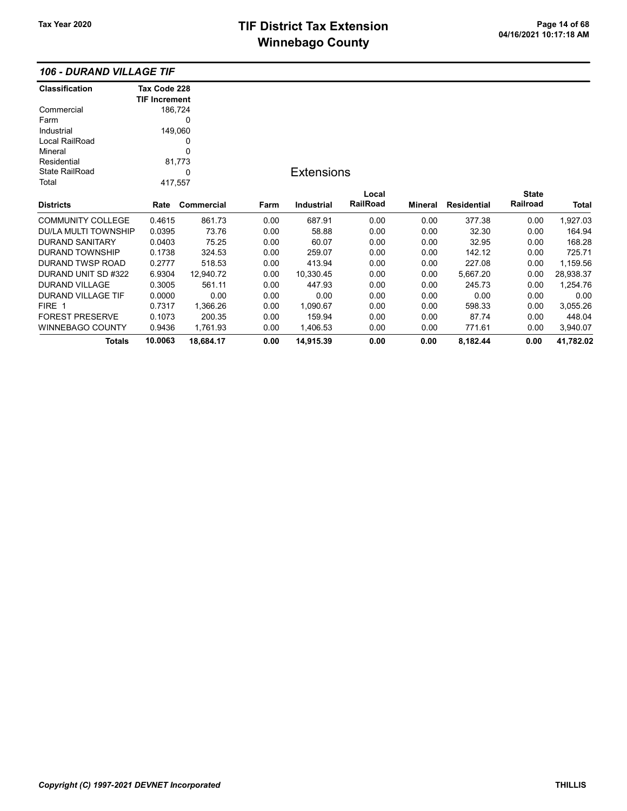## 106 - DURAND VILLAGE TIF

| <b>Classification</b>       | Tax Code 228         |            |      |                   |          |                |                    |              |           |
|-----------------------------|----------------------|------------|------|-------------------|----------|----------------|--------------------|--------------|-----------|
|                             | <b>TIF Increment</b> |            |      |                   |          |                |                    |              |           |
| Commercial                  |                      | 186,724    |      |                   |          |                |                    |              |           |
| Farm                        |                      | 0          |      |                   |          |                |                    |              |           |
| Industrial                  |                      | 149,060    |      |                   |          |                |                    |              |           |
| Local RailRoad              |                      | 0          |      |                   |          |                |                    |              |           |
| Mineral                     |                      | 0          |      |                   |          |                |                    |              |           |
| Residential                 |                      | 81,773     |      |                   |          |                |                    |              |           |
| <b>State RailRoad</b>       |                      | 0          |      | <b>Extensions</b> |          |                |                    |              |           |
| Total                       |                      | 417,557    |      |                   |          |                |                    |              |           |
|                             |                      |            |      |                   | Local    |                |                    | <b>State</b> |           |
| <b>Districts</b>            | Rate                 | Commercial | Farm | <b>Industrial</b> | RailRoad | <b>Mineral</b> | <b>Residential</b> | Railroad     | Total     |
| <b>COMMUNITY COLLEGE</b>    | 0.4615               | 861.73     | 0.00 | 687.91            | 0.00     | 0.00           | 377.38             | 0.00         | 1,927.03  |
| <b>DU/LA MULTI TOWNSHIP</b> | 0.0395               | 73.76      | 0.00 | 58.88             | 0.00     | 0.00           | 32.30              | 0.00         | 164.94    |
| <b>DURAND SANITARY</b>      | 0.0403               | 75.25      | 0.00 | 60.07             | 0.00     | 0.00           | 32.95              | 0.00         | 168.28    |
| <b>DURAND TOWNSHIP</b>      | 0.1738               | 324.53     | 0.00 | 259.07            | 0.00     | 0.00           | 142.12             | 0.00         | 725.71    |
| <b>DURAND TWSP ROAD</b>     | 0.2777               | 518.53     | 0.00 | 413.94            | 0.00     | 0.00           | 227.08             | 0.00         | 1,159.56  |
| DURAND UNIT SD #322         | 6.9304               | 12,940.72  | 0.00 | 10,330.45         | 0.00     | 0.00           | 5,667.20           | 0.00         | 28,938.37 |
| DURAND VILLAGE              | 0.3005               | 561.11     | 0.00 | 447.93            | 0.00     | 0.00           | 245.73             | 0.00         | 1,254.76  |
| DURAND VILLAGE TIF          | 0.0000               | 0.00       | 0.00 | 0.00              | 0.00     | 0.00           | 0.00               | 0.00         | 0.00      |
| FIRE 1                      | 0.7317               | 1,366.26   | 0.00 | 1,090.67          | 0.00     | 0.00           | 598.33             | 0.00         | 3,055.26  |
| <b>FOREST PRESERVE</b>      | 0.1073               | 200.35     | 0.00 | 159.94            | 0.00     | 0.00           | 87.74              | 0.00         | 448.04    |
| <b>WINNEBAGO COUNTY</b>     | 0.9436               | 1,761.93   | 0.00 | 1,406.53          | 0.00     | 0.00           | 771.61             | 0.00         | 3,940.07  |
| <b>Totals</b>               | 10.0063              | 18,684.17  | 0.00 | 14,915.39         | 0.00     | 0.00           | 8,182.44           | 0.00         | 41,782.02 |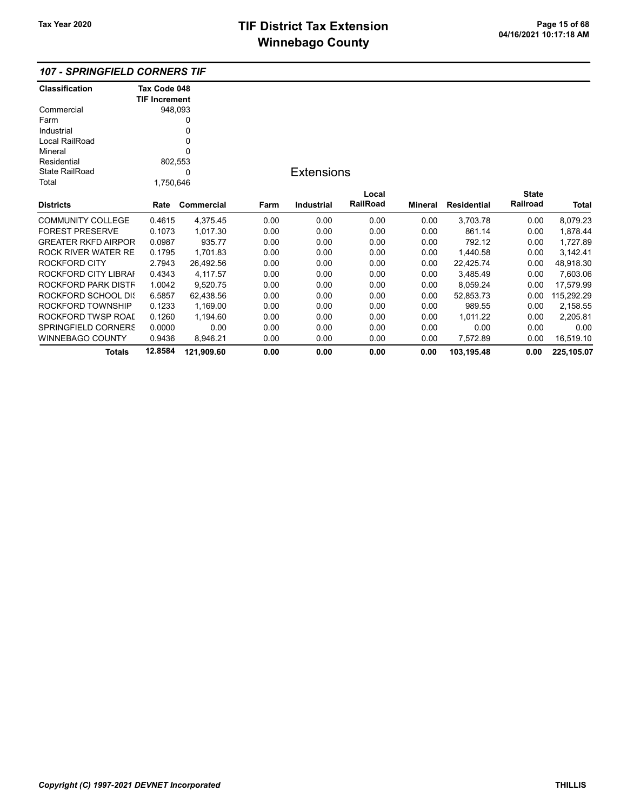### 107 - SPRINGFIELD CORNERS TIF

| <b>Classification</b>      | Tax Code 048         |              |      |                   |          |                |                    |              |            |
|----------------------------|----------------------|--------------|------|-------------------|----------|----------------|--------------------|--------------|------------|
|                            | <b>TIF Increment</b> |              |      |                   |          |                |                    |              |            |
| Commercial                 | 948,093              |              |      |                   |          |                |                    |              |            |
| Farm                       |                      | 0            |      |                   |          |                |                    |              |            |
| Industrial                 |                      | 0            |      |                   |          |                |                    |              |            |
| Local RailRoad             |                      | 0            |      |                   |          |                |                    |              |            |
| Mineral                    |                      | $\mathbf{0}$ |      |                   |          |                |                    |              |            |
| Residential                | 802,553              |              |      |                   |          |                |                    |              |            |
| <b>State RailRoad</b>      |                      | 0            |      | <b>Extensions</b> |          |                |                    |              |            |
| Total                      | 1,750,646            |              |      |                   |          |                |                    |              |            |
|                            |                      |              |      |                   | Local    |                |                    | <b>State</b> |            |
| <b>Districts</b>           | Rate                 | Commercial   | Farm | <b>Industrial</b> | RailRoad | <b>Mineral</b> | <b>Residential</b> | Railroad     | Total      |
| <b>COMMUNITY COLLEGE</b>   | 0.4615               | 4,375.45     | 0.00 | 0.00              | 0.00     | 0.00           | 3,703.78           | 0.00         | 8,079.23   |
| <b>FOREST PRESERVE</b>     | 0.1073               | 1,017.30     | 0.00 | 0.00              | 0.00     | 0.00           | 861.14             | 0.00         | 1,878.44   |
| <b>GREATER RKFD AIRPOR</b> | 0.0987               | 935.77       | 0.00 | 0.00              | 0.00     | 0.00           | 792.12             | 0.00         | 1,727.89   |
| ROCK RIVER WATER RE        | 0.1795               | 1,701.83     | 0.00 | 0.00              | 0.00     | 0.00           | 1,440.58           | 0.00         | 3,142.41   |
| ROCKFORD CITY              | 2.7943               | 26,492.56    | 0.00 | 0.00              | 0.00     | 0.00           | 22,425.74          | 0.00         | 48,918.30  |
| ROCKFORD CITY LIBRAI       | 0.4343               | 4,117.57     | 0.00 | 0.00              | 0.00     | 0.00           | 3,485.49           | 0.00         | 7,603.06   |
| ROCKFORD PARK DISTF        | 1.0042               | 9,520.75     | 0.00 | 0.00              | 0.00     | 0.00           | 8,059.24           | 0.00         | 17,579.99  |
| ROCKFORD SCHOOL DIS        | 6.5857               | 62,438.56    | 0.00 | 0.00              | 0.00     | 0.00           | 52,853.73          | 0.00         | 115,292.29 |
| ROCKFORD TOWNSHIP          | 0.1233               | 1,169.00     | 0.00 | 0.00              | 0.00     | 0.00           | 989.55             | 0.00         | 2,158.55   |
| ROCKFORD TWSP ROAI         | 0.1260               | 1,194.60     | 0.00 | 0.00              | 0.00     | 0.00           | 1,011.22           | 0.00         | 2,205.81   |
| <b>SPRINGFIELD CORNERS</b> | 0.0000               | 0.00         | 0.00 | 0.00              | 0.00     | 0.00           | 0.00               | 0.00         | 0.00       |
| WINNEBAGO COUNTY           | 0.9436               | 8,946.21     | 0.00 | 0.00              | 0.00     | 0.00           | 7,572.89           | 0.00         | 16,519.10  |
| Totals                     | 12.8584              | 121,909.60   | 0.00 | 0.00              | 0.00     | 0.00           | 103,195.48         | 0.00         | 225,105.07 |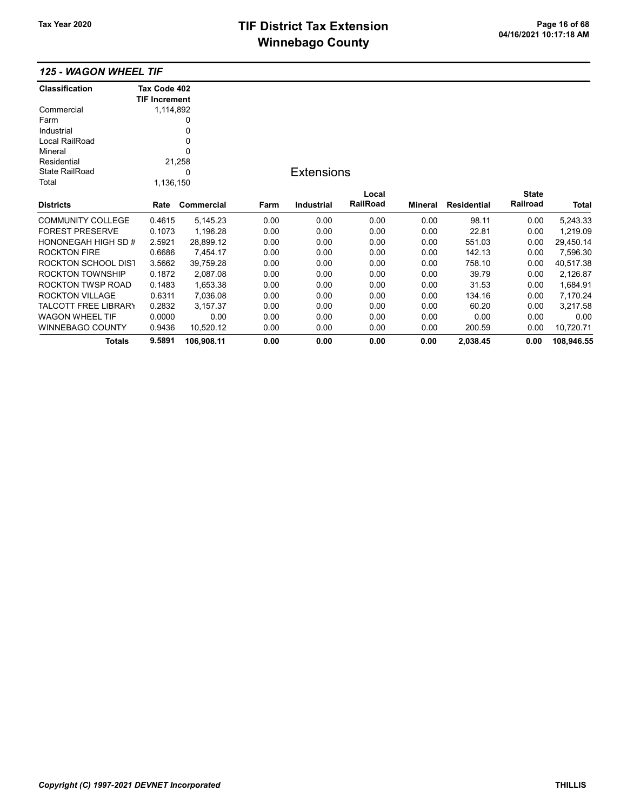### 125 - WAGON WHEEL TIF

| <b>Classification</b>       | Tax Code 402         |            |      |                   |          |         |                    |              |            |
|-----------------------------|----------------------|------------|------|-------------------|----------|---------|--------------------|--------------|------------|
|                             | <b>TIF Increment</b> |            |      |                   |          |         |                    |              |            |
| Commercial                  | 1,114,892            |            |      |                   |          |         |                    |              |            |
| Farm                        |                      |            |      |                   |          |         |                    |              |            |
| Industrial                  |                      | 0          |      |                   |          |         |                    |              |            |
| Local RailRoad              |                      | 0          |      |                   |          |         |                    |              |            |
| Mineral                     |                      | 0          |      |                   |          |         |                    |              |            |
| Residential                 |                      | 21,258     |      |                   |          |         |                    |              |            |
| <b>State RailRoad</b>       |                      | 0          |      | <b>Extensions</b> |          |         |                    |              |            |
| Total                       | 1,136,150            |            |      |                   |          |         |                    |              |            |
|                             |                      |            |      |                   | Local    |         |                    | <b>State</b> |            |
| <b>Districts</b>            | Rate                 | Commercial | Farm | <b>Industrial</b> | RailRoad | Mineral | <b>Residential</b> | Railroad     | Total      |
| <b>COMMUNITY COLLEGE</b>    | 0.4615               | 5,145.23   | 0.00 | 0.00              | 0.00     | 0.00    | 98.11              | 0.00         | 5,243.33   |
| <b>FOREST PRESERVE</b>      | 0.1073               | 1,196.28   | 0.00 | 0.00              | 0.00     | 0.00    | 22.81              | 0.00         | 1,219.09   |
| HONONEGAH HIGH SD #         | 2.5921               | 28,899.12  | 0.00 | 0.00              | 0.00     | 0.00    | 551.03             | 0.00         | 29,450.14  |
| <b>ROCKTON FIRE</b>         | 0.6686               | 7,454.17   | 0.00 | 0.00              | 0.00     | 0.00    | 142.13             | 0.00         | 7,596.30   |
| ROCKTON SCHOOL DIST         | 3.5662               | 39,759.28  | 0.00 | 0.00              | 0.00     | 0.00    | 758.10             | 0.00         | 40,517.38  |
| ROCKTON TOWNSHIP            | 0.1872               | 2,087.08   | 0.00 | 0.00              | 0.00     | 0.00    | 39.79              | 0.00         | 2,126.87   |
| ROCKTON TWSP ROAD           | 0.1483               | 1,653.38   | 0.00 | 0.00              | 0.00     | 0.00    | 31.53              | 0.00         | 1,684.91   |
| <b>ROCKTON VILLAGE</b>      | 0.6311               | 7,036.08   | 0.00 | 0.00              | 0.00     | 0.00    | 134.16             | 0.00         | 7,170.24   |
| <b>TALCOTT FREE LIBRARY</b> | 0.2832               | 3,157.37   | 0.00 | 0.00              | 0.00     | 0.00    | 60.20              | 0.00         | 3,217.58   |
| <b>WAGON WHEEL TIF</b>      | 0.0000               | 0.00       | 0.00 | 0.00              | 0.00     | 0.00    | 0.00               | 0.00         | 0.00       |
| <b>WINNEBAGO COUNTY</b>     | 0.9436               | 10,520.12  | 0.00 | 0.00              | 0.00     | 0.00    | 200.59             | 0.00         | 10,720.71  |
| <b>Totals</b>               | 9.5891               | 106,908.11 | 0.00 | 0.00              | 0.00     | 0.00    | 2,038.45           | 0.00         | 108,946.55 |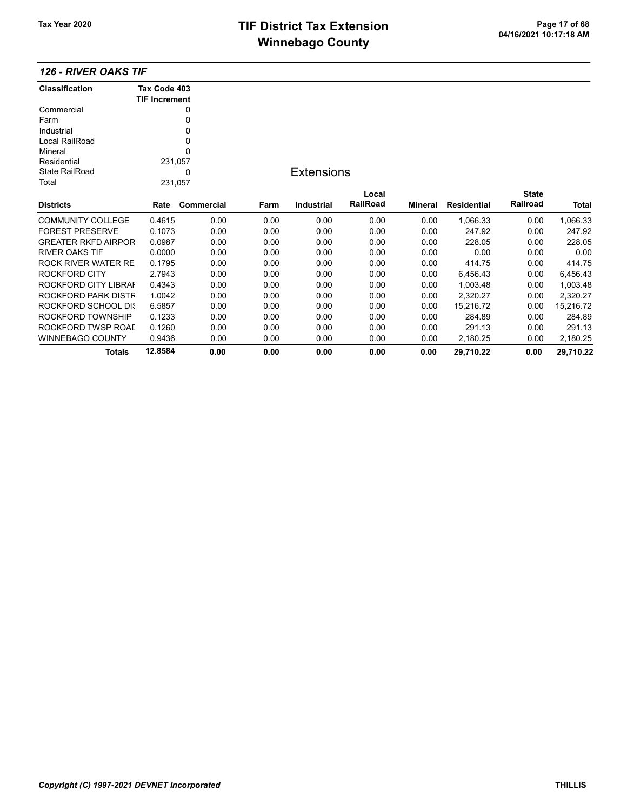## TIF District Tax Extension<br>
Mission 2009 110:17:18 AM **Winnebago County**

### 126 - RIVER OAKS TIF

| Classification             | Tax Code 403         |             |      |                   |                 |         |                    |              |           |
|----------------------------|----------------------|-------------|------|-------------------|-----------------|---------|--------------------|--------------|-----------|
|                            | <b>TIF Increment</b> |             |      |                   |                 |         |                    |              |           |
| Commercial                 |                      | 0           |      |                   |                 |         |                    |              |           |
| Farm                       |                      | 0           |      |                   |                 |         |                    |              |           |
| Industrial                 |                      | 0           |      |                   |                 |         |                    |              |           |
| Local RailRoad             |                      | 0           |      |                   |                 |         |                    |              |           |
| Mineral                    |                      | $\mathbf 0$ |      |                   |                 |         |                    |              |           |
| Residential                | 231,057              |             |      |                   |                 |         |                    |              |           |
| <b>State RailRoad</b>      |                      | 0           |      | <b>Extensions</b> |                 |         |                    |              |           |
| Total                      | 231,057              |             |      |                   |                 |         |                    |              |           |
|                            |                      |             |      |                   | Local           |         |                    | <b>State</b> |           |
| <b>Districts</b>           | Rate                 | Commercial  | Farm | <b>Industrial</b> | <b>RailRoad</b> | Mineral | <b>Residential</b> | Railroad     | Total     |
| <b>COMMUNITY COLLEGE</b>   | 0.4615               | 0.00        | 0.00 | 0.00              | 0.00            | 0.00    | 1,066.33           | 0.00         | 1,066.33  |
| <b>FOREST PRESERVE</b>     | 0.1073               | 0.00        | 0.00 | 0.00              | 0.00            | 0.00    | 247.92             | 0.00         | 247.92    |
| <b>GREATER RKFD AIRPOR</b> | 0.0987               | 0.00        | 0.00 | 0.00              | 0.00            | 0.00    | 228.05             | 0.00         | 228.05    |
| <b>RIVER OAKS TIF</b>      | 0.0000               | 0.00        | 0.00 | 0.00              | 0.00            | 0.00    | 0.00               | 0.00         | 0.00      |
| <b>ROCK RIVER WATER RE</b> | 0.1795               | 0.00        | 0.00 | 0.00              | 0.00            | 0.00    | 414.75             | 0.00         | 414.75    |
| <b>ROCKFORD CITY</b>       | 2.7943               | 0.00        | 0.00 | 0.00              | 0.00            | 0.00    | 6,456.43           | 0.00         | 6,456.43  |
| ROCKFORD CITY LIBRAI       | 0.4343               | 0.00        | 0.00 | 0.00              | 0.00            | 0.00    | 1,003.48           | 0.00         | 1,003.48  |
| ROCKFORD PARK DISTF        | 1.0042               | 0.00        | 0.00 | 0.00              | 0.00            | 0.00    | 2,320.27           | 0.00         | 2,320.27  |
| ROCKFORD SCHOOL DIS        | 6.5857               | 0.00        | 0.00 | 0.00              | 0.00            | 0.00    | 15,216.72          | 0.00         | 15,216.72 |
| ROCKFORD TOWNSHIP          | 0.1233               | 0.00        | 0.00 | 0.00              | 0.00            | 0.00    | 284.89             | 0.00         | 284.89    |
| ROCKFORD TWSP ROAI         | 0.1260               | 0.00        | 0.00 | 0.00              | 0.00            | 0.00    | 291.13             | 0.00         | 291.13    |
| <b>WINNEBAGO COUNTY</b>    | 0.9436               | 0.00        | 0.00 | 0.00              | 0.00            | 0.00    | 2,180.25           | 0.00         | 2,180.25  |
| <b>Totals</b>              | 12.8584              | 0.00        | 0.00 | 0.00              | 0.00            | 0.00    | 29,710.22          | 0.00         | 29,710.22 |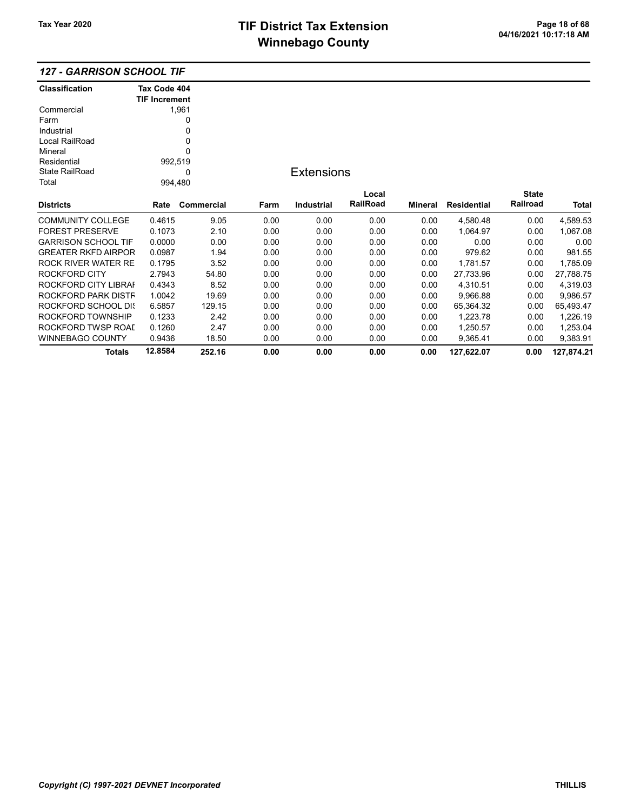Totals 12.8584 252.16 0.00 0.00 0.00 0.00 127,622.07 0.00 127,874.21

|  |  | <b>127 - GARRISON SCHOOL TIF</b> |
|--|--|----------------------------------|
|--|--|----------------------------------|

| <b>Classification</b>      | Tax Code 404         |            |      |                   |          |                |                    |              |           |
|----------------------------|----------------------|------------|------|-------------------|----------|----------------|--------------------|--------------|-----------|
|                            | <b>TIF Increment</b> |            |      |                   |          |                |                    |              |           |
| Commercial                 |                      | 1,961      |      |                   |          |                |                    |              |           |
| Farm                       |                      | 0          |      |                   |          |                |                    |              |           |
| Industrial                 |                      | 0          |      |                   |          |                |                    |              |           |
| Local RailRoad             |                      | 0          |      |                   |          |                |                    |              |           |
| Mineral                    |                      | 0          |      |                   |          |                |                    |              |           |
| Residential                | 992,519              |            |      |                   |          |                |                    |              |           |
| <b>State RailRoad</b>      |                      | 0          |      | <b>Extensions</b> |          |                |                    |              |           |
| Total                      | 994,480              |            |      |                   |          |                |                    |              |           |
|                            |                      |            |      |                   | Local    |                |                    | <b>State</b> |           |
| <b>Districts</b>           | Rate                 | Commercial | Farm | <b>Industrial</b> | RailRoad | <b>Mineral</b> | <b>Residential</b> | Railroad     | Total     |
| <b>COMMUNITY COLLEGE</b>   | 0.4615               | 9.05       | 0.00 | 0.00              | 0.00     | 0.00           | 4,580.48           | 0.00         | 4,589.53  |
| <b>FOREST PRESERVE</b>     | 0.1073               | 2.10       | 0.00 | 0.00              | 0.00     | 0.00           | 1,064.97           | 0.00         | 1,067.08  |
| <b>GARRISON SCHOOL TIF</b> | 0.0000               | 0.00       | 0.00 | 0.00              | 0.00     | 0.00           | 0.00               | 0.00         | 0.00      |
| <b>GREATER RKFD AIRPOR</b> | 0.0987               | 1.94       | 0.00 | 0.00              | 0.00     | 0.00           | 979.62             | 0.00         | 981.55    |
| <b>ROCK RIVER WATER RE</b> | 0.1795               | 3.52       | 0.00 | 0.00              | 0.00     | 0.00           | 1,781.57           | 0.00         | 1,785.09  |
| ROCKFORD CITY              | 2.7943               | 54.80      | 0.00 | 0.00              | 0.00     | 0.00           | 27,733.96          | 0.00         | 27,788.75 |
| ROCKFORD CITY LIBRAI       | 0.4343               | 8.52       | 0.00 | 0.00              | 0.00     | 0.00           | 4,310.51           | 0.00         | 4,319.03  |
| ROCKFORD PARK DISTF        | 1.0042               | 19.69      | 0.00 | 0.00              | 0.00     | 0.00           | 9,966.88           | 0.00         | 9,986.57  |
| <b>ROCKFORD SCHOOL DIS</b> | 6.5857               | 129.15     | 0.00 | 0.00              | 0.00     | 0.00           | 65,364.32          | 0.00         | 65,493.47 |
| ROCKFORD TOWNSHIP          | 0.1233               | 2.42       | 0.00 | 0.00              | 0.00     | 0.00           | 1,223.78           | 0.00         | 1,226.19  |
| ROCKFORD TWSP ROAI         | 0.1260               | 2.47       | 0.00 | 0.00              | 0.00     | 0.00           | 1,250.57           | 0.00         | 1,253.04  |
| WINNEBAGO COUNTY           | 0.9436               | 18.50      | 0.00 | 0.00              | 0.00     | 0.00           | 9,365.41           | 0.00         | 9,383.91  |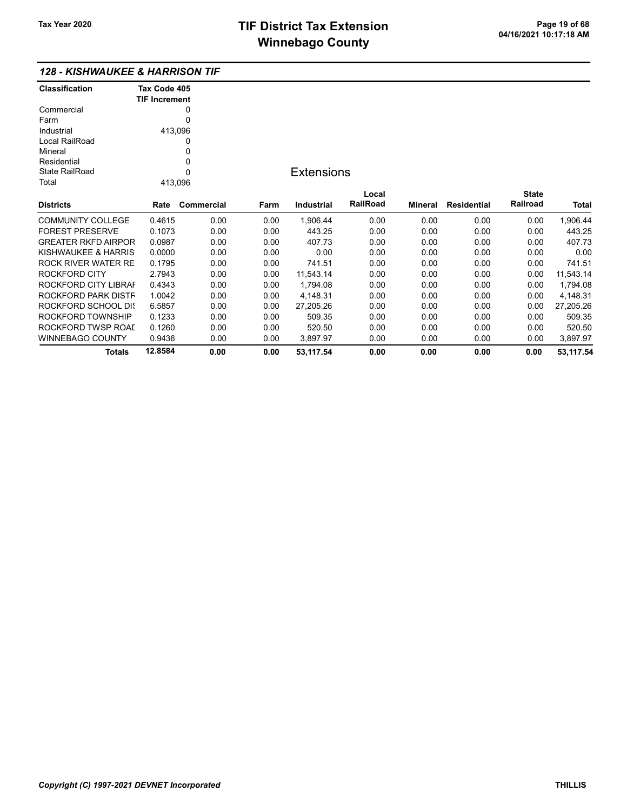### 128 - KISHWAUKEE & HARRISON TIF

| <b>Classification</b>  | Tax Code 405         |            |      |                   |          |                |                    |              |           |
|------------------------|----------------------|------------|------|-------------------|----------|----------------|--------------------|--------------|-----------|
|                        | <b>TIF Increment</b> |            |      |                   |          |                |                    |              |           |
| Commercial             |                      | 0          |      |                   |          |                |                    |              |           |
| Farm                   |                      | $\Omega$   |      |                   |          |                |                    |              |           |
| Industrial             | 413,096              |            |      |                   |          |                |                    |              |           |
| Local RailRoad         |                      | 0          |      |                   |          |                |                    |              |           |
| Mineral                |                      | 0          |      |                   |          |                |                    |              |           |
| Residential            |                      | 0          |      |                   |          |                |                    |              |           |
| <b>State RailRoad</b>  |                      | 0          |      | <b>Extensions</b> |          |                |                    |              |           |
| Total                  | 413,096              |            |      |                   |          |                |                    |              |           |
|                        |                      |            |      |                   | Local    |                |                    | <b>State</b> |           |
| Districts              | Rate                 | Commercial | Farm | <b>Industrial</b> | RailRoad | <b>Mineral</b> | <b>Residential</b> | Railroad     | Total     |
| COMMUNITY COLLEGE      | 0.4615               | 0.00       | 0.00 | 1,906.44          | 0.00     | 0.00           | 0.00               | 0.00         | 1,906.44  |
| <b>FOREST PRESERVE</b> | 0.1073               | 0.00       | 0.00 | 443.25            | 0.00     | 0.00           | 0.00               | 0.00         | 443.25    |
| GREATER RKFD AIRPOR    | 0.0987               | 0.00       | 0.00 | 407.73            | 0.00     | 0.00           | 0.00               | 0.00         | 407.73    |
| KISHWAUKEE & HARRIS    | 0.0000               | 0.00       | 0.00 | 0.00              | 0.00     | 0.00           | 0.00               | 0.00         | 0.00      |
| ROCK RIVER WATER RE    | 0.1795               | 0.00       | 0.00 | 741.51            | 0.00     | 0.00           | 0.00               | 0.00         | 741.51    |
| ROCKFORD CITY          | 2.7943               | 0.00       | 0.00 | 11,543.14         | 0.00     | 0.00           | 0.00               | 0.00         | 11,543.14 |
| ROCKFORD CITY LIBRAI   | 0.4343               | 0.00       | 0.00 | 1,794.08          | 0.00     | 0.00           | 0.00               | 0.00         | 1,794.08  |
| ROCKFORD PARK DISTF    | 1.0042               | 0.00       | 0.00 | 4,148.31          | 0.00     | 0.00           | 0.00               | 0.00         | 4,148.31  |
| ROCKFORD SCHOOL DI:    | 6.5857               | 0.00       | 0.00 | 27,205.26         | 0.00     | 0.00           | 0.00               | 0.00         | 27,205.26 |
| ROCKFORD TOWNSHIP      | 0.1233               | 0.00       | 0.00 | 509.35            | 0.00     | 0.00           | 0.00               | 0.00         | 509.35    |
| ROCKFORD TWSP ROAI     | 0.1260               | 0.00       | 0.00 | 520.50            | 0.00     | 0.00           | 0.00               | 0.00         | 520.50    |
| WINNEBAGO COUNTY       | 0.9436               | 0.00       | 0.00 | 3,897.97          | 0.00     | 0.00           | 0.00               | 0.00         | 3,897.97  |
| <b>Totals</b>          | 12.8584              | 0.00       | 0.00 | 53,117.54         | 0.00     | 0.00           | 0.00               | 0.00         | 53,117.54 |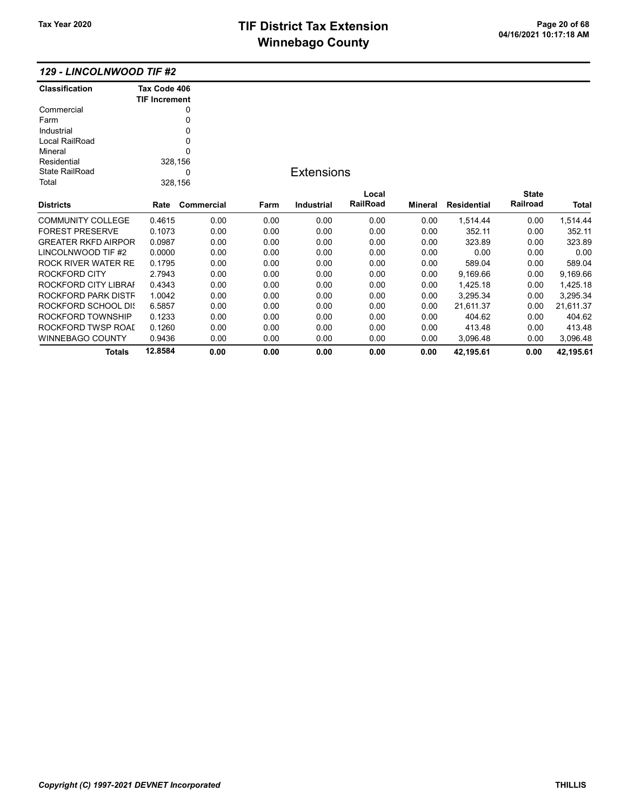#### 129 - LINCOLNWOOD TIF #2

| <b>Classification</b>      | Tax Code 406         |            |      |                   |          |                |                    |              |           |
|----------------------------|----------------------|------------|------|-------------------|----------|----------------|--------------------|--------------|-----------|
|                            | <b>TIF Increment</b> |            |      |                   |          |                |                    |              |           |
| Commercial                 |                      | 0          |      |                   |          |                |                    |              |           |
| Farm                       |                      | 0          |      |                   |          |                |                    |              |           |
| Industrial                 |                      | 0          |      |                   |          |                |                    |              |           |
| Local RailRoad             |                      | 0          |      |                   |          |                |                    |              |           |
| Mineral                    |                      | 0          |      |                   |          |                |                    |              |           |
| Residential                |                      | 328,156    |      |                   |          |                |                    |              |           |
| State RailRoad             |                      | $\Omega$   |      | <b>Extensions</b> |          |                |                    |              |           |
| Total                      |                      | 328,156    |      |                   |          |                |                    |              |           |
|                            |                      |            |      |                   | Local    |                |                    | <b>State</b> |           |
| <b>Districts</b>           | Rate                 | Commercial | Farm | <b>Industrial</b> | RailRoad | <b>Mineral</b> | <b>Residential</b> | Railroad     | Total     |
| <b>COMMUNITY COLLEGE</b>   | 0.4615               | 0.00       | 0.00 | 0.00              | 0.00     | 0.00           | 1,514.44           | 0.00         | 1,514.44  |
| <b>FOREST PRESERVE</b>     | 0.1073               | 0.00       | 0.00 | 0.00              | 0.00     | 0.00           | 352.11             | 0.00         | 352.11    |
| <b>GREATER RKFD AIRPOR</b> | 0.0987               | 0.00       | 0.00 | 0.00              | 0.00     | 0.00           | 323.89             | 0.00         | 323.89    |
| LINCOLNWOOD TIF #2         | 0.0000               | 0.00       | 0.00 | 0.00              | 0.00     | 0.00           | 0.00               | 0.00         | 0.00      |
| ROCK RIVER WATER RE        | 0.1795               | 0.00       | 0.00 | 0.00              | 0.00     | 0.00           | 589.04             | 0.00         | 589.04    |
| ROCKFORD CITY              | 2.7943               | 0.00       | 0.00 | 0.00              | 0.00     | 0.00           | 9,169.66           | 0.00         | 9,169.66  |
| ROCKFORD CITY LIBRAI       | 0.4343               | 0.00       | 0.00 | 0.00              | 0.00     | 0.00           | 1,425.18           | 0.00         | 1,425.18  |
| ROCKFORD PARK DISTF        | 1.0042               | 0.00       | 0.00 | 0.00              | 0.00     | 0.00           | 3,295.34           | 0.00         | 3,295.34  |
| ROCKFORD SCHOOL DIS        | 6.5857               | 0.00       | 0.00 | 0.00              | 0.00     | 0.00           | 21,611.37          | 0.00         | 21,611.37 |
| ROCKFORD TOWNSHIP          | 0.1233               | 0.00       | 0.00 | 0.00              | 0.00     | 0.00           | 404.62             | 0.00         | 404.62    |
| ROCKFORD TWSP ROAI         | 0.1260               | 0.00       | 0.00 | 0.00              | 0.00     | 0.00           | 413.48             | 0.00         | 413.48    |
| <b>WINNEBAGO COUNTY</b>    | 0.9436               | 0.00       | 0.00 | 0.00              | 0.00     | 0.00           | 3,096.48           | 0.00         | 3,096.48  |
| <b>Totals</b>              | 12.8584              | 0.00       | 0.00 | 0.00              | 0.00     | 0.00           | 42,195.61          | 0.00         | 42,195.61 |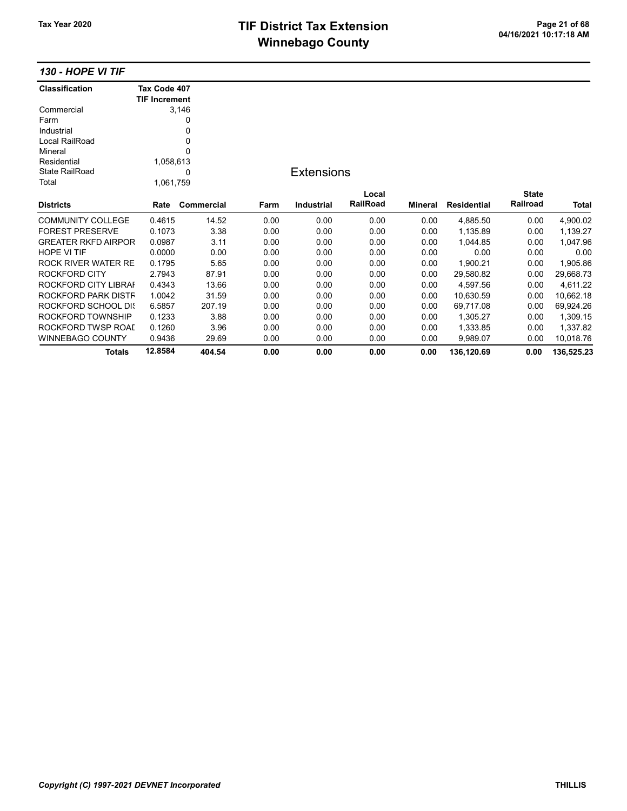# TIF District Tax Extension<br>
M's sales and Office 21 of 68 of 04/16/2021 10:17:18 AM **Winnebago County**

130 - HOPE VI TIF

| <b>Classification</b>      | Tax Code 407         |            |      |                   |          |                |                    |              |              |
|----------------------------|----------------------|------------|------|-------------------|----------|----------------|--------------------|--------------|--------------|
|                            | <b>TIF Increment</b> |            |      |                   |          |                |                    |              |              |
| Commercial                 |                      | 3,146      |      |                   |          |                |                    |              |              |
| Farm                       |                      | 0          |      |                   |          |                |                    |              |              |
| Industrial                 |                      | 0          |      |                   |          |                |                    |              |              |
| Local RailRoad             |                      | 0          |      |                   |          |                |                    |              |              |
| Mineral                    |                      | 0          |      |                   |          |                |                    |              |              |
| Residential                | 1,058,613            |            |      |                   |          |                |                    |              |              |
| <b>State RailRoad</b>      |                      | 0          |      | <b>Extensions</b> |          |                |                    |              |              |
| Total                      | 1,061,759            |            |      |                   |          |                |                    |              |              |
|                            |                      |            |      |                   | Local    |                |                    | <b>State</b> |              |
| <b>Districts</b>           | Rate                 | Commercial | Farm | <b>Industrial</b> | RailRoad | <b>Mineral</b> | <b>Residential</b> | Railroad     | <b>Total</b> |
| <b>COMMUNITY COLLEGE</b>   | 0.4615               | 14.52      | 0.00 | 0.00              | 0.00     | 0.00           | 4,885.50           | 0.00         | 4,900.02     |
| <b>FOREST PRESERVE</b>     | 0.1073               | 3.38       | 0.00 | 0.00              | 0.00     | 0.00           | 1,135.89           | 0.00         | 1,139.27     |
| <b>GREATER RKFD AIRPOR</b> | 0.0987               | 3.11       | 0.00 | 0.00              | 0.00     | 0.00           | 1,044.85           | 0.00         | 1,047.96     |
| HOPE VI TIF                | 0.0000               | 0.00       | 0.00 | 0.00              | 0.00     | 0.00           | 0.00               | 0.00         | 0.00         |
| ROCK RIVER WATER RE        | 0.1795               | 5.65       | 0.00 | 0.00              | 0.00     | 0.00           | 1,900.21           | 0.00         | 1,905.86     |
| ROCKFORD CITY              | 2.7943               | 87.91      | 0.00 | 0.00              | 0.00     | 0.00           | 29,580.82          | 0.00         | 29,668.73    |
| ROCKFORD CITY LIBRAI       | 0.4343               | 13.66      | 0.00 | 0.00              | 0.00     | 0.00           | 4,597.56           | 0.00         | 4,611.22     |
| ROCKFORD PARK DISTF        | 1.0042               | 31.59      | 0.00 | 0.00              | 0.00     | 0.00           | 10,630.59          | 0.00         | 10,662.18    |
| <b>ROCKFORD SCHOOL DIS</b> | 6.5857               | 207.19     | 0.00 | 0.00              | 0.00     | 0.00           | 69.717.08          | 0.00         | 69,924.26    |
| ROCKFORD TOWNSHIP          | 0.1233               | 3.88       | 0.00 | 0.00              | 0.00     | 0.00           | 1,305.27           | 0.00         | 1,309.15     |
| ROCKFORD TWSP ROAD         | 0.1260               | 3.96       | 0.00 | 0.00              | 0.00     | 0.00           | 1,333.85           | 0.00         | 1,337.82     |
| <b>WINNEBAGO COUNTY</b>    | 0.9436               | 29.69      | 0.00 | 0.00              | 0.00     | 0.00           | 9.989.07           | 0.00         | 10,018.76    |
| Totals                     | 12.8584              | 404.54     | 0.00 | 0.00              | 0.00     | 0.00           | 136,120.69         | 0.00         | 136,525.23   |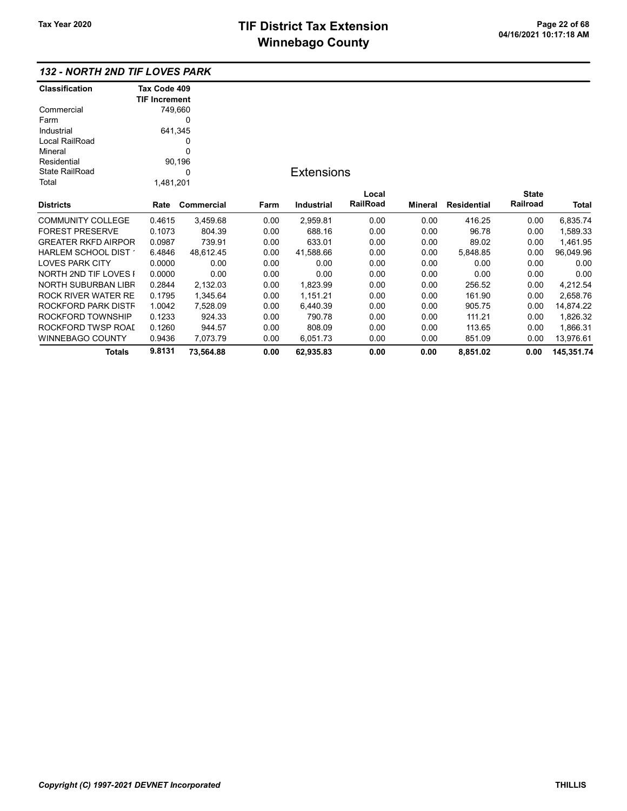### 132 - NORTH 2ND TIF LOVES PARK

| <b>Classification</b>        | Tax Code 409         |            |      |                   |          |         |                    |              |              |
|------------------------------|----------------------|------------|------|-------------------|----------|---------|--------------------|--------------|--------------|
|                              | <b>TIF Increment</b> |            |      |                   |          |         |                    |              |              |
| Commercial                   | 749,660              |            |      |                   |          |         |                    |              |              |
| Farm                         |                      | 0          |      |                   |          |         |                    |              |              |
| Industrial                   | 641,345              |            |      |                   |          |         |                    |              |              |
| Local RailRoad               |                      | 0          |      |                   |          |         |                    |              |              |
| Mineral                      |                      | 0          |      |                   |          |         |                    |              |              |
| Residential                  |                      | 90,196     |      |                   |          |         |                    |              |              |
| <b>State RailRoad</b>        |                      | 0          |      | <b>Extensions</b> |          |         |                    |              |              |
| Total                        | 1,481,201            |            |      |                   |          |         |                    |              |              |
|                              |                      |            |      |                   | Local    |         |                    | <b>State</b> |              |
| <b>Districts</b>             | Rate                 | Commercial | Farm | <b>Industrial</b> | RailRoad | Mineral | <b>Residential</b> | Railroad     | <b>Total</b> |
| <b>COMMUNITY COLLEGE</b>     | 0.4615               | 3,459.68   | 0.00 | 2,959.81          | 0.00     | 0.00    | 416.25             | 0.00         | 6,835.74     |
| <b>FOREST PRESERVE</b>       | 0.1073               | 804.39     | 0.00 | 688.16            | 0.00     | 0.00    | 96.78              | 0.00         | 1,589.33     |
| <b>GREATER RKFD AIRPOR</b>   | 0.0987               | 739.91     | 0.00 | 633.01            | 0.00     | 0.00    | 89.02              | 0.00         | 1,461.95     |
| HARLEM SCHOOL DIST           | 6.4846               | 48,612.45  | 0.00 | 41,588.66         | 0.00     | 0.00    | 5,848.85           | 0.00         | 96,049.96    |
| <b>LOVES PARK CITY</b>       | 0.0000               | 0.00       | 0.00 | 0.00              | 0.00     | 0.00    | 0.00               | 0.00         | 0.00         |
| <b>NORTH 2ND TIF LOVES I</b> | 0.0000               | 0.00       | 0.00 | 0.00              | 0.00     | 0.00    | 0.00               | 0.00         | 0.00         |
| NORTH SUBURBAN LIBR          | 0.2844               | 2,132.03   | 0.00 | 1,823.99          | 0.00     | 0.00    | 256.52             | 0.00         | 4,212.54     |
| ROCK RIVER WATER RE          | 0.1795               | 1,345.64   | 0.00 | 1,151.21          | 0.00     | 0.00    | 161.90             | 0.00         | 2,658.76     |
| ROCKFORD PARK DISTF          | 1.0042               | 7,528.09   | 0.00 | 6,440.39          | 0.00     | 0.00    | 905.75             | 0.00         | 14,874.22    |
| ROCKFORD TOWNSHIP            | 0.1233               | 924.33     | 0.00 | 790.78            | 0.00     | 0.00    | 111.21             | 0.00         | 1,826.32     |
| ROCKFORD TWSP ROAI           | 0.1260               | 944.57     | 0.00 | 808.09            | 0.00     | 0.00    | 113.65             | 0.00         | 1,866.31     |
| <b>WINNEBAGO COUNTY</b>      | 0.9436               | 7,073.79   | 0.00 | 6,051.73          | 0.00     | 0.00    | 851.09             | 0.00         | 13,976.61    |
| <b>Totals</b>                | 9.8131               | 73,564.88  | 0.00 | 62,935.83         | 0.00     | 0.00    | 8,851.02           | 0.00         | 145,351.74   |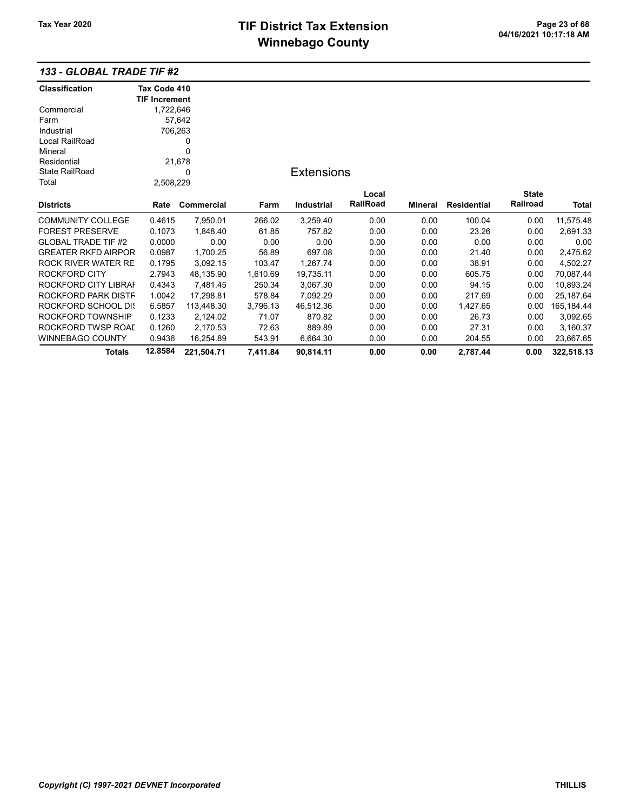### 133 - GLOBAL TRADE TIF #2

| <b>Classification</b>      | Tax Code 410         |            |          |                   |                 |         |                    |              |              |
|----------------------------|----------------------|------------|----------|-------------------|-----------------|---------|--------------------|--------------|--------------|
|                            | <b>TIF Increment</b> |            |          |                   |                 |         |                    |              |              |
| Commercial                 | 1,722,646            |            |          |                   |                 |         |                    |              |              |
| Farm                       |                      | 57,642     |          |                   |                 |         |                    |              |              |
| Industrial                 | 706,263              |            |          |                   |                 |         |                    |              |              |
| Local RailRoad             |                      | 0          |          |                   |                 |         |                    |              |              |
| Mineral                    |                      | 0          |          |                   |                 |         |                    |              |              |
| Residential                |                      | 21,678     |          |                   |                 |         |                    |              |              |
| <b>State RailRoad</b>      |                      | 0          |          | <b>Extensions</b> |                 |         |                    |              |              |
| Total                      | 2,508,229            |            |          |                   |                 |         |                    |              |              |
|                            |                      |            |          |                   | Local           |         |                    | <b>State</b> |              |
| <b>Districts</b>           | Rate                 | Commercial | Farm     | <b>Industrial</b> | <b>RailRoad</b> | Mineral | <b>Residential</b> | Railroad     | Total        |
| <b>COMMUNITY COLLEGE</b>   | 0.4615               | 7,950.01   | 266.02   | 3,259.40          | 0.00            | 0.00    | 100.04             | 0.00         | 11,575.48    |
| <b>FOREST PRESERVE</b>     | 0.1073               | 1,848.40   | 61.85    | 757.82            | 0.00            | 0.00    | 23.26              | 0.00         | 2,691.33     |
| <b>GLOBAL TRADE TIF #2</b> | 0.0000               | 0.00       | 0.00     | 0.00              | 0.00            | 0.00    | 0.00               | 0.00         | 0.00         |
| <b>GREATER RKFD AIRPOR</b> | 0.0987               | 1,700.25   | 56.89    | 697.08            | 0.00            | 0.00    | 21.40              | 0.00         | 2,475.62     |
| <b>ROCK RIVER WATER RE</b> | 0.1795               | 3,092.15   | 103.47   | 1,267.74          | 0.00            | 0.00    | 38.91              | 0.00         | 4,502.27     |
| ROCKFORD CITY              | 2.7943               | 48,135.90  | 1,610.69 | 19,735.11         | 0.00            | 0.00    | 605.75             | 0.00         | 70,087.44    |
| ROCKFORD CITY LIBRAI       | 0.4343               | 7,481.45   | 250.34   | 3,067.30          | 0.00            | 0.00    | 94.15              | 0.00         | 10,893.24    |
| ROCKFORD PARK DISTF        | 1.0042               | 17,298.81  | 578.84   | 7,092.29          | 0.00            | 0.00    | 217.69             | 0.00         | 25,187.64    |
| <b>ROCKFORD SCHOOL DIS</b> | 6.5857               | 113,448.30 | 3,796.13 | 46,512.36         | 0.00            | 0.00    | 1,427.65           | 0.00         | 165, 184. 44 |
| ROCKFORD TOWNSHIP          | 0.1233               | 2,124.02   | 71.07    | 870.82            | 0.00            | 0.00    | 26.73              | 0.00         | 3,092.65     |
| ROCKFORD TWSP ROAI         | 0.1260               | 2,170.53   | 72.63    | 889.89            | 0.00            | 0.00    | 27.31              | 0.00         | 3,160.37     |
| <b>WINNEBAGO COUNTY</b>    | 0.9436               | 16,254.89  | 543.91   | 6,664.30          | 0.00            | 0.00    | 204.55             | 0.00         | 23,667.65    |
| <b>Totals</b>              | 12.8584              | 221,504.71 | 7,411.84 | 90,814.11         | 0.00            | 0.00    | 2,787.44           | 0.00         | 322,518.13   |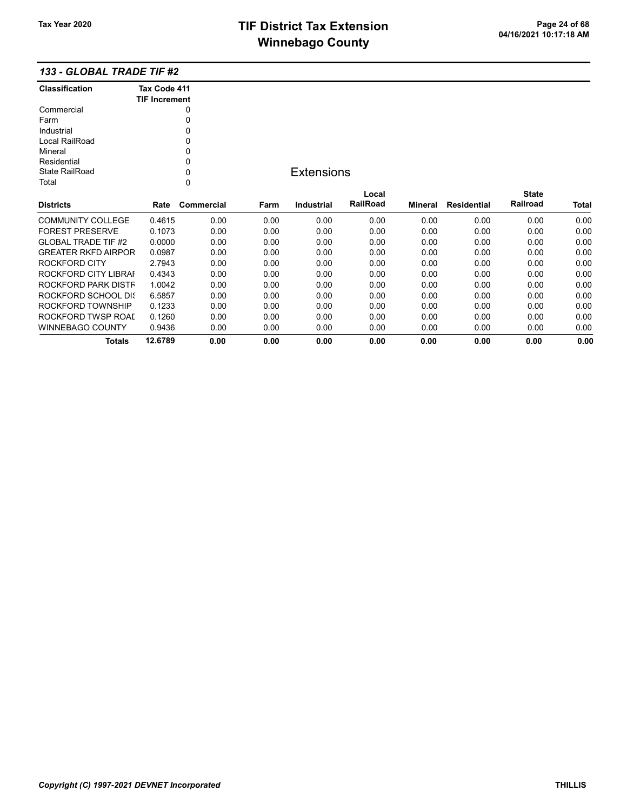### 133 - GLOBAL TRADE TIF #2

| <b>Classification</b>      | Tax Code 411         |             |      |                   |          |                |                    |              |              |
|----------------------------|----------------------|-------------|------|-------------------|----------|----------------|--------------------|--------------|--------------|
|                            | <b>TIF Increment</b> |             |      |                   |          |                |                    |              |              |
| Commercial                 |                      | 0           |      |                   |          |                |                    |              |              |
| Farm                       |                      | 0           |      |                   |          |                |                    |              |              |
| Industrial                 |                      | 0           |      |                   |          |                |                    |              |              |
| Local RailRoad             |                      | 0           |      |                   |          |                |                    |              |              |
| Mineral                    |                      | 0           |      |                   |          |                |                    |              |              |
| Residential                |                      | 0           |      |                   |          |                |                    |              |              |
| <b>State RailRoad</b>      |                      | 0           |      | <b>Extensions</b> |          |                |                    |              |              |
| Total                      |                      | $\mathbf 0$ |      |                   |          |                |                    |              |              |
|                            |                      |             |      |                   | Local    |                |                    | <b>State</b> |              |
| <b>Districts</b>           | Rate                 | Commercial  | Farm | <b>Industrial</b> | RailRoad | <b>Mineral</b> | <b>Residential</b> | Railroad     | <b>Total</b> |
| <b>COMMUNITY COLLEGE</b>   | 0.4615               | 0.00        | 0.00 | 0.00              | 0.00     | 0.00           | 0.00               | 0.00         | 0.00         |
| <b>FOREST PRESERVE</b>     | 0.1073               | 0.00        | 0.00 | 0.00              | 0.00     | 0.00           | 0.00               | 0.00         | 0.00         |
| <b>GLOBAL TRADE TIF #2</b> | 0.0000               | 0.00        | 0.00 | 0.00              | 0.00     | 0.00           | 0.00               | 0.00         | 0.00         |
| <b>GREATER RKFD AIRPOR</b> | 0.0987               | 0.00        | 0.00 | 0.00              | 0.00     | 0.00           | 0.00               | 0.00         | 0.00         |
| <b>ROCKFORD CITY</b>       | 2.7943               | 0.00        | 0.00 | 0.00              | 0.00     | 0.00           | 0.00               | 0.00         | 0.00         |
| ROCKFORD CITY LIBRAI       | 0.4343               | 0.00        | 0.00 | 0.00              | 0.00     | 0.00           | 0.00               | 0.00         | 0.00         |
| ROCKFORD PARK DISTF        | 1.0042               | 0.00        | 0.00 | 0.00              | 0.00     | 0.00           | 0.00               | 0.00         | 0.00         |
| ROCKFORD SCHOOL DIS        | 6.5857               | 0.00        | 0.00 | 0.00              | 0.00     | 0.00           | 0.00               | 0.00         | 0.00         |
| ROCKFORD TOWNSHIP          | 0.1233               | 0.00        | 0.00 | 0.00              | 0.00     | 0.00           | 0.00               | 0.00         | 0.00         |
| ROCKFORD TWSP ROAI         | 0.1260               | 0.00        | 0.00 | 0.00              | 0.00     | 0.00           | 0.00               | 0.00         | 0.00         |
| <b>WINNEBAGO COUNTY</b>    | 0.9436               | 0.00        | 0.00 | 0.00              | 0.00     | 0.00           | 0.00               | 0.00         | 0.00         |
| Totals                     | 12.6789              | 0.00        | 0.00 | 0.00              | 0.00     | 0.00           | 0.00               | 0.00         | 0.00         |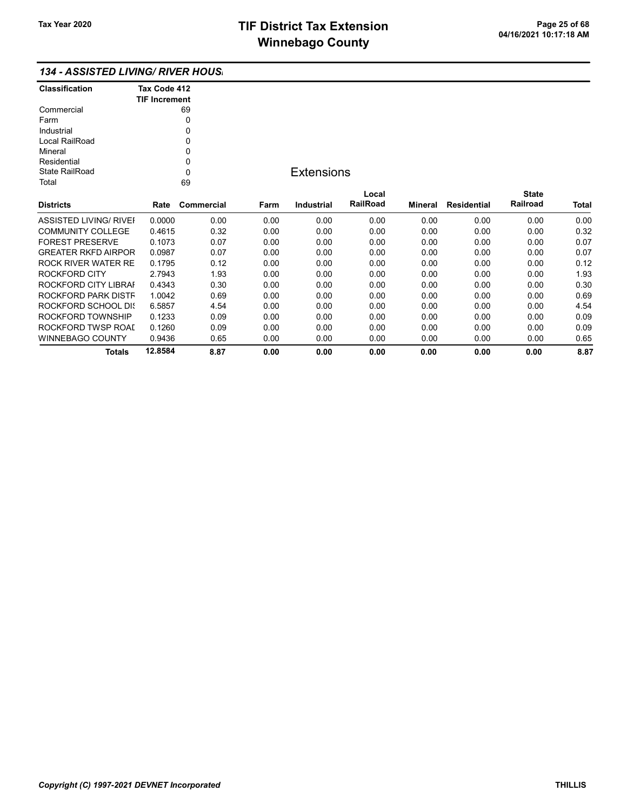### 134 - ASSISTED LIVING/ RIVER HOUSI

| <b>Classification</b> | Tax Code 412<br><b>TIF Increment</b> |
|-----------------------|--------------------------------------|
|                       |                                      |
| Commercial            | 69                                   |
| Farm                  | 0                                    |
| Industrial            | 0                                    |
| Local RailRoad        | 0                                    |
| Mineral               | 0                                    |
| Residential           | 0                                    |
| State RailRoad        | U                                    |
| Total                 |                                      |

## **Extensions**

| <b>Districts</b>              | Rate    | Commercial | Farm | Industrial | Local<br><b>RailRoad</b> | Mineral | Residential | <b>State</b><br>Railroad | <b>Total</b> |
|-------------------------------|---------|------------|------|------------|--------------------------|---------|-------------|--------------------------|--------------|
|                               |         |            |      |            |                          |         |             |                          |              |
| <b>ASSISTED LIVING/ RIVEI</b> | 0.0000  | 0.00       | 0.00 | 0.00       | 0.00                     | 0.00    | 0.00        | 0.00                     | 0.00         |
| COMMUNITY COLLEGE             | 0.4615  | 0.32       | 0.00 | 0.00       | 0.00                     | 0.00    | 0.00        | 0.00                     | 0.32         |
| <b>FOREST PRESERVE</b>        | 0.1073  | 0.07       | 0.00 | 0.00       | 0.00                     | 0.00    | 0.00        | 0.00                     | 0.07         |
| <b>GREATER RKFD AIRPOR</b>    | 0.0987  | 0.07       | 0.00 | 0.00       | 0.00                     | 0.00    | 0.00        | 0.00                     | 0.07         |
| ROCK RIVER WATER RE           | 0.1795  | 0.12       | 0.00 | 0.00       | 0.00                     | 0.00    | 0.00        | 0.00                     | 0.12         |
| ROCKFORD CITY                 | 2.7943  | 1.93       | 0.00 | 0.00       | 0.00                     | 0.00    | 0.00        | 0.00                     | 1.93         |
| ROCKFORD CITY LIBRAI          | 0.4343  | 0.30       | 0.00 | 0.00       | 0.00                     | 0.00    | 0.00        | 0.00                     | 0.30         |
| ROCKFORD PARK DISTF           | 1.0042  | 0.69       | 0.00 | 0.00       | 0.00                     | 0.00    | 0.00        | 0.00                     | 0.69         |
| ROCKFORD SCHOOL DIS           | 6.5857  | 4.54       | 0.00 | 0.00       | 0.00                     | 0.00    | 0.00        | 0.00                     | 4.54         |
| ROCKFORD TOWNSHIP             | 0.1233  | 0.09       | 0.00 | 0.00       | 0.00                     | 0.00    | 0.00        | 0.00                     | 0.09         |
| ROCKFORD TWSP ROAL            | 0.1260  | 0.09       | 0.00 | 0.00       | 0.00                     | 0.00    | 0.00        | 0.00                     | 0.09         |
| WINNEBAGO COUNTY              | 0.9436  | 0.65       | 0.00 | 0.00       | 0.00                     | 0.00    | 0.00        | 0.00                     | 0.65         |
| Totals                        | 12.8584 | 8.87       | 0.00 | 0.00       | 0.00                     | 0.00    | 0.00        | 0.00                     | 8.87         |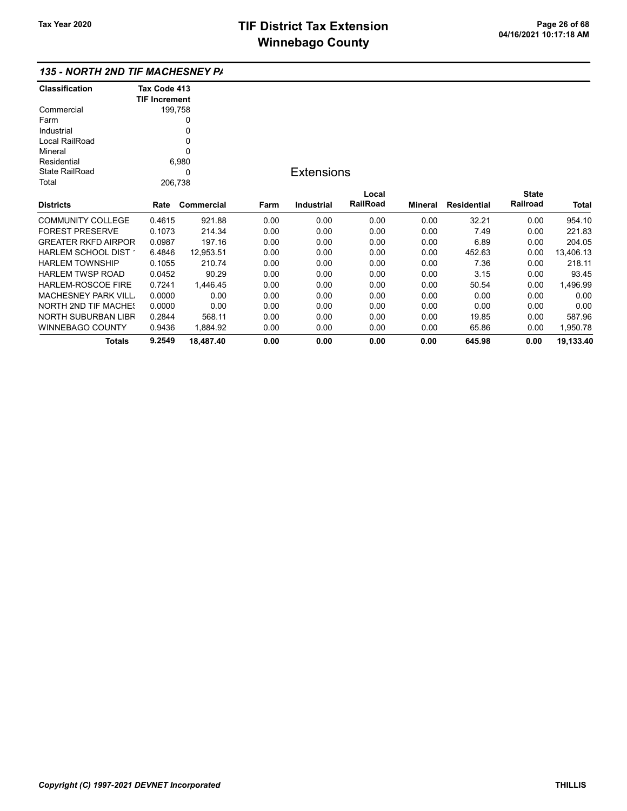| <b>Classification</b>       | Tax Code 413         |            |      |                   |          |         |                    |              |           |
|-----------------------------|----------------------|------------|------|-------------------|----------|---------|--------------------|--------------|-----------|
|                             | <b>TIF Increment</b> |            |      |                   |          |         |                    |              |           |
| Commercial                  |                      | 199,758    |      |                   |          |         |                    |              |           |
| Farm                        |                      | 0          |      |                   |          |         |                    |              |           |
| Industrial                  |                      | 0          |      |                   |          |         |                    |              |           |
| Local RailRoad              |                      | 0          |      |                   |          |         |                    |              |           |
| Mineral                     |                      | 0          |      |                   |          |         |                    |              |           |
| Residential                 |                      | 6,980      |      |                   |          |         |                    |              |           |
| State RailRoad              |                      | 0          |      | <b>Extensions</b> |          |         |                    |              |           |
| Total                       | 206,738              |            |      |                   |          |         |                    |              |           |
|                             |                      |            |      |                   | Local    |         |                    | <b>State</b> |           |
| <b>Districts</b>            | Rate                 | Commercial | Farm | Industrial        | RailRoad | Mineral | <b>Residential</b> | Railroad     | Total     |
| COMMUNITY COLLEGE           | 0.4615               | 921.88     | 0.00 | 0.00              | 0.00     | 0.00    | 32.21              | 0.00         | 954.10    |
| FOREST PRESERVE             | 0.1073               | 214.34     | 0.00 | 0.00              | 0.00     | 0.00    | 7.49               | 0.00         | 221.83    |
| GREATER RKFD AIRPOR         | 0.0987               | 197.16     | 0.00 | 0.00              | 0.00     | 0.00    | 6.89               | 0.00         | 204.05    |
| HARLEM SCHOOL DIST $\cdot$  | 6.4846               | 12,953.51  | 0.00 | 0.00              | 0.00     | 0.00    | 452.63             | 0.00         | 13,406.13 |
| HARLEM TOWNSHIP             | 0.1055               | 210.74     | 0.00 | 0.00              | 0.00     | 0.00    | 7.36               | 0.00         | 218.11    |
| HARLEM TWSP ROAD            | 0.0452               | 90.29      | 0.00 | 0.00              | 0.00     | 0.00    | 3.15               | 0.00         | 93.45     |
| HARLEM-ROSCOE FIRE          | 0.7241               | 1,446.45   | 0.00 | 0.00              | 0.00     | 0.00    | 50.54              | 0.00         | 1,496.99  |
| MACHESNEY PARK VILL         | 0.0000               | 0.00       | 0.00 | 0.00              | 0.00     | 0.00    | 0.00               | 0.00         | 0.00      |
| <b>NORTH 2ND TIF MACHE!</b> | 0.0000               | 0.00       | 0.00 | 0.00              | 0.00     | 0.00    | 0.00               | 0.00         | 0.00      |
| NORTH SUBURBAN LIBR         | 0.2844               | 568.11     | 0.00 | 0.00              | 0.00     | 0.00    | 19.85              | 0.00         | 587.96    |
| WINNEBAGO COUNTY            | 0.9436               | 1,884.92   | 0.00 | 0.00              | 0.00     | 0.00    | 65.86              | 0.00         | 1,950.78  |
| Totals                      | 9.2549               | 18,487.40  | 0.00 | 0.00              | 0.00     | 0.00    | 645.98             | 0.00         | 19,133.40 |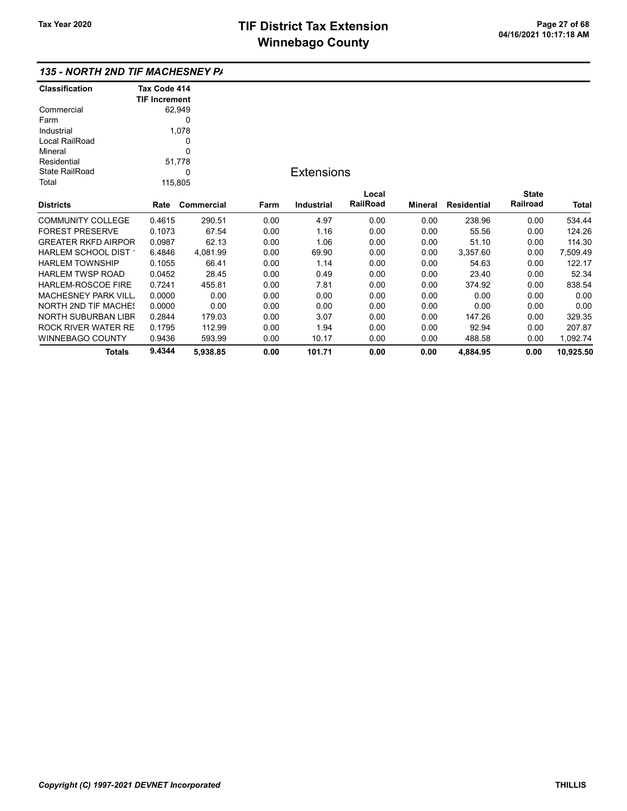## 135 - NORTH 2ND TIF MACHESNEY P/

| <b>Classification</b>       | Tax Code 414         |            |      |                   |          |                |                    |              |           |
|-----------------------------|----------------------|------------|------|-------------------|----------|----------------|--------------------|--------------|-----------|
|                             | <b>TIF Increment</b> |            |      |                   |          |                |                    |              |           |
| Commercial                  |                      | 62,949     |      |                   |          |                |                    |              |           |
| Farm                        |                      | 0          |      |                   |          |                |                    |              |           |
| Industrial                  |                      | 1,078      |      |                   |          |                |                    |              |           |
| Local RailRoad              |                      | 0          |      |                   |          |                |                    |              |           |
| Mineral                     |                      | 0          |      |                   |          |                |                    |              |           |
| Residential                 |                      | 51,778     |      |                   |          |                |                    |              |           |
| <b>State RailRoad</b>       |                      | 0          |      | <b>Extensions</b> |          |                |                    |              |           |
| Total                       |                      | 115,805    |      |                   |          |                |                    |              |           |
|                             |                      |            |      |                   | Local    |                |                    | <b>State</b> |           |
| <b>Districts</b>            | Rate                 | Commercial | Farm | <b>Industrial</b> | RailRoad | <b>Mineral</b> | <b>Residential</b> | Railroad     | Total     |
| <b>COMMUNITY COLLEGE</b>    | 0.4615               | 290.51     | 0.00 | 4.97              | 0.00     | 0.00           | 238.96             | 0.00         | 534.44    |
| <b>FOREST PRESERVE</b>      | 0.1073               | 67.54      | 0.00 | 1.16              | 0.00     | 0.00           | 55.56              | 0.00         | 124.26    |
| <b>GREATER RKFD AIRPOR</b>  | 0.0987               | 62.13      | 0.00 | 1.06              | 0.00     | 0.00           | 51.10              | 0.00         | 114.30    |
| HARLEM SCHOOL DIST          | 6.4846               | 4,081.99   | 0.00 | 69.90             | 0.00     | 0.00           | 3,357.60           | 0.00         | 7,509.49  |
| <b>HARLEM TOWNSHIP</b>      | 0.1055               | 66.41      | 0.00 | 1.14              | 0.00     | 0.00           | 54.63              | 0.00         | 122.17    |
| <b>HARLEM TWSP ROAD</b>     | 0.0452               | 28.45      | 0.00 | 0.49              | 0.00     | 0.00           | 23.40              | 0.00         | 52.34     |
| HARLEM-ROSCOE FIRE          | 0.7241               | 455.81     | 0.00 | 7.81              | 0.00     | 0.00           | 374.92             | 0.00         | 838.54    |
| <b>MACHESNEY PARK VILL</b>  | 0.0000               | 0.00       | 0.00 | 0.00              | 0.00     | 0.00           | 0.00               | 0.00         | 0.00      |
| <b>NORTH 2ND TIF MACHE!</b> | 0.0000               | 0.00       | 0.00 | 0.00              | 0.00     | 0.00           | 0.00               | 0.00         | 0.00      |
| <b>NORTH SUBURBAN LIBR</b>  | 0.2844               | 179.03     | 0.00 | 3.07              | 0.00     | 0.00           | 147.26             | 0.00         | 329.35    |
| ROCK RIVER WATER RE         | 0.1795               | 112.99     | 0.00 | 1.94              | 0.00     | 0.00           | 92.94              | 0.00         | 207.87    |
| <b>WINNEBAGO COUNTY</b>     | 0.9436               | 593.99     | 0.00 | 10.17             | 0.00     | 0.00           | 488.58             | 0.00         | 1,092.74  |
| Totals                      | 9.4344               | 5,938.85   | 0.00 | 101.71            | 0.00     | 0.00           | 4.884.95           | 0.00         | 10,925.50 |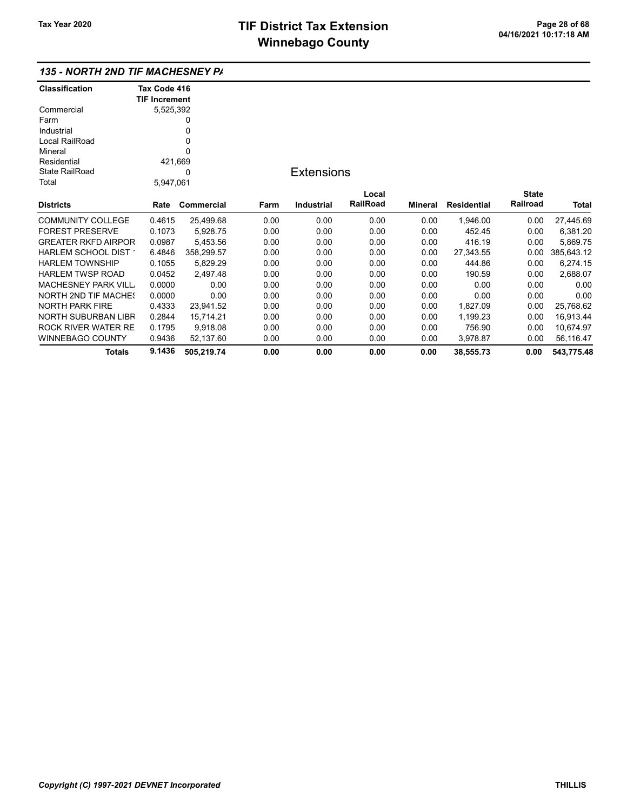### 135 - NORTH 2ND TIF MACHESNEY PA

| <b>Classification</b>       | Tax Code 416         |             |      |                   |          |         |                    |              |            |
|-----------------------------|----------------------|-------------|------|-------------------|----------|---------|--------------------|--------------|------------|
|                             | <b>TIF Increment</b> |             |      |                   |          |         |                    |              |            |
| Commercial                  | 5,525,392            |             |      |                   |          |         |                    |              |            |
| Farm                        |                      | 0           |      |                   |          |         |                    |              |            |
| Industrial                  |                      | 0           |      |                   |          |         |                    |              |            |
| Local RailRoad              |                      | 0           |      |                   |          |         |                    |              |            |
| Mineral                     |                      | $\mathbf 0$ |      |                   |          |         |                    |              |            |
| Residential                 |                      | 421,669     |      |                   |          |         |                    |              |            |
| <b>State RailRoad</b>       |                      | 0           |      | <b>Extensions</b> |          |         |                    |              |            |
| Total                       | 5,947,061            |             |      |                   |          |         |                    |              |            |
|                             |                      |             |      |                   | Local    |         |                    | <b>State</b> |            |
| <b>Districts</b>            | Rate                 | Commercial  | Farm | <b>Industrial</b> | RailRoad | Mineral | <b>Residential</b> | Railroad     | Total      |
| <b>COMMUNITY COLLEGE</b>    | 0.4615               | 25,499.68   | 0.00 | 0.00              | 0.00     | 0.00    | 1,946.00           | 0.00         | 27,445.69  |
| <b>FOREST PRESERVE</b>      | 0.1073               | 5,928.75    | 0.00 | 0.00              | 0.00     | 0.00    | 452.45             | 0.00         | 6,381.20   |
| <b>GREATER RKFD AIRPOR</b>  | 0.0987               | 5,453.56    | 0.00 | 0.00              | 0.00     | 0.00    | 416.19             | 0.00         | 5,869.75   |
| HARLEM SCHOOL DIST          | 6.4846               | 358,299.57  | 0.00 | 0.00              | 0.00     | 0.00    | 27,343.55          | 0.00         | 385,643.12 |
| <b>HARLEM TOWNSHIP</b>      | 0.1055               | 5,829.29    | 0.00 | 0.00              | 0.00     | 0.00    | 444.86             | 0.00         | 6,274.15   |
| <b>HARLEM TWSP ROAD</b>     | 0.0452               | 2,497.48    | 0.00 | 0.00              | 0.00     | 0.00    | 190.59             | 0.00         | 2,688.07   |
| <b>MACHESNEY PARK VILL</b>  | 0.0000               | 0.00        | 0.00 | 0.00              | 0.00     | 0.00    | 0.00               | 0.00         | 0.00       |
| <b>NORTH 2ND TIF MACHES</b> | 0.0000               | 0.00        | 0.00 | 0.00              | 0.00     | 0.00    | 0.00               | 0.00         | 0.00       |
| <b>NORTH PARK FIRE</b>      | 0.4333               | 23.941.52   | 0.00 | 0.00              | 0.00     | 0.00    | 1,827.09           | 0.00         | 25,768.62  |
| NORTH SUBURBAN LIBR         | 0.2844               | 15,714.21   | 0.00 | 0.00              | 0.00     | 0.00    | 1,199.23           | 0.00         | 16,913.44  |
| <b>ROCK RIVER WATER RE</b>  | 0.1795               | 9,918.08    | 0.00 | 0.00              | 0.00     | 0.00    | 756.90             | 0.00         | 10,674.97  |
| <b>WINNEBAGO COUNTY</b>     | 0.9436               | 52,137.60   | 0.00 | 0.00              | 0.00     | 0.00    | 3,978.87           | 0.00         | 56,116.47  |
| Totals                      | 9.1436               | 505,219.74  | 0.00 | 0.00              | 0.00     | 0.00    | 38,555.73          | 0.00         | 543,775.48 |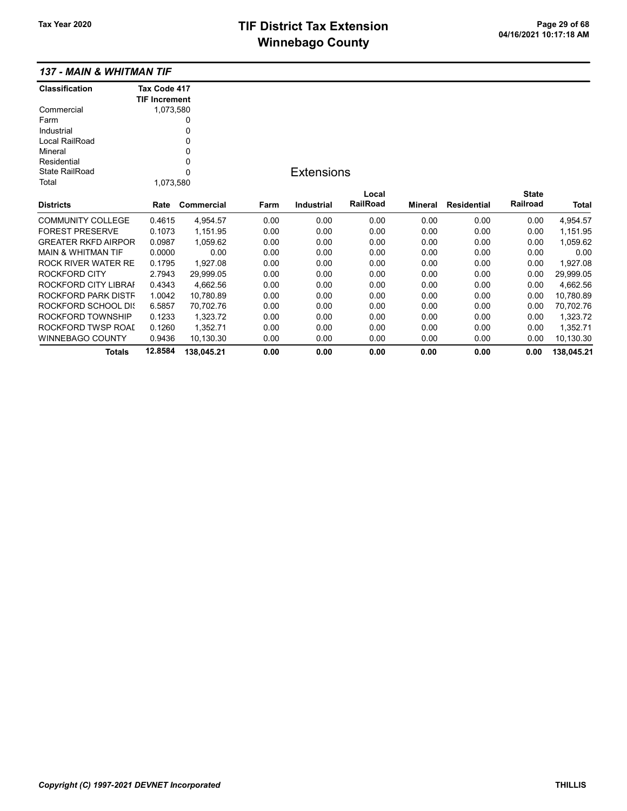#### 137 - MAIN & WHITMAN TIF

| Classification                | Tax Code 417         |            |      |                   |                 |                |                    |              |              |
|-------------------------------|----------------------|------------|------|-------------------|-----------------|----------------|--------------------|--------------|--------------|
|                               | <b>TIF Increment</b> |            |      |                   |                 |                |                    |              |              |
| Commercial                    | 1,073,580            |            |      |                   |                 |                |                    |              |              |
| Farm                          |                      | 0          |      |                   |                 |                |                    |              |              |
| Industrial                    |                      | 0          |      |                   |                 |                |                    |              |              |
| Local RailRoad                |                      | 0          |      |                   |                 |                |                    |              |              |
| Mineral                       |                      | 0          |      |                   |                 |                |                    |              |              |
| Residential                   |                      | 0          |      |                   |                 |                |                    |              |              |
| <b>State RailRoad</b>         |                      | $\Omega$   |      | <b>Extensions</b> |                 |                |                    |              |              |
| Total                         | 1,073,580            |            |      |                   |                 |                |                    |              |              |
|                               |                      |            |      |                   | Local           |                |                    | <b>State</b> |              |
| <b>Districts</b>              | Rate                 | Commercial | Farm | <b>Industrial</b> | <b>RailRoad</b> | <b>Mineral</b> | <b>Residential</b> | Railroad     | <b>Total</b> |
| <b>COMMUNITY COLLEGE</b>      | 0.4615               | 4,954.57   | 0.00 | 0.00              | 0.00            | 0.00           | 0.00               | 0.00         | 4,954.57     |
| <b>FOREST PRESERVE</b>        | 0.1073               | 1,151.95   | 0.00 | 0.00              | 0.00            | 0.00           | 0.00               | 0.00         | 1,151.95     |
| <b>GREATER RKFD AIRPOR</b>    | 0.0987               | 1,059.62   | 0.00 | 0.00              | 0.00            | 0.00           | 0.00               | 0.00         | 1,059.62     |
| <b>MAIN &amp; WHITMAN TIF</b> | 0.0000               | 0.00       | 0.00 | 0.00              | 0.00            | 0.00           | 0.00               | 0.00         | 0.00         |
| <b>ROCK RIVER WATER RE</b>    | 0.1795               | 1,927.08   | 0.00 | 0.00              | 0.00            | 0.00           | 0.00               | 0.00         | 1,927.08     |
| ROCKFORD CITY                 | 2.7943               | 29,999.05  | 0.00 | 0.00              | 0.00            | 0.00           | 0.00               | 0.00         | 29,999.05    |
| ROCKFORD CITY LIBRAI          | 0.4343               | 4,662.56   | 0.00 | 0.00              | 0.00            | 0.00           | 0.00               | 0.00         | 4,662.56     |
| ROCKFORD PARK DISTF           | 1.0042               | 10,780.89  | 0.00 | 0.00              | 0.00            | 0.00           | 0.00               | 0.00         | 10,780.89    |
| ROCKFORD SCHOOL DIS           | 6.5857               | 70,702.76  | 0.00 | 0.00              | 0.00            | 0.00           | 0.00               | 0.00         | 70,702.76    |
| ROCKFORD TOWNSHIP             | 0.1233               | 1,323.72   | 0.00 | 0.00              | 0.00            | 0.00           | 0.00               | 0.00         | 1,323.72     |
| ROCKFORD TWSP ROAI            | 0.1260               | 1,352.71   | 0.00 | 0.00              | 0.00            | 0.00           | 0.00               | 0.00         | 1,352.71     |
| WINNEBAGO COUNTY              | 0.9436               | 10,130.30  | 0.00 | 0.00              | 0.00            | 0.00           | 0.00               | 0.00         | 10,130.30    |
| <b>Totals</b>                 | 12.8584              | 138,045.21 | 0.00 | 0.00              | 0.00            | 0.00           | 0.00               | 0.00         | 138,045.21   |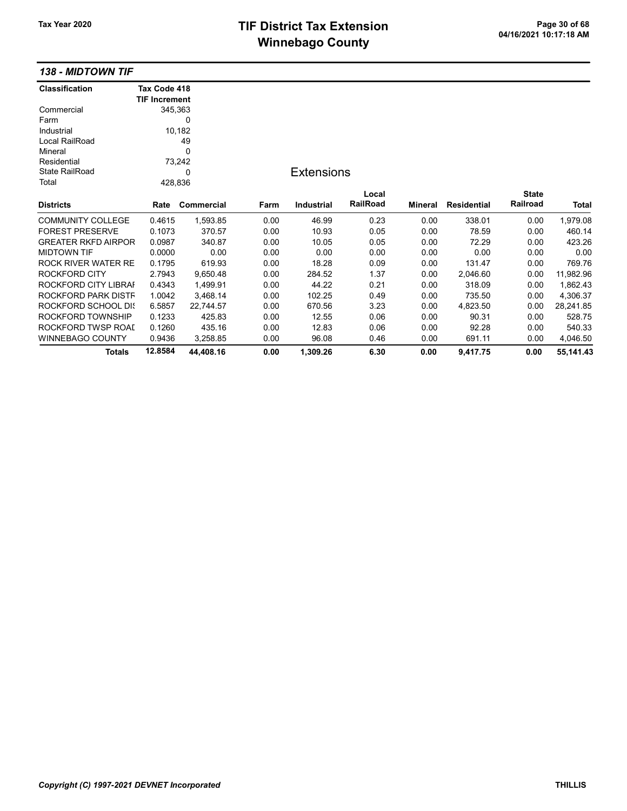### 138 - MIDTOWN TIF

| <b>Classification</b>      | Tax Code 418         |            |      |                   |          |                |                    |                 |           |
|----------------------------|----------------------|------------|------|-------------------|----------|----------------|--------------------|-----------------|-----------|
|                            | <b>TIF Increment</b> |            |      |                   |          |                |                    |                 |           |
| Commercial                 | 345,363              |            |      |                   |          |                |                    |                 |           |
| Farm                       |                      | 0          |      |                   |          |                |                    |                 |           |
| Industrial                 |                      | 10,182     |      |                   |          |                |                    |                 |           |
| Local RailRoad             |                      | 49         |      |                   |          |                |                    |                 |           |
| Mineral                    |                      | 0          |      |                   |          |                |                    |                 |           |
| Residential                |                      | 73,242     |      |                   |          |                |                    |                 |           |
| <b>State RailRoad</b>      |                      | 0          |      | <b>Extensions</b> |          |                |                    |                 |           |
| Total                      | 428,836              |            |      |                   |          |                |                    |                 |           |
|                            |                      |            |      |                   | Local    |                |                    | <b>State</b>    |           |
| <b>Districts</b>           | Rate                 | Commercial | Farm | <b>Industrial</b> | RailRoad | <b>Mineral</b> | <b>Residential</b> | <b>Railroad</b> | Total     |
| <b>COMMUNITY COLLEGE</b>   | 0.4615               | 1,593.85   | 0.00 | 46.99             | 0.23     | 0.00           | 338.01             | 0.00            | 1,979.08  |
| <b>FOREST PRESERVE</b>     | 0.1073               | 370.57     | 0.00 | 10.93             | 0.05     | 0.00           | 78.59              | 0.00            | 460.14    |
| <b>GREATER RKFD AIRPOR</b> | 0.0987               | 340.87     | 0.00 | 10.05             | 0.05     | 0.00           | 72.29              | 0.00            | 423.26    |
| <b>MIDTOWN TIF</b>         | 0.0000               | 0.00       | 0.00 | 0.00              | 0.00     | 0.00           | 0.00               | 0.00            | 0.00      |
| ROCK RIVER WATER RE        | 0.1795               | 619.93     | 0.00 | 18.28             | 0.09     | 0.00           | 131.47             | 0.00            | 769.76    |
| ROCKFORD CITY              | 2.7943               | 9,650.48   | 0.00 | 284.52            | 1.37     | 0.00           | 2,046.60           | 0.00            | 11,982.96 |
| ROCKFORD CITY LIBRAI       | 0.4343               | 1,499.91   | 0.00 | 44.22             | 0.21     | 0.00           | 318.09             | 0.00            | 1,862.43  |
| ROCKFORD PARK DISTF        | 1.0042               | 3,468.14   | 0.00 | 102.25            | 0.49     | 0.00           | 735.50             | 0.00            | 4,306.37  |
| <b>ROCKFORD SCHOOL DIS</b> | 6.5857               | 22,744.57  | 0.00 | 670.56            | 3.23     | 0.00           | 4,823.50           | 0.00            | 28,241.85 |
| ROCKFORD TOWNSHIP          | 0.1233               | 425.83     | 0.00 | 12.55             | 0.06     | 0.00           | 90.31              | 0.00            | 528.75    |
| ROCKFORD TWSP ROAD         | 0.1260               | 435.16     | 0.00 | 12.83             | 0.06     | 0.00           | 92.28              | 0.00            | 540.33    |
| <b>WINNEBAGO COUNTY</b>    | 0.9436               | 3,258.85   | 0.00 | 96.08             | 0.46     | 0.00           | 691.11             | 0.00            | 4,046.50  |
| <b>Totals</b>              | 12.8584              | 44,408.16  | 0.00 | 1,309.26          | 6.30     | 0.00           | 9,417.75           | 0.00            | 55,141.43 |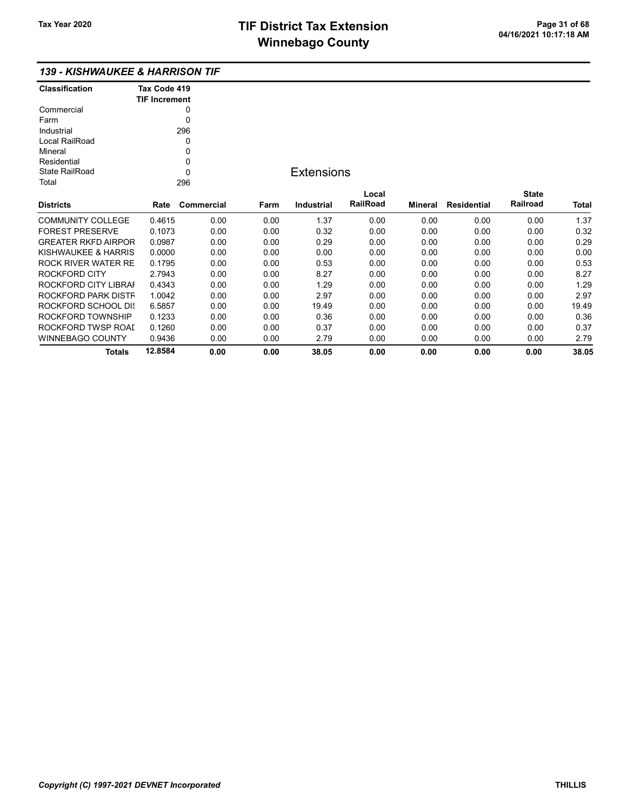### 139 - KISHWAUKEE & HARRISON TIF

| Tax Code 419         |  |
|----------------------|--|
| <b>TIF Increment</b> |  |
|                      |  |
|                      |  |
| 296                  |  |
|                      |  |
| Ω                    |  |
| O                    |  |
|                      |  |
| 296                  |  |
|                      |  |
|                      |  |

## **Extensions**

| <b>Districts</b>           | Rate    | Commercial | Farm | Industrial | Local<br><b>RailRoad</b> | Mineral | Residential | <b>State</b><br>Railroad | Total |
|----------------------------|---------|------------|------|------------|--------------------------|---------|-------------|--------------------------|-------|
| <b>COMMUNITY COLLEGE</b>   | 0.4615  | 0.00       | 0.00 | 1.37       | 0.00                     | 0.00    | 0.00        | 0.00                     | 1.37  |
| <b>FOREST PRESERVE</b>     | 0.1073  | 0.00       | 0.00 | 0.32       | 0.00                     | 0.00    | 0.00        | 0.00                     | 0.32  |
|                            |         |            |      |            |                          |         |             |                          |       |
| <b>GREATER RKFD AIRPOR</b> | 0.0987  | 0.00       | 0.00 | 0.29       | 0.00                     | 0.00    | 0.00        | 0.00                     | 0.29  |
| KISHWAUKEE & HARRIS        | 0.0000  | 0.00       | 0.00 | 0.00       | 0.00                     | 0.00    | 0.00        | 0.00                     | 0.00  |
| ROCK RIVER WATER RE        | 0.1795  | 0.00       | 0.00 | 0.53       | 0.00                     | 0.00    | 0.00        | 0.00                     | 0.53  |
| ROCKFORD CITY              | 2.7943  | 0.00       | 0.00 | 8.27       | 0.00                     | 0.00    | 0.00        | 0.00                     | 8.27  |
| ROCKFORD CITY LIBRAI       | 0.4343  | 0.00       | 0.00 | 1.29       | 0.00                     | 0.00    | 0.00        | 0.00                     | 1.29  |
| ROCKFORD PARK DISTF        | 1.0042  | 0.00       | 0.00 | 2.97       | 0.00                     | 0.00    | 0.00        | 0.00                     | 2.97  |
| ROCKFORD SCHOOL DIS        | 6.5857  | 0.00       | 0.00 | 19.49      | 0.00                     | 0.00    | 0.00        | 0.00                     | 19.49 |
| ROCKFORD TOWNSHIP          | 0.1233  | 0.00       | 0.00 | 0.36       | 0.00                     | 0.00    | 0.00        | 0.00                     | 0.36  |
| ROCKFORD TWSP ROAL         | 0.1260  | 0.00       | 0.00 | 0.37       | 0.00                     | 0.00    | 0.00        | 0.00                     | 0.37  |
| WINNEBAGO COUNTY           | 0.9436  | 0.00       | 0.00 | 2.79       | 0.00                     | 0.00    | 0.00        | 0.00                     | 2.79  |
| Totals                     | 12.8584 | 0.00       | 0.00 | 38.05      | 0.00                     | 0.00    | 0.00        | 0.00                     | 38.05 |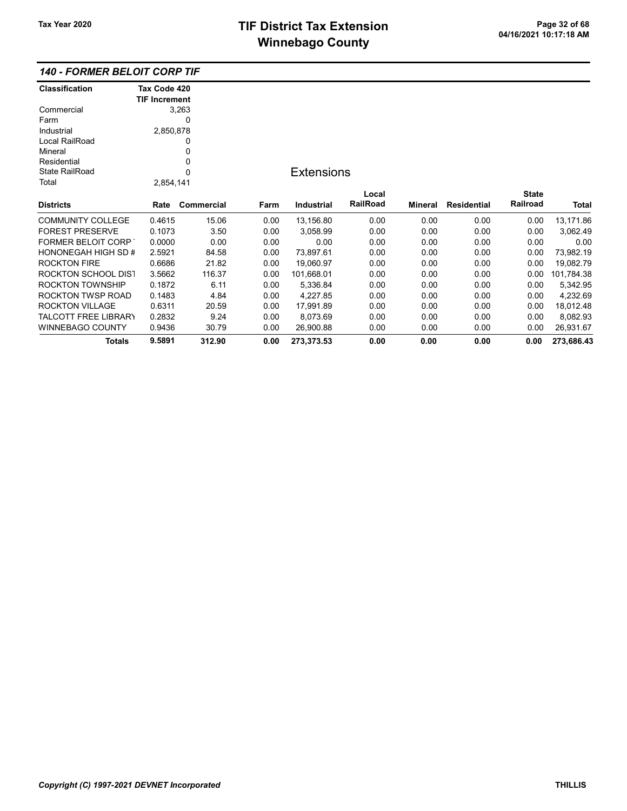## 140 - FORMER BELOIT CORP TIF

| <b>Classification</b>       | Tax Code 420         |            |      |                   |          |         |                    |              |            |
|-----------------------------|----------------------|------------|------|-------------------|----------|---------|--------------------|--------------|------------|
|                             | <b>TIF Increment</b> |            |      |                   |          |         |                    |              |            |
| Commercial                  |                      | 3,263      |      |                   |          |         |                    |              |            |
| Farm                        |                      | 0          |      |                   |          |         |                    |              |            |
| Industrial                  | 2,850,878            |            |      |                   |          |         |                    |              |            |
| Local RailRoad              |                      | 0          |      |                   |          |         |                    |              |            |
| Mineral                     |                      | 0          |      |                   |          |         |                    |              |            |
| Residential                 |                      | 0          |      |                   |          |         |                    |              |            |
| <b>State RailRoad</b>       |                      | 0          |      | <b>Extensions</b> |          |         |                    |              |            |
| Total                       | 2,854,141            |            |      |                   |          |         |                    |              |            |
|                             |                      |            |      |                   | Local    |         |                    | <b>State</b> |            |
| <b>Districts</b>            | Rate                 | Commercial | Farm | Industrial        | RailRoad | Mineral | <b>Residential</b> | Railroad     | Total      |
| <b>COMMUNITY COLLEGE</b>    | 0.4615               | 15.06      | 0.00 | 13,156.80         | 0.00     | 0.00    | 0.00               | 0.00         | 13,171.86  |
| <b>FOREST PRESERVE</b>      | 0.1073               | 3.50       | 0.00 | 3,058.99          | 0.00     | 0.00    | 0.00               | 0.00         | 3,062.49   |
| <b>FORMER BELOIT CORP</b>   | 0.0000               | 0.00       | 0.00 | 0.00              | 0.00     | 0.00    | 0.00               | 0.00         | 0.00       |
| <b>HONONEGAH HIGH SD #</b>  | 2.5921               | 84.58      | 0.00 | 73,897.61         | 0.00     | 0.00    | 0.00               | 0.00         | 73,982.19  |
| <b>ROCKTON FIRE</b>         | 0.6686               | 21.82      | 0.00 | 19,060.97         | 0.00     | 0.00    | 0.00               | 0.00         | 19,082.79  |
| <b>ROCKTON SCHOOL DIST</b>  | 3.5662               | 116.37     | 0.00 | 101,668.01        | 0.00     | 0.00    | 0.00               | 0.00         | 101,784.38 |
| ROCKTON TOWNSHIP            | 0.1872               | 6.11       | 0.00 | 5,336.84          | 0.00     | 0.00    | 0.00               | 0.00         | 5,342.95   |
| ROCKTON TWSP ROAD           | 0.1483               | 4.84       | 0.00 | 4,227.85          | 0.00     | 0.00    | 0.00               | 0.00         | 4,232.69   |
| <b>ROCKTON VILLAGE</b>      | 0.6311               | 20.59      | 0.00 | 17,991.89         | 0.00     | 0.00    | 0.00               | 0.00         | 18,012.48  |
| <b>TALCOTT FREE LIBRARY</b> | 0.2832               | 9.24       | 0.00 | 8,073.69          | 0.00     | 0.00    | 0.00               | 0.00         | 8,082.93   |
| <b>WINNEBAGO COUNTY</b>     | 0.9436               | 30.79      | 0.00 | 26,900.88         | 0.00     | 0.00    | 0.00               | 0.00         | 26,931.67  |
| Totals                      | 9.5891               | 312.90     | 0.00 | 273,373.53        | 0.00     | 0.00    | 0.00               | 0.00         | 273,686.43 |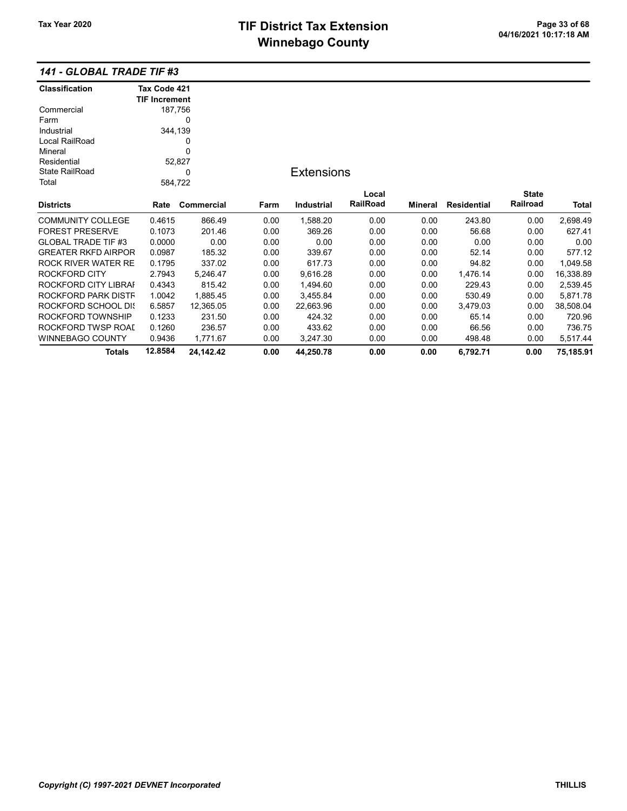| <b>Classification</b>      | Tax Code 421         |            |      |                   |          |                |                    |              |           |
|----------------------------|----------------------|------------|------|-------------------|----------|----------------|--------------------|--------------|-----------|
|                            | <b>TIF Increment</b> |            |      |                   |          |                |                    |              |           |
| Commercial                 | 187,756              |            |      |                   |          |                |                    |              |           |
| Farm                       |                      | 0          |      |                   |          |                |                    |              |           |
| Industrial                 | 344,139              |            |      |                   |          |                |                    |              |           |
| Local RailRoad             |                      | 0          |      |                   |          |                |                    |              |           |
| Mineral                    |                      | $\Omega$   |      |                   |          |                |                    |              |           |
| Residential                |                      | 52,827     |      |                   |          |                |                    |              |           |
| <b>State RailRoad</b>      |                      | 0          |      | <b>Extensions</b> |          |                |                    |              |           |
| Total                      | 584,722              |            |      |                   |          |                |                    |              |           |
|                            |                      |            |      |                   | Local    |                |                    | <b>State</b> |           |
| Districts                  | Rate                 | Commercial | Farm | <b>Industrial</b> | RailRoad | <b>Mineral</b> | <b>Residential</b> | Railroad     | Total     |
| COMMUNITY COLLEGE          | 0.4615               | 866.49     | 0.00 | 1,588.20          | 0.00     | 0.00           | 243.80             | 0.00         | 2,698.49  |
| FOREST PRESERVE            | 0.1073               | 201.46     | 0.00 | 369.26            | 0.00     | 0.00           | 56.68              | 0.00         | 627.41    |
| <b>GLOBAL TRADE TIF #3</b> | 0.0000               | 0.00       | 0.00 | 0.00              | 0.00     | 0.00           | 0.00               | 0.00         | 0.00      |
| GREATER RKFD AIRPOR        | 0.0987               | 185.32     | 0.00 | 339.67            | 0.00     | 0.00           | 52.14              | 0.00         | 577.12    |
| ROCK RIVER WATER RE        | 0.1795               | 337.02     | 0.00 | 617.73            | 0.00     | 0.00           | 94.82              | 0.00         | 1,049.58  |
| ROCKFORD CITY              | 2.7943               | 5,246.47   | 0.00 | 9,616.28          | 0.00     | 0.00           | 1,476.14           | 0.00         | 16,338.89 |
| ROCKFORD CITY LIBRAI       | 0.4343               | 815.42     | 0.00 | 1,494.60          | 0.00     | 0.00           | 229.43             | 0.00         | 2,539.45  |
| ROCKFORD PARK DISTF        | 1.0042               | 1,885.45   | 0.00 | 3,455.84          | 0.00     | 0.00           | 530.49             | 0.00         | 5,871.78  |
| ROCKFORD SCHOOL DI{        | 6.5857               | 12,365.05  | 0.00 | 22,663.96         | 0.00     | 0.00           | 3,479.03           | 0.00         | 38,508.04 |
| ROCKFORD TOWNSHIP          | 0.1233               | 231.50     | 0.00 | 424.32            | 0.00     | 0.00           | 65.14              | 0.00         | 720.96    |
| ROCKFORD TWSP ROAI         | 0.1260               | 236.57     | 0.00 | 433.62            | 0.00     | 0.00           | 66.56              | 0.00         | 736.75    |
| WINNEBAGO COUNTY           | 0.9436               | 1,771.67   | 0.00 | 3,247.30          | 0.00     | 0.00           | 498.48             | 0.00         | 5,517.44  |
| <b>Totals</b>              | 12.8584              | 24,142.42  | 0.00 | 44.250.78         | 0.00     | 0.00           | 6,792.71           | 0.00         | 75,185.91 |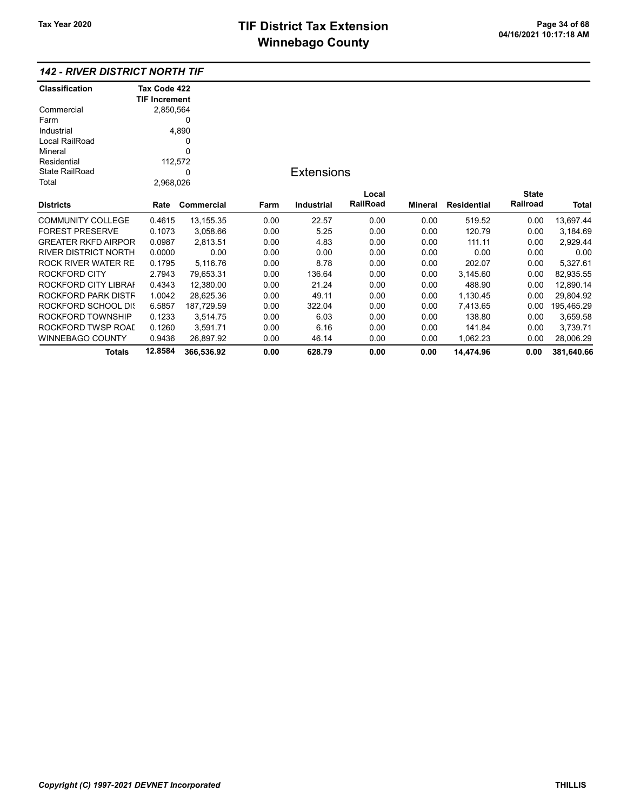### 142 - RIVER DISTRICT NORTH TIF

| <b>Classification</b>       | Tax Code 422         |            |      |                   |          |         |                    |              |              |
|-----------------------------|----------------------|------------|------|-------------------|----------|---------|--------------------|--------------|--------------|
|                             | <b>TIF Increment</b> |            |      |                   |          |         |                    |              |              |
| Commercial                  | 2,850,564            |            |      |                   |          |         |                    |              |              |
| Farm                        |                      | 0          |      |                   |          |         |                    |              |              |
| Industrial                  |                      | 4,890      |      |                   |          |         |                    |              |              |
| Local RailRoad              |                      | 0          |      |                   |          |         |                    |              |              |
| Mineral                     |                      | 0          |      |                   |          |         |                    |              |              |
| Residential                 | 112,572              |            |      |                   |          |         |                    |              |              |
| <b>State RailRoad</b>       |                      | 0          |      | <b>Extensions</b> |          |         |                    |              |              |
| Total                       | 2,968,026            |            |      |                   |          |         |                    |              |              |
|                             |                      |            |      |                   | Local    |         |                    | <b>State</b> |              |
| <b>Districts</b>            | Rate                 | Commercial | Farm | <b>Industrial</b> | RailRoad | Mineral | <b>Residential</b> | Railroad     | <b>Total</b> |
| <b>COMMUNITY COLLEGE</b>    | 0.4615               | 13,155.35  | 0.00 | 22.57             | 0.00     | 0.00    | 519.52             | 0.00         | 13,697.44    |
| <b>FOREST PRESERVE</b>      | 0.1073               | 3,058.66   | 0.00 | 5.25              | 0.00     | 0.00    | 120.79             | 0.00         | 3,184.69     |
| <b>GREATER RKFD AIRPOR</b>  | 0.0987               | 2,813.51   | 0.00 | 4.83              | 0.00     | 0.00    | 111.11             | 0.00         | 2,929.44     |
| <b>RIVER DISTRICT NORTH</b> | 0.0000               | 0.00       | 0.00 | 0.00              | 0.00     | 0.00    | 0.00               | 0.00         | 0.00         |
| <b>ROCK RIVER WATER RE</b>  | 0.1795               | 5,116.76   | 0.00 | 8.78              | 0.00     | 0.00    | 202.07             | 0.00         | 5,327.61     |
| <b>ROCKFORD CITY</b>        | 2.7943               | 79,653.31  | 0.00 | 136.64            | 0.00     | 0.00    | 3,145.60           | 0.00         | 82,935.55    |
| ROCKFORD CITY LIBRAI        | 0.4343               | 12,380.00  | 0.00 | 21.24             | 0.00     | 0.00    | 488.90             | 0.00         | 12,890.14    |
| ROCKFORD PARK DISTF         | 1.0042               | 28,625.36  | 0.00 | 49.11             | 0.00     | 0.00    | 1,130.45           | 0.00         | 29,804.92    |
| ROCKFORD SCHOOL DIS         | 6.5857               | 187,729.59 | 0.00 | 322.04            | 0.00     | 0.00    | 7,413.65           | 0.00         | 195,465.29   |
| ROCKFORD TOWNSHIP           | 0.1233               | 3,514.75   | 0.00 | 6.03              | 0.00     | 0.00    | 138.80             | 0.00         | 3,659.58     |
| ROCKFORD TWSP ROAI          | 0.1260               | 3,591.71   | 0.00 | 6.16              | 0.00     | 0.00    | 141.84             | 0.00         | 3,739.71     |
| <b>WINNEBAGO COUNTY</b>     | 0.9436               | 26.897.92  | 0.00 | 46.14             | 0.00     | 0.00    | 1,062.23           | 0.00         | 28,006.29    |
| <b>Totals</b>               | 12.8584              | 366,536.92 | 0.00 | 628.79            | 0.00     | 0.00    | 14.474.96          | 0.00         | 381.640.66   |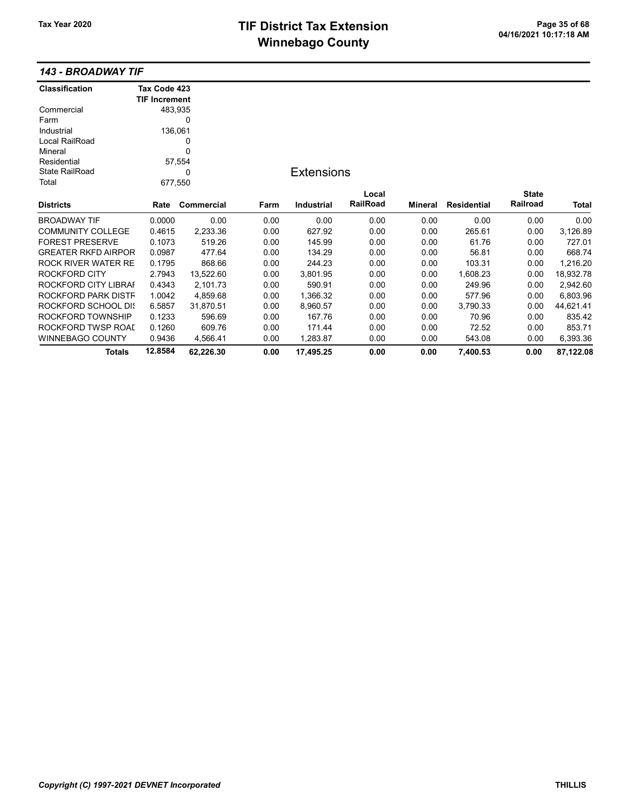#### 143 - BROADWAY TIF

| <b>Classification</b>      | Tax Code 423         |            |      |                   |          |         |                    |              |           |
|----------------------------|----------------------|------------|------|-------------------|----------|---------|--------------------|--------------|-----------|
|                            | <b>TIF Increment</b> |            |      |                   |          |         |                    |              |           |
| Commercial                 |                      | 483,935    |      |                   |          |         |                    |              |           |
| Farm                       |                      | 0          |      |                   |          |         |                    |              |           |
| Industrial                 | 136,061              |            |      |                   |          |         |                    |              |           |
| Local RailRoad             |                      | 0          |      |                   |          |         |                    |              |           |
| Mineral                    |                      | 0          |      |                   |          |         |                    |              |           |
| Residential                |                      | 57,554     |      |                   |          |         |                    |              |           |
| <b>State RailRoad</b>      |                      | 0          |      | <b>Extensions</b> |          |         |                    |              |           |
| Total                      |                      | 677,550    |      |                   |          |         |                    |              |           |
|                            |                      |            |      |                   | Local    |         |                    | <b>State</b> |           |
| <b>Districts</b>           | Rate                 | Commercial | Farm | <b>Industrial</b> | RailRoad | Mineral | <b>Residential</b> | Railroad     | Total     |
| <b>BROADWAY TIF</b>        | 0.0000               | 0.00       | 0.00 | 0.00              | 0.00     | 0.00    | 0.00               | 0.00         | 0.00      |
| <b>COMMUNITY COLLEGE</b>   | 0.4615               | 2,233.36   | 0.00 | 627.92            | 0.00     | 0.00    | 265.61             | 0.00         | 3,126.89  |
| <b>FOREST PRESERVE</b>     | 0.1073               | 519.26     | 0.00 | 145.99            | 0.00     | 0.00    | 61.76              | 0.00         | 727.01    |
| <b>GREATER RKFD AIRPOR</b> | 0.0987               | 477.64     | 0.00 | 134.29            | 0.00     | 0.00    | 56.81              | 0.00         | 668.74    |
| <b>ROCK RIVER WATER RE</b> | 0.1795               | 868.66     | 0.00 | 244.23            | 0.00     | 0.00    | 103.31             | 0.00         | 1,216.20  |
| ROCKFORD CITY              | 2.7943               | 13,522.60  | 0.00 | 3,801.95          | 0.00     | 0.00    | 1,608.23           | 0.00         | 18,932.78 |
| ROCKFORD CITY LIBRAI       | 0.4343               | 2,101.73   | 0.00 | 590.91            | 0.00     | 0.00    | 249.96             | 0.00         | 2,942.60  |
| ROCKFORD PARK DISTF        | 1.0042               | 4,859.68   | 0.00 | 1,366.32          | 0.00     | 0.00    | 577.96             | 0.00         | 6,803.96  |
| ROCKFORD SCHOOL DIS        | 6.5857               | 31,870.51  | 0.00 | 8,960.57          | 0.00     | 0.00    | 3,790.33           | 0.00         | 44,621.41 |
| ROCKFORD TOWNSHIP          | 0.1233               | 596.69     | 0.00 | 167.76            | 0.00     | 0.00    | 70.96              | 0.00         | 835.42    |
| ROCKFORD TWSP ROAI         | 0.1260               | 609.76     | 0.00 | 171.44            | 0.00     | 0.00    | 72.52              | 0.00         | 853.71    |
| <b>WINNEBAGO COUNTY</b>    | 0.9436               | 4,566.41   | 0.00 | 1,283.87          | 0.00     | 0.00    | 543.08             | 0.00         | 6,393.36  |
| Totals                     | 12.8584              | 62,226.30  | 0.00 | 17,495.25         | 0.00     | 0.00    | 7,400.53           | 0.00         | 87,122.08 |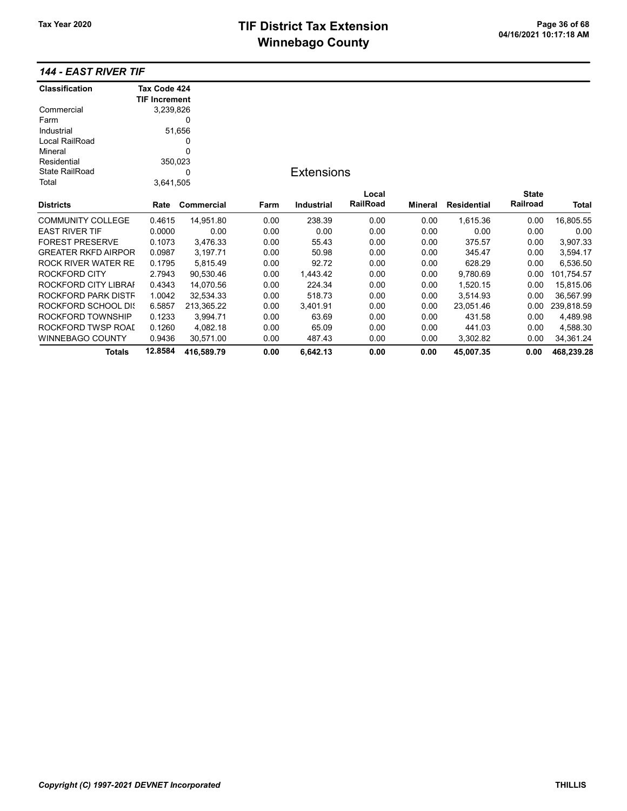## 144 - EAST RIVER TIF

| <b>Classification</b>      | Tax Code 424         |            |      |                   |                 |         |             |              |              |
|----------------------------|----------------------|------------|------|-------------------|-----------------|---------|-------------|--------------|--------------|
|                            | <b>TIF Increment</b> |            |      |                   |                 |         |             |              |              |
| Commercial                 | 3,239,826            |            |      |                   |                 |         |             |              |              |
| Farm                       |                      | 0          |      |                   |                 |         |             |              |              |
| Industrial                 |                      | 51,656     |      |                   |                 |         |             |              |              |
| Local RailRoad             |                      | 0          |      |                   |                 |         |             |              |              |
| Mineral                    |                      | 0          |      |                   |                 |         |             |              |              |
| Residential                | 350,023              |            |      |                   |                 |         |             |              |              |
| <b>State RailRoad</b>      |                      | 0          |      | <b>Extensions</b> |                 |         |             |              |              |
| Total                      | 3,641,505            |            |      |                   |                 |         |             |              |              |
|                            |                      |            |      |                   | Local           |         |             | <b>State</b> |              |
| <b>Districts</b>           | Rate                 | Commercial | Farm | Industrial        | <b>RailRoad</b> | Mineral | Residential | Railroad     | <b>Total</b> |
| <b>COMMUNITY COLLEGE</b>   | 0.4615               | 14,951.80  | 0.00 | 238.39            | 0.00            | 0.00    | 1,615.36    | 0.00         | 16,805.55    |
| <b>EAST RIVER TIF</b>      | 0.0000               | 0.00       | 0.00 | 0.00              | 0.00            | 0.00    | 0.00        | 0.00         | 0.00         |
| <b>FOREST PRESERVE</b>     | 0.1073               | 3,476.33   | 0.00 | 55.43             | 0.00            | 0.00    | 375.57      | 0.00         | 3,907.33     |
| <b>GREATER RKFD AIRPOR</b> | 0.0987               | 3,197.71   | 0.00 | 50.98             | 0.00            | 0.00    | 345.47      | 0.00         | 3,594.17     |
| <b>ROCK RIVER WATER RE</b> | 0.1795               | 5,815.49   | 0.00 | 92.72             | 0.00            | 0.00    | 628.29      | 0.00         | 6,536.50     |
| <b>ROCKFORD CITY</b>       | 2.7943               | 90,530.46  | 0.00 | 1,443.42          | 0.00            | 0.00    | 9,780.69    | 0.00         | 101,754.57   |
| ROCKFORD CITY LIBRAI       | 0.4343               | 14,070.56  | 0.00 | 224.34            | 0.00            | 0.00    | 1,520.15    | 0.00         | 15,815.06    |
| ROCKFORD PARK DISTF        | 1.0042               | 32,534.33  | 0.00 | 518.73            | 0.00            | 0.00    | 3,514.93    | 0.00         | 36,567.99    |
| ROCKFORD SCHOOL DIS        | 6.5857               | 213,365.22 | 0.00 | 3,401.91          | 0.00            | 0.00    | 23,051.46   | 0.00         | 239,818.59   |
| ROCKFORD TOWNSHIP          | 0.1233               | 3,994.71   | 0.00 | 63.69             | 0.00            | 0.00    | 431.58      | 0.00         | 4,489.98     |
| ROCKFORD TWSP ROAD         | 0.1260               | 4,082.18   | 0.00 | 65.09             | 0.00            | 0.00    | 441.03      | 0.00         | 4,588.30     |
| WINNEBAGO COUNTY           | 0.9436               | 30,571.00  | 0.00 | 487.43            | 0.00            | 0.00    | 3,302.82    | 0.00         | 34,361.24    |
| <b>Totals</b>              | 12.8584              | 416,589.79 | 0.00 | 6,642.13          | 0.00            | 0.00    | 45,007.35   | 0.00         | 468,239.28   |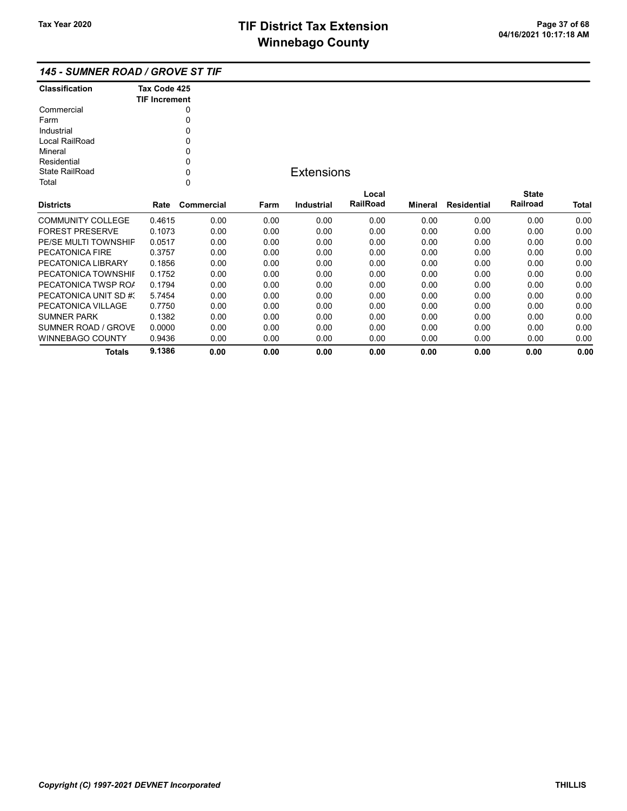### 145 - SUMNER ROAD / GROVE ST TIF

| <b>Classification</b> | Tax Code 425<br><b>TIF Increment</b> |
|-----------------------|--------------------------------------|
| Commercial            |                                      |
| Farm                  |                                      |
| Industrial            | ŋ                                    |
| Local RailRoad        | ŋ                                    |
| Mineral               | U                                    |
| Residential           | ŋ                                    |
| State RailRoad        | U                                    |
| Total                 |                                      |

## **Extensions**

| <b>Districts</b>       | Rate   | Commercial | Farm | Industrial | Local<br><b>RailRoad</b> | Mineral | Residential | <b>State</b><br>Railroad | <b>Total</b> |
|------------------------|--------|------------|------|------------|--------------------------|---------|-------------|--------------------------|--------------|
|                        |        |            |      |            |                          |         |             |                          |              |
| COMMUNITY COLLEGE      | 0.4615 | 0.00       | 0.00 | 0.00       | 0.00                     | 0.00    | 0.00        | 0.00                     | 0.00         |
| <b>FOREST PRESERVE</b> | 0.1073 | 0.00       | 0.00 | 0.00       | 0.00                     | 0.00    | 0.00        | 0.00                     | 0.00         |
| PE/SE MULTI TOWNSHIP   | 0.0517 | 0.00       | 0.00 | 0.00       | 0.00                     | 0.00    | 0.00        | 0.00                     | 0.00         |
| PECATONICA FIRE        | 0.3757 | 0.00       | 0.00 | 0.00       | 0.00                     | 0.00    | 0.00        | 0.00                     | 0.00         |
| PECATONICA LIBRARY     | 0.1856 | 0.00       | 0.00 | 0.00       | 0.00                     | 0.00    | 0.00        | 0.00                     | 0.00         |
| PECATONICA TOWNSHIL    | 0.1752 | 0.00       | 0.00 | 0.00       | 0.00                     | 0.00    | 0.00        | 0.00                     | 0.00         |
| PECATONICA TWSP ROA    | 0.1794 | 0.00       | 0.00 | 0.00       | 0.00                     | 0.00    | 0.00        | 0.00                     | 0.00         |
| PECATONICA UNIT SD #.  | 5.7454 | 0.00       | 0.00 | 0.00       | 0.00                     | 0.00    | 0.00        | 0.00                     | 0.00         |
| PECATONICA VII LAGE    | 0.7750 | 0.00       | 0.00 | 0.00       | 0.00                     | 0.00    | 0.00        | 0.00                     | 0.00         |
| <b>SUMNER PARK</b>     | 0.1382 | 0.00       | 0.00 | 0.00       | 0.00                     | 0.00    | 0.00        | 0.00                     | 0.00         |
| SUMNER ROAD / GROVE    | 0.0000 | 0.00       | 0.00 | 0.00       | 0.00                     | 0.00    | 0.00        | 0.00                     | 0.00         |
| WINNEBAGO COUNTY       | 0.9436 | 0.00       | 0.00 | 0.00       | 0.00                     | 0.00    | 0.00        | 0.00                     | 0.00         |
| Totals                 | 9.1386 | 0.00       | 0.00 | 0.00       | 0.00                     | 0.00    | 0.00        | 0.00                     | 0.00         |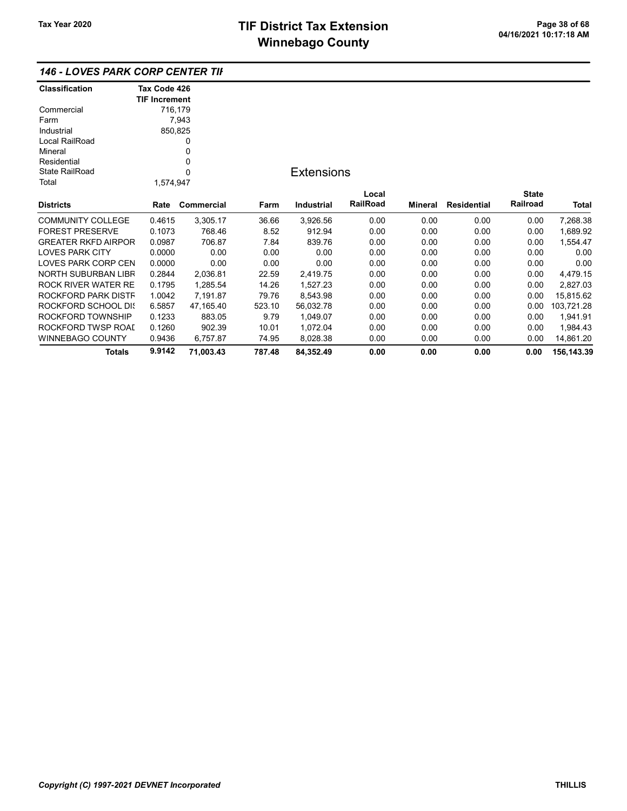|  | <b>146 - LOVES PARK CORP CENTER TII</b> |  |
|--|-----------------------------------------|--|
|--|-----------------------------------------|--|

| <b>Classification</b> | Tax Code 426         |            |        |                   |          |         |                    |              |              |
|-----------------------|----------------------|------------|--------|-------------------|----------|---------|--------------------|--------------|--------------|
|                       | <b>TIF Increment</b> |            |        |                   |          |         |                    |              |              |
| Commercial            | 716,179              |            |        |                   |          |         |                    |              |              |
| Farm                  |                      | 7,943      |        |                   |          |         |                    |              |              |
| Industrial            | 850,825              |            |        |                   |          |         |                    |              |              |
| Local RailRoad        |                      | 0          |        |                   |          |         |                    |              |              |
| Mineral               |                      |            |        |                   |          |         |                    |              |              |
| Residential           |                      |            |        |                   |          |         |                    |              |              |
| <b>State RailRoad</b> |                      | 0          |        | <b>Extensions</b> |          |         |                    |              |              |
| Total                 | 1,574,947            |            |        |                   |          |         |                    |              |              |
|                       |                      |            |        |                   | Local    |         |                    | <b>State</b> |              |
| Districts             | Rate                 | Commercial | Farm   | <b>Industrial</b> | RailRoad | Mineral | <b>Residential</b> | Railroad     | <b>Total</b> |
| COMMUNITY COLLEGE     | 0.4615               | 3,305.17   | 36.66  | 3,926.56          | 0.00     | 0.00    | 0.00               | 0.00         | 7,268.38     |
| FOREST PRESERVE       | 0.1073               | 768.46     | 8.52   | 912.94            | 0.00     | 0.00    | 0.00               | 0.00         | 1,689.92     |
| GREATER RKFD AIRPOR   | 0.0987               | 706.87     | 7.84   | 839.76            | 0.00     | 0.00    | 0.00               | 0.00         | 1,554.47     |
| LOVES PARK CITY       | 0.0000               | 0.00       | 0.00   | 0.00              | 0.00     | 0.00    | 0.00               | 0.00         | 0.00         |
| LOVES PARK CORP CEN   | 0.0000               | 0.00       | 0.00   | 0.00              | 0.00     | 0.00    | 0.00               | 0.00         | 0.00         |
| NORTH SUBURBAN LIBR   | 0.2844               | 2,036.81   | 22.59  | 2,419.75          | 0.00     | 0.00    | 0.00               | 0.00         | 4,479.15     |
| ROCK RIVER WATER RE   | 0.1795               | 1,285.54   | 14.26  | 1,527.23          | 0.00     | 0.00    | 0.00               | 0.00         | 2,827.03     |
| ROCKFORD PARK DISTF   | 1.0042               | 7,191.87   | 79.76  | 8,543.98          | 0.00     | 0.00    | 0.00               | 0.00         | 15,815.62    |
| ROCKFORD SCHOOL DI{   | 6.5857               | 47,165.40  | 523.10 | 56,032.78         | 0.00     | 0.00    | 0.00               | 0.00         | 103,721.28   |
| ROCKFORD TOWNSHIP     | 0.1233               | 883.05     | 9.79   | 1,049.07          | 0.00     | 0.00    | 0.00               | 0.00         | 1,941.91     |
| ROCKFORD TWSP ROAI    | 0.1260               | 902.39     | 10.01  | 1,072.04          | 0.00     | 0.00    | 0.00               | 0.00         | 1,984.43     |
| WINNEBAGO COUNTY      | 0.9436               | 6,757.87   | 74.95  | 8,028.38          | 0.00     | 0.00    | 0.00               | 0.00         | 14,861.20    |
| Totals                | 9.9142               | 71,003.43  | 787.48 | 84,352.49         | 0.00     | 0.00    | 0.00               | 0.00         | 156,143.39   |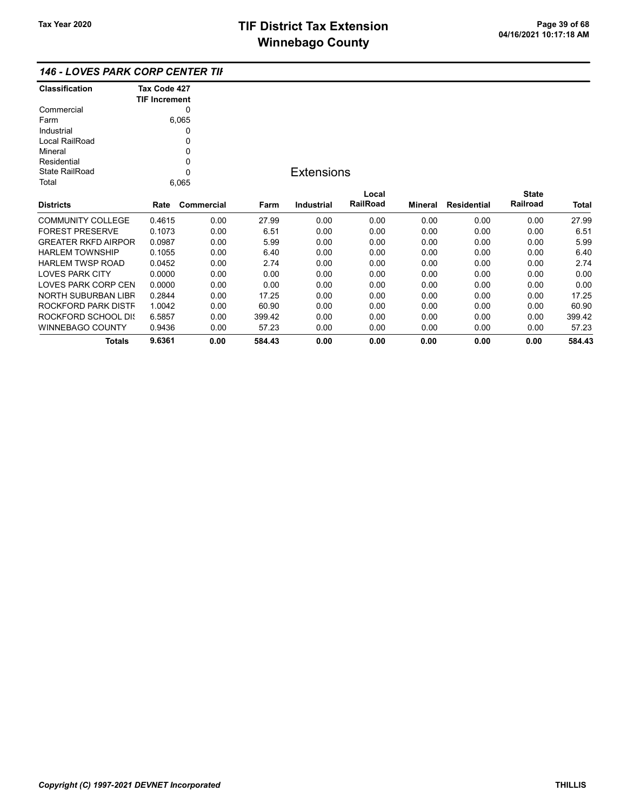### 146 - LOVES PARK CORP CENTER TIF

| <b>Classification</b>      | Tax Code 427<br><b>TIF Increment</b> |             |        |                   |          |                |                    |              |              |
|----------------------------|--------------------------------------|-------------|--------|-------------------|----------|----------------|--------------------|--------------|--------------|
| Commercial                 |                                      | 0           |        |                   |          |                |                    |              |              |
| Farm                       |                                      | 6,065       |        |                   |          |                |                    |              |              |
| Industrial                 |                                      | 0           |        |                   |          |                |                    |              |              |
| Local RailRoad             |                                      | 0           |        |                   |          |                |                    |              |              |
| Mineral                    |                                      | 0           |        |                   |          |                |                    |              |              |
| Residential                |                                      | 0           |        |                   |          |                |                    |              |              |
| <b>State RailRoad</b>      |                                      | $\mathbf 0$ |        | <b>Extensions</b> |          |                |                    |              |              |
| Total                      |                                      | 6,065       |        |                   |          |                |                    |              |              |
|                            |                                      |             |        |                   | Local    |                |                    | <b>State</b> |              |
| <b>Districts</b>           | Rate                                 | Commercial  | Farm   | <b>Industrial</b> | RailRoad | <b>Mineral</b> | <b>Residential</b> | Railroad     | <b>Total</b> |
| <b>COMMUNITY COLLEGE</b>   | 0.4615                               | 0.00        | 27.99  | 0.00              | 0.00     | 0.00           | 0.00               | 0.00         | 27.99        |
| <b>FOREST PRESERVE</b>     | 0.1073                               | 0.00        | 6.51   | 0.00              | 0.00     | 0.00           | 0.00               | 0.00         | 6.51         |
| <b>GREATER RKFD AIRPOR</b> | 0.0987                               | 0.00        | 5.99   | 0.00              | 0.00     | 0.00           | 0.00               | 0.00         | 5.99         |
| <b>HARLEM TOWNSHIP</b>     | 0.1055                               | 0.00        | 6.40   | 0.00              | 0.00     | 0.00           | 0.00               | 0.00         | 6.40         |
| <b>HARLEM TWSP ROAD</b>    | 0.0452                               | 0.00        | 2.74   | 0.00              | 0.00     | 0.00           | 0.00               | 0.00         | 2.74         |
| <b>LOVES PARK CITY</b>     | 0.0000                               | 0.00        | 0.00   | 0.00              | 0.00     | 0.00           | 0.00               | 0.00         | 0.00         |
| LOVES PARK CORP CEN        | 0.0000                               | 0.00        | 0.00   | 0.00              | 0.00     | 0.00           | 0.00               | 0.00         | 0.00         |
| <b>NORTH SUBURBAN LIBR</b> | 0.2844                               | 0.00        | 17.25  | 0.00              | 0.00     | 0.00           | 0.00               | 0.00         | 17.25        |
| ROCKFORD PARK DISTF        | 1.0042                               | 0.00        | 60.90  | 0.00              | 0.00     | 0.00           | 0.00               | 0.00         | 60.90        |
| ROCKFORD SCHOOL DIS        | 6.5857                               | 0.00        | 399.42 | 0.00              | 0.00     | 0.00           | 0.00               | 0.00         | 399.42       |
| WINNEBAGO COUNTY           | 0.9436                               | 0.00        | 57.23  | 0.00              | 0.00     | 0.00           | 0.00               | 0.00         | 57.23        |
| Totals                     | 9.6361                               | 0.00        | 584.43 | 0.00              | 0.00     | 0.00           | 0.00               | 0.00         | 584.43       |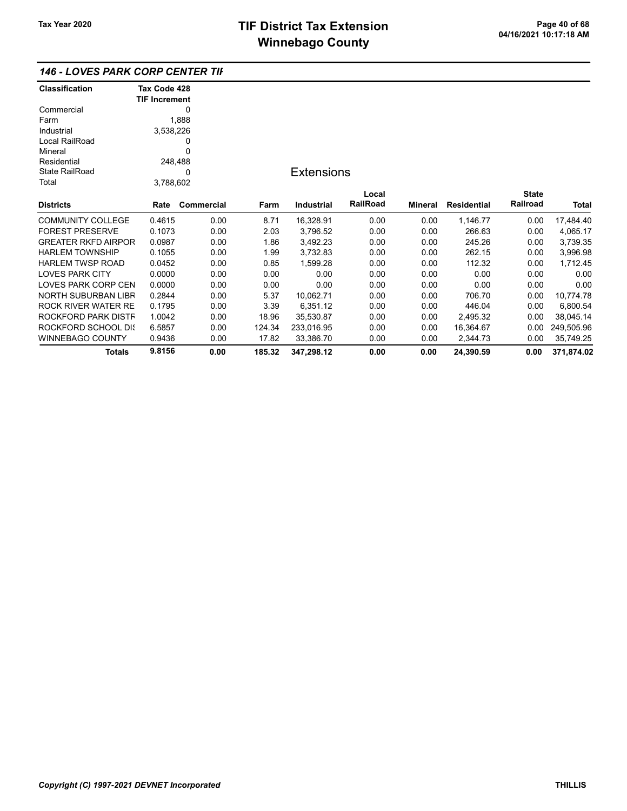### 146 - LOVES PARK CORP CENTER TIF

| <b>Classification</b>      | Tax Code 428         |            |        |                   |          |         |                    |                 |            |
|----------------------------|----------------------|------------|--------|-------------------|----------|---------|--------------------|-----------------|------------|
|                            | <b>TIF Increment</b> |            |        |                   |          |         |                    |                 |            |
| Commercial                 |                      | 0          |        |                   |          |         |                    |                 |            |
| Farm                       |                      | 1,888      |        |                   |          |         |                    |                 |            |
| Industrial                 | 3,538,226            |            |        |                   |          |         |                    |                 |            |
| Local RailRoad             |                      | 0          |        |                   |          |         |                    |                 |            |
| Mineral                    |                      | 0          |        |                   |          |         |                    |                 |            |
| Residential                | 248,488              |            |        |                   |          |         |                    |                 |            |
| <b>State RailRoad</b>      |                      | 0          |        | <b>Extensions</b> |          |         |                    |                 |            |
| Total                      | 3,788,602            |            |        |                   |          |         |                    |                 |            |
|                            |                      |            |        |                   | Local    |         |                    | <b>State</b>    |            |
| <b>Districts</b>           | Rate                 | Commercial | Farm   | Industrial        | RailRoad | Mineral | <b>Residential</b> | <b>Railroad</b> | Total      |
| <b>COMMUNITY COLLEGE</b>   | 0.4615               | 0.00       | 8.71   | 16,328.91         | 0.00     | 0.00    | 1,146.77           | 0.00            | 17,484.40  |
| <b>FOREST PRESERVE</b>     | 0.1073               | 0.00       | 2.03   | 3,796.52          | 0.00     | 0.00    | 266.63             | 0.00            | 4,065.17   |
| <b>GREATER RKFD AIRPOR</b> | 0.0987               | 0.00       | 1.86   | 3,492.23          | 0.00     | 0.00    | 245.26             | 0.00            | 3,739.35   |
| <b>HARLEM TOWNSHIP</b>     | 0.1055               | 0.00       | 1.99   | 3,732.83          | 0.00     | 0.00    | 262.15             | 0.00            | 3,996.98   |
| <b>HARLEM TWSP ROAD</b>    | 0.0452               | 0.00       | 0.85   | 1,599.28          | 0.00     | 0.00    | 112.32             | 0.00            | 1,712.45   |
| <b>LOVES PARK CITY</b>     | 0.0000               | 0.00       | 0.00   | 0.00              | 0.00     | 0.00    | 0.00               | 0.00            | 0.00       |
| LOVES PARK CORP CEN        | 0.0000               | 0.00       | 0.00   | 0.00              | 0.00     | 0.00    | 0.00               | 0.00            | 0.00       |
| NORTH SUBURBAN LIBR        | 0.2844               | 0.00       | 5.37   | 10,062.71         | 0.00     | 0.00    | 706.70             | 0.00            | 10,774.78  |
| ROCK RIVER WATER RE        | 0.1795               | 0.00       | 3.39   | 6,351.12          | 0.00     | 0.00    | 446.04             | 0.00            | 6,800.54   |
| ROCKFORD PARK DISTF        | 1.0042               | 0.00       | 18.96  | 35,530.87         | 0.00     | 0.00    | 2,495.32           | 0.00            | 38,045.14  |
| ROCKFORD SCHOOL DIS        | 6.5857               | 0.00       | 124.34 | 233,016.95        | 0.00     | 0.00    | 16,364.67          | 0.00            | 249,505.96 |
| <b>WINNEBAGO COUNTY</b>    | 0.9436               | 0.00       | 17.82  | 33,386.70         | 0.00     | 0.00    | 2,344.73           | 0.00            | 35,749.25  |
| <b>Totals</b>              | 9.8156               | 0.00       | 185.32 | 347,298.12        | 0.00     | 0.00    | 24,390.59          | 0.00            | 371,874.02 |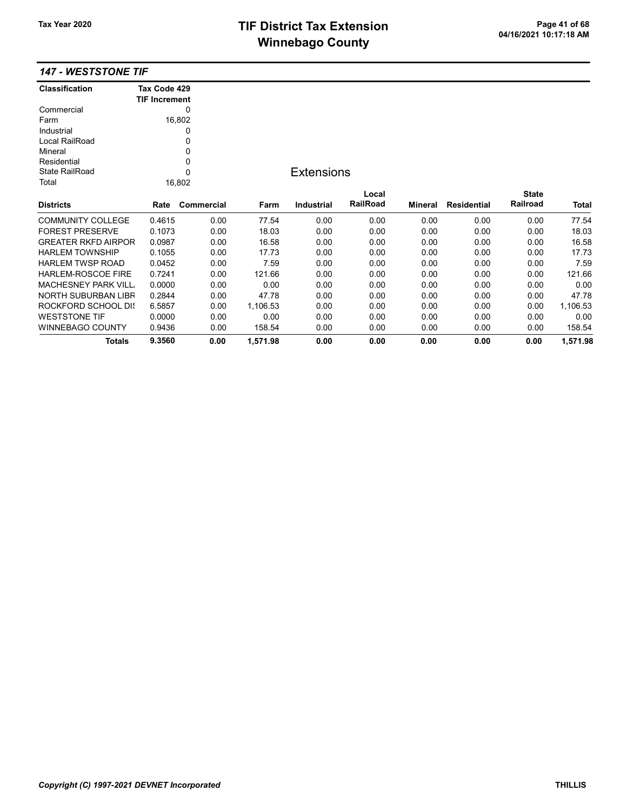# TIF District Tax Extension<br>
Mission 2001 10:17:18 AM **Winnebago County**

### 147 - WESTSTONE TIF

| <b>Classification</b>      | Tax Code 429         |            |          |                   |          |         |                    |              |          |
|----------------------------|----------------------|------------|----------|-------------------|----------|---------|--------------------|--------------|----------|
|                            | <b>TIF Increment</b> |            |          |                   |          |         |                    |              |          |
| Commercial                 |                      | 0          |          |                   |          |         |                    |              |          |
| Farm                       |                      | 16,802     |          |                   |          |         |                    |              |          |
| Industrial                 |                      | 0          |          |                   |          |         |                    |              |          |
| Local RailRoad             |                      | 0          |          |                   |          |         |                    |              |          |
| Mineral                    |                      | 0          |          |                   |          |         |                    |              |          |
| Residential                |                      | 0          |          |                   |          |         |                    |              |          |
| State RailRoad             |                      | 0          |          | <b>Extensions</b> |          |         |                    |              |          |
| Total                      |                      | 16,802     |          |                   |          |         |                    |              |          |
|                            |                      |            |          |                   | Local    |         |                    | <b>State</b> |          |
| <b>Districts</b>           | Rate                 | Commercial | Farm     | <b>Industrial</b> | RailRoad | Mineral | <b>Residential</b> | Railroad     | Total    |
| <b>COMMUNITY COLLEGE</b>   | 0.4615               | 0.00       | 77.54    | 0.00              | 0.00     | 0.00    | 0.00               | 0.00         | 77.54    |
| <b>FOREST PRESERVE</b>     | 0.1073               | 0.00       | 18.03    | 0.00              | 0.00     | 0.00    | 0.00               | 0.00         | 18.03    |
| <b>GREATER RKFD AIRPOR</b> | 0.0987               | 0.00       | 16.58    | 0.00              | 0.00     | 0.00    | 0.00               | 0.00         | 16.58    |
| <b>HARLEM TOWNSHIP</b>     | 0.1055               | 0.00       | 17.73    | 0.00              | 0.00     | 0.00    | 0.00               | 0.00         | 17.73    |
| <b>HARLEM TWSP ROAD</b>    | 0.0452               | 0.00       | 7.59     | 0.00              | 0.00     | 0.00    | 0.00               | 0.00         | 7.59     |
| <b>HARLEM-ROSCOE FIRE</b>  | 0.7241               | 0.00       | 121.66   | 0.00              | 0.00     | 0.00    | 0.00               | 0.00         | 121.66   |
| <b>MACHESNEY PARK VILL</b> | 0.0000               | 0.00       | 0.00     | 0.00              | 0.00     | 0.00    | 0.00               | 0.00         | 0.00     |
| NORTH SUBURBAN LIBR        | 0.2844               | 0.00       | 47.78    | 0.00              | 0.00     | 0.00    | 0.00               | 0.00         | 47.78    |
| ROCKFORD SCHOOL DIS        | 6.5857               | 0.00       | 1,106.53 | 0.00              | 0.00     | 0.00    | 0.00               | 0.00         | 1,106.53 |
| <b>WESTSTONE TIF</b>       | 0.0000               | 0.00       | 0.00     | 0.00              | 0.00     | 0.00    | 0.00               | 0.00         | 0.00     |
| <b>WINNEBAGO COUNTY</b>    | 0.9436               | 0.00       | 158.54   | 0.00              | 0.00     | 0.00    | 0.00               | 0.00         | 158.54   |
| Totals                     | 9.3560               | 0.00       | 1,571.98 | 0.00              | 0.00     | 0.00    | 0.00               | 0.00         | 1,571.98 |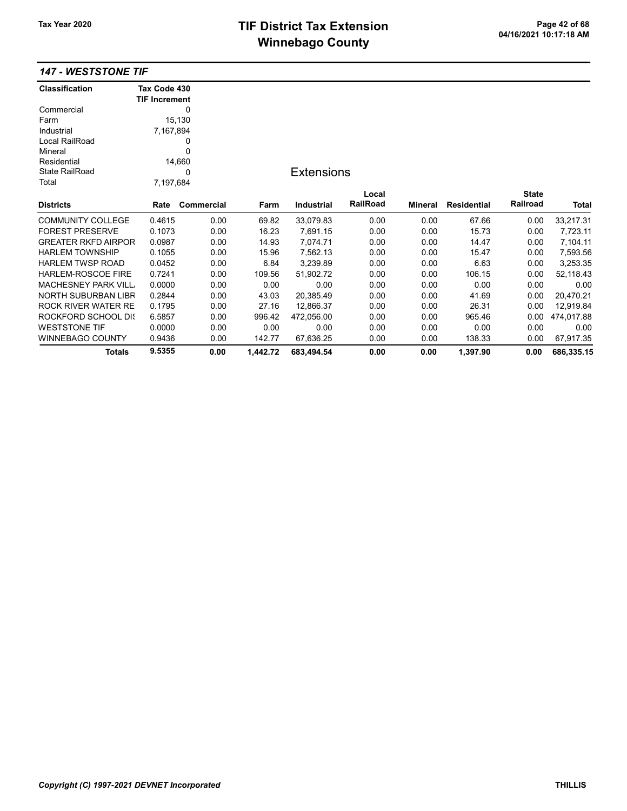# TIF District Tax Extension<br>
M's sales and Osman Actual Control Control of the Page 42 of 68 **Winnebago County**

## 147 - WESTSTONE TIF

| <b>Classification</b>      | Tax Code 430<br><b>TIF Increment</b> |            |          |                   |                 |         |                    |              |            |
|----------------------------|--------------------------------------|------------|----------|-------------------|-----------------|---------|--------------------|--------------|------------|
| Commercial                 |                                      | 0          |          |                   |                 |         |                    |              |            |
| Farm                       |                                      | 15,130     |          |                   |                 |         |                    |              |            |
| Industrial                 | 7,167,894                            |            |          |                   |                 |         |                    |              |            |
| Local RailRoad             |                                      | 0          |          |                   |                 |         |                    |              |            |
| Mineral                    |                                      | 0          |          |                   |                 |         |                    |              |            |
| Residential                |                                      | 14,660     |          |                   |                 |         |                    |              |            |
| <b>State RailRoad</b>      |                                      | 0          |          | <b>Extensions</b> |                 |         |                    |              |            |
| Total                      | 7,197,684                            |            |          |                   |                 |         |                    |              |            |
|                            |                                      |            |          |                   | Local           |         |                    | <b>State</b> |            |
| <b>Districts</b>           | Rate                                 | Commercial | Farm     | <b>Industrial</b> | <b>RailRoad</b> | Mineral | <b>Residential</b> | Railroad     | Total      |
| <b>COMMUNITY COLLEGE</b>   | 0.4615                               | 0.00       | 69.82    | 33,079.83         | 0.00            | 0.00    | 67.66              | 0.00         | 33,217.31  |
| <b>FOREST PRESERVE</b>     | 0.1073                               | 0.00       | 16.23    | 7,691.15          | 0.00            | 0.00    | 15.73              | 0.00         | 7,723.11   |
| <b>GREATER RKFD AIRPOR</b> | 0.0987                               | 0.00       | 14.93    | 7,074.71          | 0.00            | 0.00    | 14.47              | 0.00         | 7,104.11   |
| <b>HARLEM TOWNSHIP</b>     | 0.1055                               | 0.00       | 15.96    | 7,562.13          | 0.00            | 0.00    | 15.47              | 0.00         | 7,593.56   |
| <b>HARLEM TWSP ROAD</b>    | 0.0452                               | 0.00       | 6.84     | 3,239.89          | 0.00            | 0.00    | 6.63               | 0.00         | 3,253.35   |
| <b>HARLEM-ROSCOE FIRE</b>  | 0.7241                               | 0.00       | 109.56   | 51,902.72         | 0.00            | 0.00    | 106.15             | 0.00         | 52,118.43  |
| <b>MACHESNEY PARK VILL</b> | 0.0000                               | 0.00       | 0.00     | 0.00              | 0.00            | 0.00    | 0.00               | 0.00         | 0.00       |
| NORTH SUBURBAN LIBR        | 0.2844                               | 0.00       | 43.03    | 20,385.49         | 0.00            | 0.00    | 41.69              | 0.00         | 20,470.21  |
| ROCK RIVER WATER RE        | 0.1795                               | 0.00       | 27.16    | 12,866.37         | 0.00            | 0.00    | 26.31              | 0.00         | 12,919.84  |
| ROCKFORD SCHOOL DIS        | 6.5857                               | 0.00       | 996.42   | 472,056.00        | 0.00            | 0.00    | 965.46             | 0.00         | 474,017.88 |
| <b>WESTSTONE TIF</b>       | 0.0000                               | 0.00       | 0.00     | 0.00              | 0.00            | 0.00    | 0.00               | 0.00         | 0.00       |
| <b>WINNEBAGO COUNTY</b>    | 0.9436                               | 0.00       | 142.77   | 67,636.25         | 0.00            | 0.00    | 138.33             | 0.00         | 67,917.35  |
| Totals                     | 9.5355                               | 0.00       | 1.442.72 | 683.494.54        | 0.00            | 0.00    | 1,397.90           | 0.00         | 686,335.15 |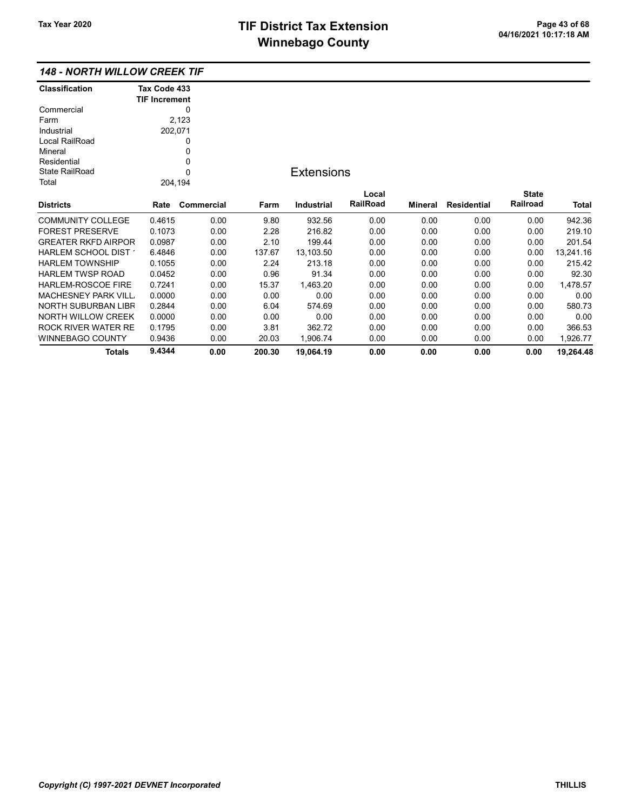## 148 - NORTH WILLOW CREEK TIF

| <b>Classification</b>      | Tax Code 433         |            |        |                   |          |         |                    |              |              |
|----------------------------|----------------------|------------|--------|-------------------|----------|---------|--------------------|--------------|--------------|
|                            | <b>TIF Increment</b> |            |        |                   |          |         |                    |              |              |
| Commercial                 |                      | 0          |        |                   |          |         |                    |              |              |
| Farm                       |                      | 2,123      |        |                   |          |         |                    |              |              |
| Industrial                 | 202,071              |            |        |                   |          |         |                    |              |              |
| Local RailRoad             |                      | 0          |        |                   |          |         |                    |              |              |
| Mineral                    |                      | 0          |        |                   |          |         |                    |              |              |
| Residential                |                      | 0          |        |                   |          |         |                    |              |              |
| <b>State RailRoad</b>      |                      | 0          |        | <b>Extensions</b> |          |         |                    |              |              |
| Total                      | 204,194              |            |        |                   |          |         |                    |              |              |
|                            |                      |            |        |                   | Local    |         |                    | <b>State</b> |              |
| <b>Districts</b>           | Rate                 | Commercial | Farm   | <b>Industrial</b> | RailRoad | Mineral | <b>Residential</b> | Railroad     | <b>Total</b> |
| <b>COMMUNITY COLLEGE</b>   | 0.4615               | 0.00       | 9.80   | 932.56            | 0.00     | 0.00    | 0.00               | 0.00         | 942.36       |
| <b>FOREST PRESERVE</b>     | 0.1073               | 0.00       | 2.28   | 216.82            | 0.00     | 0.00    | 0.00               | 0.00         | 219.10       |
| <b>GREATER RKFD AIRPOR</b> | 0.0987               | 0.00       | 2.10   | 199.44            | 0.00     | 0.00    | 0.00               | 0.00         | 201.54       |
| HARLEM SCHOOL DIST 1       | 6.4846               | 0.00       | 137.67 | 13,103.50         | 0.00     | 0.00    | 0.00               | 0.00         | 13,241.16    |
| <b>HARLEM TOWNSHIP</b>     | 0.1055               | 0.00       | 2.24   | 213.18            | 0.00     | 0.00    | 0.00               | 0.00         | 215.42       |
| <b>HARLEM TWSP ROAD</b>    | 0.0452               | 0.00       | 0.96   | 91.34             | 0.00     | 0.00    | 0.00               | 0.00         | 92.30        |
| <b>HARLEM-ROSCOE FIRE</b>  | 0.7241               | 0.00       | 15.37  | 1,463.20          | 0.00     | 0.00    | 0.00               | 0.00         | 1,478.57     |
| <b>MACHESNEY PARK VILL</b> | 0.0000               | 0.00       | 0.00   | 0.00              | 0.00     | 0.00    | 0.00               | 0.00         | 0.00         |
| NORTH SUBURBAN LIBR        | 0.2844               | 0.00       | 6.04   | 574.69            | 0.00     | 0.00    | 0.00               | 0.00         | 580.73       |
| NORTH WILLOW CREEK         | 0.0000               | 0.00       | 0.00   | 0.00              | 0.00     | 0.00    | 0.00               | 0.00         | 0.00         |
| <b>ROCK RIVER WATER RE</b> | 0.1795               | 0.00       | 3.81   | 362.72            | 0.00     | 0.00    | 0.00               | 0.00         | 366.53       |
| WINNEBAGO COUNTY           | 0.9436               | 0.00       | 20.03  | 1,906.74          | 0.00     | 0.00    | 0.00               | 0.00         | 1,926.77     |
| <b>Totals</b>              | 9.4344               | 0.00       | 200.30 | 19,064.19         | 0.00     | 0.00    | 0.00               | 0.00         | 19,264.48    |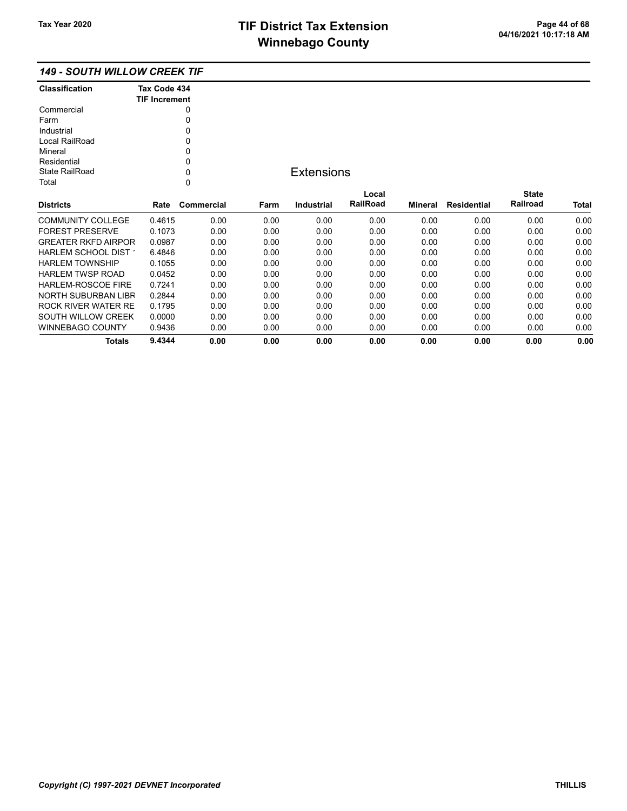Totals 9.4344 0.00 0.00 0.00 0.00 0.00 0.00 0.00 0.00

### 149 - SOUTH WILLOW CREEK TIF

| <b>Classification</b>      | Tax Code 434<br><b>TIF Increment</b> |              |      |                   |          |         |                    |              |       |
|----------------------------|--------------------------------------|--------------|------|-------------------|----------|---------|--------------------|--------------|-------|
| Commercial                 |                                      | 0            |      |                   |          |         |                    |              |       |
| Farm                       |                                      | 0            |      |                   |          |         |                    |              |       |
| Industrial                 |                                      | $\Omega$     |      |                   |          |         |                    |              |       |
| Local RailRoad             |                                      | $\Omega$     |      |                   |          |         |                    |              |       |
| Mineral                    |                                      | 0            |      |                   |          |         |                    |              |       |
| Residential                |                                      | 0            |      |                   |          |         |                    |              |       |
| State RailRoad             |                                      | 0            |      | <b>Extensions</b> |          |         |                    |              |       |
| Total                      |                                      | $\mathbf{0}$ |      |                   |          |         |                    |              |       |
|                            |                                      |              |      |                   | Local    |         |                    | <b>State</b> |       |
| <b>Districts</b>           | Rate                                 | Commercial   | Farm | Industrial        | RailRoad | Mineral | <b>Residential</b> | Railroad     | Total |
| <b>COMMUNITY COLLEGE</b>   | 0.4615                               | 0.00         | 0.00 | 0.00              | 0.00     | 0.00    | 0.00               | 0.00         | 0.00  |
| <b>FOREST PRESERVE</b>     | 0.1073                               | 0.00         | 0.00 | 0.00              | 0.00     | 0.00    | 0.00               | 0.00         | 0.00  |
| <b>GREATER RKFD AIRPOR</b> | 0.0987                               | 0.00         | 0.00 | 0.00              | 0.00     | 0.00    | 0.00               | 0.00         | 0.00  |
| HARLEM SCHOOL DIST         | 6.4846                               | 0.00         | 0.00 | 0.00              | 0.00     | 0.00    | 0.00               | 0.00         | 0.00  |
| <b>HARLEM TOWNSHIP</b>     | 0.1055                               | 0.00         | 0.00 | 0.00              | 0.00     | 0.00    | 0.00               | 0.00         | 0.00  |
| <b>HARLEM TWSP ROAD</b>    | 0.0452                               | 0.00         | 0.00 | 0.00              | 0.00     | 0.00    | 0.00               | 0.00         | 0.00  |
| HARLEM-ROSCOE FIRE         | 0.7241                               | 0.00         | 0.00 | 0.00              | 0.00     | 0.00    | 0.00               | 0.00         | 0.00  |
| NORTH SUBURBAN LIBR        | 0.2844                               | 0.00         | 0.00 | 0.00              | 0.00     | 0.00    | 0.00               | 0.00         | 0.00  |
| <b>ROCK RIVER WATER RE</b> | 0.1795                               | 0.00         | 0.00 | 0.00              | 0.00     | 0.00    | 0.00               | 0.00         | 0.00  |
| SOUTH WILLOW CREEK         | 0.0000                               | 0.00         | 0.00 | 0.00              | 0.00     | 0.00    | 0.00               | 0.00         | 0.00  |
| <b>WINNEBAGO COUNTY</b>    | 0.9436                               | 0.00         | 0.00 | 0.00              | 0.00     | 0.00    | 0.00               | 0.00         | 0.00  |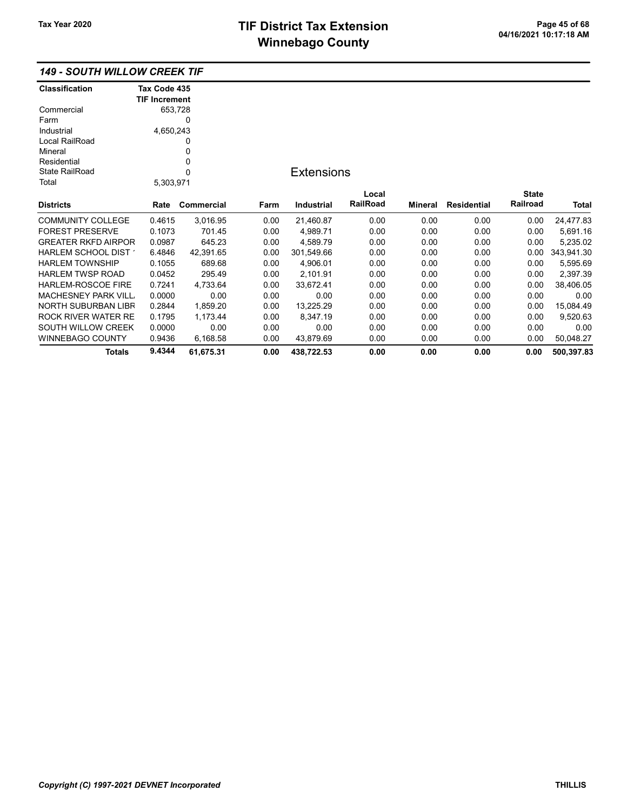### 149 - SOUTH WILLOW CREEK TIF

| <b>Classification</b>      | Tax Code 435         |            |      |                   |          |         |                    |              |              |
|----------------------------|----------------------|------------|------|-------------------|----------|---------|--------------------|--------------|--------------|
|                            | <b>TIF Increment</b> |            |      |                   |          |         |                    |              |              |
| Commercial                 |                      | 653,728    |      |                   |          |         |                    |              |              |
| Farm                       |                      | 0          |      |                   |          |         |                    |              |              |
| Industrial                 | 4,650,243            |            |      |                   |          |         |                    |              |              |
| Local RailRoad             |                      | 0          |      |                   |          |         |                    |              |              |
| Mineral                    |                      | 0          |      |                   |          |         |                    |              |              |
| Residential                |                      | 0          |      |                   |          |         |                    |              |              |
| <b>State RailRoad</b>      |                      | 0          |      | <b>Extensions</b> |          |         |                    |              |              |
| Total                      | 5,303,971            |            |      |                   |          |         |                    |              |              |
|                            |                      |            |      |                   | Local    |         |                    | <b>State</b> |              |
| <b>Districts</b>           | Rate                 | Commercial | Farm | Industrial        | RailRoad | Mineral | <b>Residential</b> | Railroad     | <b>Total</b> |
| <b>COMMUNITY COLLEGE</b>   | 0.4615               | 3,016.95   | 0.00 | 21,460.87         | 0.00     | 0.00    | 0.00               | 0.00         | 24,477.83    |
| <b>FOREST PRESERVE</b>     | 0.1073               | 701.45     | 0.00 | 4,989.71          | 0.00     | 0.00    | 0.00               | 0.00         | 5,691.16     |
| <b>GREATER RKFD AIRPOR</b> | 0.0987               | 645.23     | 0.00 | 4,589.79          | 0.00     | 0.00    | 0.00               | 0.00         | 5,235.02     |
| HARLEM SCHOOL DIST *       | 6.4846               | 42,391.65  | 0.00 | 301,549.66        | 0.00     | 0.00    | 0.00               | 0.00         | 343,941.30   |
| <b>HARLEM TOWNSHIP</b>     | 0.1055               | 689.68     | 0.00 | 4,906.01          | 0.00     | 0.00    | 0.00               | 0.00         | 5,595.69     |
| <b>HARLEM TWSP ROAD</b>    | 0.0452               | 295.49     | 0.00 | 2,101.91          | 0.00     | 0.00    | 0.00               | 0.00         | 2,397.39     |
| <b>HARLEM-ROSCOE FIRE</b>  | 0.7241               | 4,733.64   | 0.00 | 33,672.41         | 0.00     | 0.00    | 0.00               | 0.00         | 38,406.05    |
| <b>MACHESNEY PARK VILL</b> | 0.0000               | 0.00       | 0.00 | 0.00              | 0.00     | 0.00    | 0.00               | 0.00         | 0.00         |
| NORTH SUBURBAN LIBR        | 0.2844               | 1,859.20   | 0.00 | 13,225.29         | 0.00     | 0.00    | 0.00               | 0.00         | 15,084.49    |
| ROCK RIVER WATER RE        | 0.1795               | 1,173.44   | 0.00 | 8,347.19          | 0.00     | 0.00    | 0.00               | 0.00         | 9,520.63     |
| SOUTH WILLOW CREEK         | 0.0000               | 0.00       | 0.00 | 0.00              | 0.00     | 0.00    | 0.00               | 0.00         | 0.00         |
| <b>WINNEBAGO COUNTY</b>    | 0.9436               | 6,168.58   | 0.00 | 43,879.69         | 0.00     | 0.00    | 0.00               | 0.00         | 50,048.27    |
| <b>Totals</b>              | 9.4344               | 61,675.31  | 0.00 | 438,722.53        | 0.00     | 0.00    | 0.00               | 0.00         | 500,397.83   |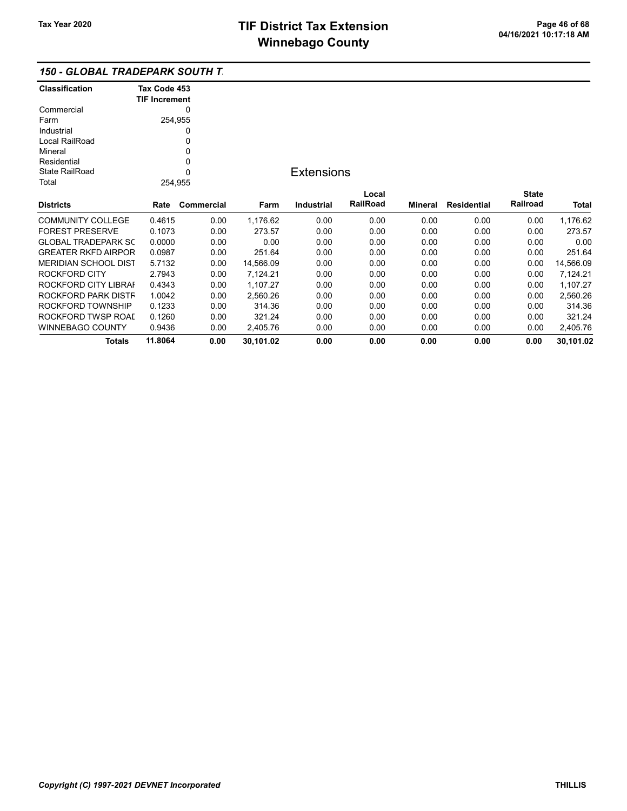#### 150 - GLOBAL TRADEPARK SOUTH T

| <b>Classification</b>       | Tax Code 453         |            |           |                   |          |         |                    |              |              |
|-----------------------------|----------------------|------------|-----------|-------------------|----------|---------|--------------------|--------------|--------------|
|                             | <b>TIF Increment</b> |            |           |                   |          |         |                    |              |              |
| Commercial                  |                      | 0          |           |                   |          |         |                    |              |              |
| Farm                        | 254,955              |            |           |                   |          |         |                    |              |              |
| Industrial                  |                      | 0          |           |                   |          |         |                    |              |              |
| Local RailRoad              |                      | 0          |           |                   |          |         |                    |              |              |
| Mineral                     |                      | 0          |           |                   |          |         |                    |              |              |
| Residential                 |                      | 0          |           |                   |          |         |                    |              |              |
| <b>State RailRoad</b>       |                      | 0          |           | <b>Extensions</b> |          |         |                    |              |              |
| Total                       |                      | 254,955    |           |                   |          |         |                    |              |              |
|                             |                      |            |           |                   | Local    |         |                    | <b>State</b> |              |
| <b>Districts</b>            | Rate                 | Commercial | Farm      | Industrial        | RailRoad | Mineral | <b>Residential</b> | Railroad     | <b>Total</b> |
| <b>COMMUNITY COLLEGE</b>    | 0.4615               | 0.00       | 1,176.62  | 0.00              | 0.00     | 0.00    | 0.00               | 0.00         | 1,176.62     |
| <b>FOREST PRESERVE</b>      | 0.1073               | 0.00       | 273.57    | 0.00              | 0.00     | 0.00    | 0.00               | 0.00         | 273.57       |
| <b>GLOBAL TRADEPARK SC</b>  | 0.0000               | 0.00       | 0.00      | 0.00              | 0.00     | 0.00    | 0.00               | 0.00         | 0.00         |
| <b>GREATER RKFD AIRPOR</b>  | 0.0987               | 0.00       | 251.64    | 0.00              | 0.00     | 0.00    | 0.00               | 0.00         | 251.64       |
| <b>MERIDIAN SCHOOL DIST</b> | 5.7132               | 0.00       | 14,566.09 | 0.00              | 0.00     | 0.00    | 0.00               | 0.00         | 14,566.09    |
| ROCKFORD CITY               | 2.7943               | 0.00       | 7,124.21  | 0.00              | 0.00     | 0.00    | 0.00               | 0.00         | 7,124.21     |
| ROCKFORD CITY LIBRAI        | 0.4343               | 0.00       | 1,107.27  | 0.00              | 0.00     | 0.00    | 0.00               | 0.00         | 1,107.27     |
| ROCKFORD PARK DISTF         | 1.0042               | 0.00       | 2,560.26  | 0.00              | 0.00     | 0.00    | 0.00               | 0.00         | 2,560.26     |
| ROCKFORD TOWNSHIP           | 0.1233               | 0.00       | 314.36    | 0.00              | 0.00     | 0.00    | 0.00               | 0.00         | 314.36       |
| ROCKFORD TWSP ROAI          | 0.1260               | 0.00       | 321.24    | 0.00              | 0.00     | 0.00    | 0.00               | 0.00         | 321.24       |
| <b>WINNEBAGO COUNTY</b>     | 0.9436               | 0.00       | 2,405.76  | 0.00              | 0.00     | 0.00    | 0.00               | 0.00         | 2,405.76     |
| <b>Totals</b>               | 11.8064              | 0.00       | 30,101.02 | 0.00              | 0.00     | 0.00    | 0.00               | 0.00         | 30,101.02    |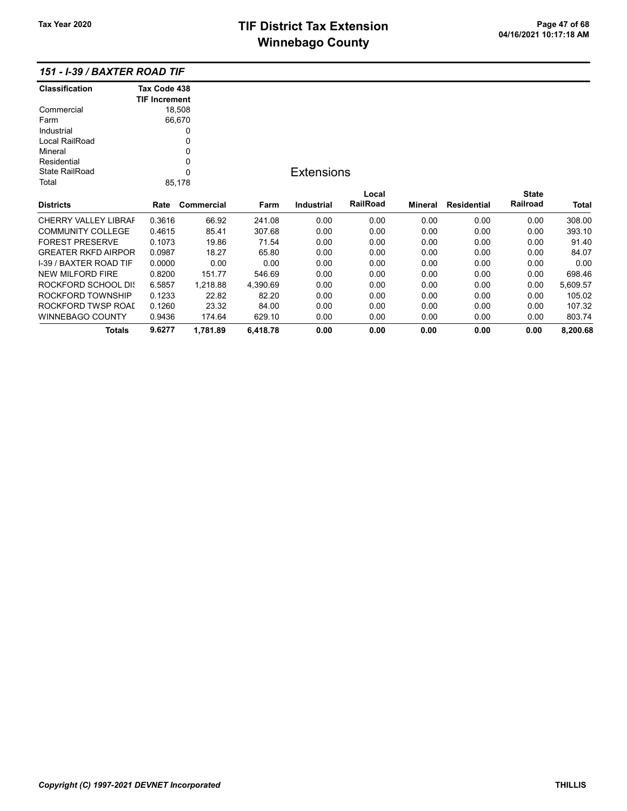# TIF District Tax Extension<br>
M's sales and Osman Actual Control Control of Control of Control of Control of Control of Control of Control o **Winnebago County**

| <b>Classification</b>         | Tax Code 438         |            |          |                   |          |         |                    |              |          |
|-------------------------------|----------------------|------------|----------|-------------------|----------|---------|--------------------|--------------|----------|
|                               | <b>TIF Increment</b> |            |          |                   |          |         |                    |              |          |
| Commercial                    |                      | 18,508     |          |                   |          |         |                    |              |          |
| Farm                          |                      | 66,670     |          |                   |          |         |                    |              |          |
| Industrial                    |                      | 0          |          |                   |          |         |                    |              |          |
| Local RailRoad                |                      | 0          |          |                   |          |         |                    |              |          |
| Mineral                       |                      | 0          |          |                   |          |         |                    |              |          |
| Residential                   |                      | 0          |          |                   |          |         |                    |              |          |
| State RailRoad                |                      | 0          |          | <b>Extensions</b> |          |         |                    |              |          |
| Total                         |                      | 85,178     |          |                   |          |         |                    |              |          |
|                               |                      |            |          |                   | Local    |         |                    | <b>State</b> |          |
| <b>Districts</b>              | Rate                 | Commercial | Farm     | <b>Industrial</b> | RailRoad | Mineral | <b>Residential</b> | Railroad     | Total    |
| <b>CHERRY VALLEY LIBRAF</b>   | 0.3616               | 66.92      | 241.08   | 0.00              | 0.00     | 0.00    | 0.00               | 0.00         | 308.00   |
| <b>COMMUNITY COLLEGE</b>      | 0.4615               | 85.41      | 307.68   | 0.00              | 0.00     | 0.00    | 0.00               | 0.00         | 393.10   |
| <b>FOREST PRESERVE</b>        | 0.1073               | 19.86      | 71.54    | 0.00              | 0.00     | 0.00    | 0.00               | 0.00         | 91.40    |
| <b>GREATER RKFD AIRPOR</b>    | 0.0987               | 18.27      | 65.80    | 0.00              | 0.00     | 0.00    | 0.00               | 0.00         | 84.07    |
| <b>I-39 / BAXTER ROAD TIF</b> | 0.0000               | 0.00       | 0.00     | 0.00              | 0.00     | 0.00    | 0.00               | 0.00         | 0.00     |
| <b>NEW MILFORD FIRE</b>       | 0.8200               | 151.77     | 546.69   | 0.00              | 0.00     | 0.00    | 0.00               | 0.00         | 698.46   |
| ROCKFORD SCHOOL DIS           | 6.5857               | 1,218.88   | 4,390.69 | 0.00              | 0.00     | 0.00    | 0.00               | 0.00         | 5,609.57 |
| ROCKFORD TOWNSHIP             | 0.1233               | 22.82      | 82.20    | 0.00              | 0.00     | 0.00    | 0.00               | 0.00         | 105.02   |
| ROCKFORD TWSP ROAI            | 0.1260               | 23.32      | 84.00    | 0.00              | 0.00     | 0.00    | 0.00               | 0.00         | 107.32   |
| <b>WINNEBAGO COUNTY</b>       | 0.9436               | 174.64     | 629.10   | 0.00              | 0.00     | 0.00    | 0.00               | 0.00         | 803.74   |
| <b>Totals</b>                 | 9.6277               | 1,781.89   | 6,418.78 | 0.00              | 0.00     | 0.00    | 0.00               | 0.00         | 8,200.68 |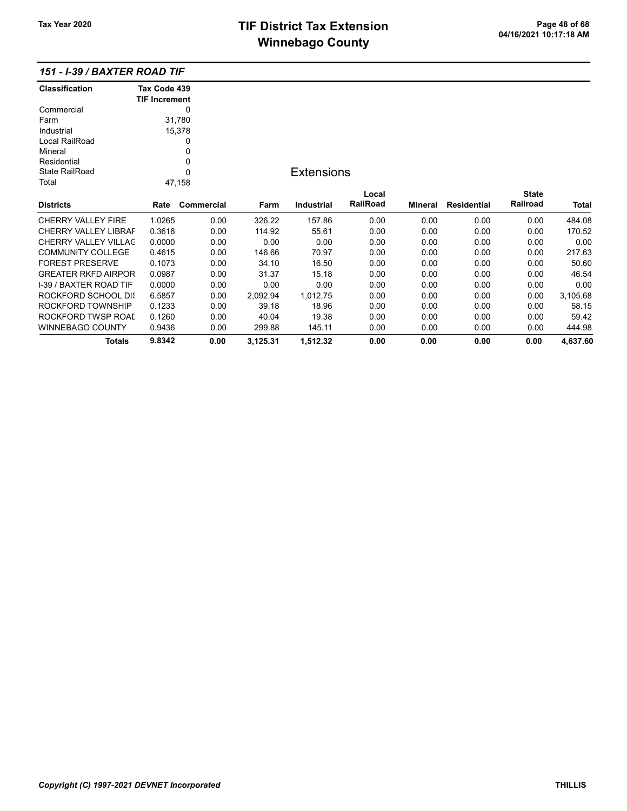# TIF District Tax Extension<br>
M's sales and Octube 11 of the Capace Connect Attenual Connect Attenual Decay of the Page 48 of 68 **Winnebago County**

| <b>Classification</b>         | Tax Code 439         |            |          |                   |          |                |                    |              |          |
|-------------------------------|----------------------|------------|----------|-------------------|----------|----------------|--------------------|--------------|----------|
|                               | <b>TIF Increment</b> |            |          |                   |          |                |                    |              |          |
| Commercial                    |                      | 0          |          |                   |          |                |                    |              |          |
| Farm                          |                      | 31,780     |          |                   |          |                |                    |              |          |
| Industrial                    |                      | 15,378     |          |                   |          |                |                    |              |          |
| Local RailRoad                |                      | 0          |          |                   |          |                |                    |              |          |
| Mineral                       |                      | 0          |          |                   |          |                |                    |              |          |
| Residential                   |                      | 0          |          |                   |          |                |                    |              |          |
| <b>State RailRoad</b>         |                      | 0          |          | <b>Extensions</b> |          |                |                    |              |          |
| Total                         |                      | 47,158     |          |                   |          |                |                    |              |          |
|                               |                      |            |          |                   | Local    |                |                    | <b>State</b> |          |
| <b>Districts</b>              | Rate                 | Commercial | Farm     | <b>Industrial</b> | RailRoad | <b>Mineral</b> | <b>Residential</b> | Railroad     | Total    |
| <b>CHERRY VALLEY FIRE</b>     | 1.0265               | 0.00       | 326.22   | 157.86            | 0.00     | 0.00           | 0.00               | 0.00         | 484.08   |
| <b>CHERRY VALLEY LIBRAF</b>   | 0.3616               | 0.00       | 114.92   | 55.61             | 0.00     | 0.00           | 0.00               | 0.00         | 170.52   |
| <b>CHERRY VALLEY VILLAC</b>   | 0.0000               | 0.00       | 0.00     | 0.00              | 0.00     | 0.00           | 0.00               | 0.00         | 0.00     |
| <b>COMMUNITY COLLEGE</b>      | 0.4615               | 0.00       | 146.66   | 70.97             | 0.00     | 0.00           | 0.00               | 0.00         | 217.63   |
| <b>FOREST PRESERVE</b>        | 0.1073               | 0.00       | 34.10    | 16.50             | 0.00     | 0.00           | 0.00               | 0.00         | 50.60    |
| <b>GREATER RKFD AIRPOR</b>    | 0.0987               | 0.00       | 31.37    | 15.18             | 0.00     | 0.00           | 0.00               | 0.00         | 46.54    |
| <b>I-39 / BAXTER ROAD TIF</b> | 0.0000               | 0.00       | 0.00     | 0.00              | 0.00     | 0.00           | 0.00               | 0.00         | 0.00     |
| <b>ROCKFORD SCHOOL DIS</b>    | 6.5857               | 0.00       | 2,092.94 | 1,012.75          | 0.00     | 0.00           | 0.00               | 0.00         | 3,105.68 |
| ROCKFORD TOWNSHIP             | 0.1233               | 0.00       | 39.18    | 18.96             | 0.00     | 0.00           | 0.00               | 0.00         | 58.15    |
| ROCKFORD TWSP ROAL            | 0.1260               | 0.00       | 40.04    | 19.38             | 0.00     | 0.00           | 0.00               | 0.00         | 59.42    |
| <b>WINNEBAGO COUNTY</b>       | 0.9436               | 0.00       | 299.88   | 145.11            | 0.00     | 0.00           | 0.00               | 0.00         | 444.98   |
| Totals                        | 9.8342               | 0.00       | 3,125.31 | 1,512.32          | 0.00     | 0.00           | 0.00               | 0.00         | 4,637.60 |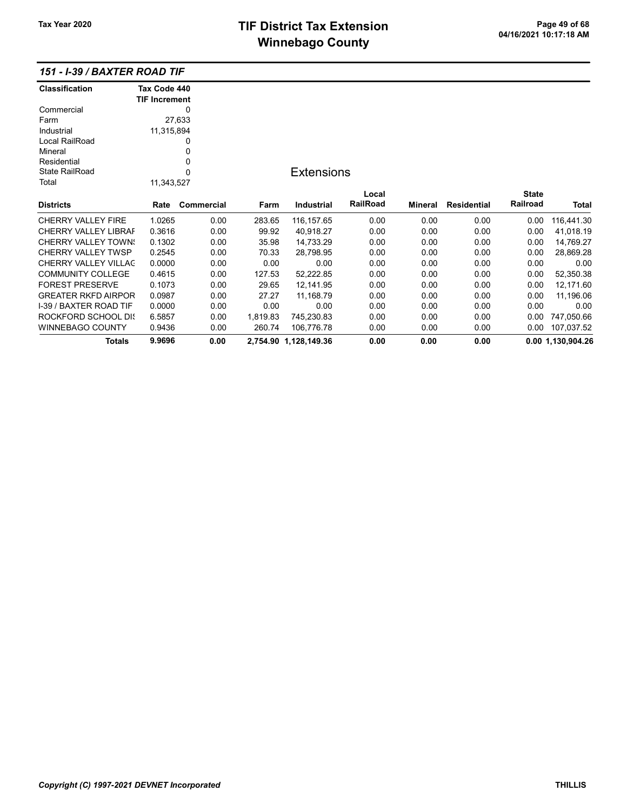| <b>Classification</b>       | Tax Code 440<br><b>TIF Increment</b> |            |          |                       |          |         |                    |              |                   |
|-----------------------------|--------------------------------------|------------|----------|-----------------------|----------|---------|--------------------|--------------|-------------------|
| Commercial                  |                                      | 0          |          |                       |          |         |                    |              |                   |
| Farm                        |                                      | 27,633     |          |                       |          |         |                    |              |                   |
| Industrial                  | 11,315,894                           |            |          |                       |          |         |                    |              |                   |
| Local RailRoad              |                                      | 0          |          |                       |          |         |                    |              |                   |
| Mineral                     |                                      | 0          |          |                       |          |         |                    |              |                   |
| Residential                 |                                      | 0          |          |                       |          |         |                    |              |                   |
| <b>State RailRoad</b>       |                                      | 0          |          | <b>Extensions</b>     |          |         |                    |              |                   |
| Total                       | 11,343,527                           |            |          |                       |          |         |                    |              |                   |
|                             |                                      |            |          |                       | Local    |         |                    | <b>State</b> |                   |
| <b>Districts</b>            | Rate                                 | Commercial | Farm     | Industrial            | RailRoad | Mineral | <b>Residential</b> | Railroad     | Total             |
| <b>CHERRY VALLEY FIRE</b>   | 1.0265                               | 0.00       | 283.65   | 116,157.65            | 0.00     | 0.00    | 0.00               | 0.00         | 116,441.30        |
| <b>CHERRY VALLEY LIBRAF</b> | 0.3616                               | 0.00       | 99.92    | 40,918.27             | 0.00     | 0.00    | 0.00               | 0.00         | 41,018.19         |
| <b>CHERRY VALLEY TOWN:</b>  | 0.1302                               | 0.00       | 35.98    | 14,733.29             | 0.00     | 0.00    | 0.00               | 0.00         | 14,769.27         |
| <b>CHERRY VALLEY TWSP</b>   | 0.2545                               | 0.00       | 70.33    | 28,798.95             | 0.00     | 0.00    | 0.00               | 0.00         | 28,869.28         |
| <b>CHERRY VALLEY VILLAC</b> | 0.0000                               | 0.00       | 0.00     | 0.00                  | 0.00     | 0.00    | 0.00               | 0.00         | 0.00              |
| <b>COMMUNITY COLLEGE</b>    | 0.4615                               | 0.00       | 127.53   | 52,222.85             | 0.00     | 0.00    | 0.00               | 0.00         | 52,350.38         |
| <b>FOREST PRESERVE</b>      | 0.1073                               | 0.00       | 29.65    | 12,141.95             | 0.00     | 0.00    | 0.00               | 0.00         | 12,171.60         |
| <b>GREATER RKFD AIRPOR</b>  | 0.0987                               | 0.00       | 27.27    | 11,168.79             | 0.00     | 0.00    | 0.00               | 0.00         | 11,196.06         |
| I-39 / BAXTER ROAD TIF      | 0.0000                               | 0.00       | 0.00     | 0.00                  | 0.00     | 0.00    | 0.00               | 0.00         | 0.00              |
| ROCKFORD SCHOOL DIS         | 6.5857                               | 0.00       | 1,819.83 | 745,230.83            | 0.00     | 0.00    | 0.00               | 0.00         | 747,050.66        |
| WINNEBAGO COUNTY            | 0.9436                               | 0.00       | 260.74   | 106,776.78            | 0.00     | 0.00    | 0.00               | 0.00         | 107,037.52        |
| Totals                      | 9.9696                               | 0.00       |          | 2,754.90 1,128,149.36 | 0.00     | 0.00    | 0.00               |              | 0.00 1,130,904.26 |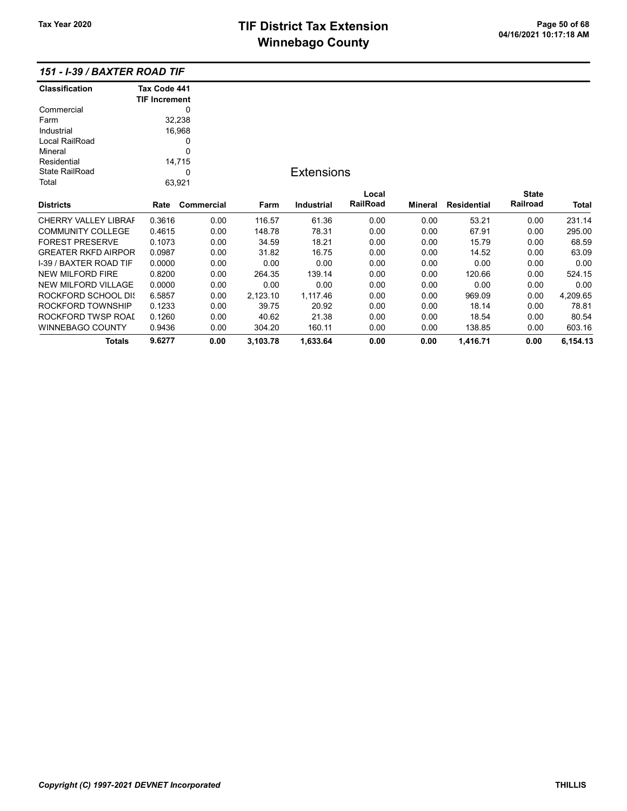| <b>Classification</b>       | Tax Code 441  |            |          |                   |          |                |                    |              |          |
|-----------------------------|---------------|------------|----------|-------------------|----------|----------------|--------------------|--------------|----------|
|                             | TIF Increment |            |          |                   |          |                |                    |              |          |
| Commercial                  |               | 0          |          |                   |          |                |                    |              |          |
| Farm                        |               | 32,238     |          |                   |          |                |                    |              |          |
| Industrial                  |               | 16,968     |          |                   |          |                |                    |              |          |
| Local RailRoad              |               | 0          |          |                   |          |                |                    |              |          |
| Mineral                     |               | 0          |          |                   |          |                |                    |              |          |
| Residential                 |               | 14,715     |          |                   |          |                |                    |              |          |
| <b>State RailRoad</b>       |               | 0          |          | <b>Extensions</b> |          |                |                    |              |          |
| Total                       |               | 63,921     |          |                   |          |                |                    |              |          |
|                             |               |            |          |                   | Local    |                |                    | <b>State</b> |          |
| <b>Districts</b>            | Rate          | Commercial | Farm     | Industrial        | RailRoad | <b>Mineral</b> | <b>Residential</b> | Railroad     | Total    |
| <b>CHERRY VALLEY LIBRAF</b> | 0.3616        | 0.00       | 116.57   | 61.36             | 0.00     | 0.00           | 53.21              | 0.00         | 231.14   |
| <b>COMMUNITY COLLEGE</b>    | 0.4615        | 0.00       | 148.78   | 78.31             | 0.00     | 0.00           | 67.91              | 0.00         | 295.00   |
| <b>FOREST PRESERVE</b>      | 0.1073        | 0.00       | 34.59    | 18.21             | 0.00     | 0.00           | 15.79              | 0.00         | 68.59    |
| <b>GREATER RKFD AIRPOR</b>  | 0.0987        | 0.00       | 31.82    | 16.75             | 0.00     | 0.00           | 14.52              | 0.00         | 63.09    |
| I-39 / BAXTER ROAD TIF      | 0.0000        | 0.00       | 0.00     | 0.00              | 0.00     | 0.00           | 0.00               | 0.00         | 0.00     |
| <b>NEW MILFORD FIRE</b>     | 0.8200        | 0.00       | 264.35   | 139.14            | 0.00     | 0.00           | 120.66             | 0.00         | 524.15   |
| <b>NEW MILFORD VILLAGE</b>  | 0.0000        | 0.00       | 0.00     | 0.00              | 0.00     | 0.00           | 0.00               | 0.00         | 0.00     |
| ROCKFORD SCHOOL DIS         | 6.5857        | 0.00       | 2,123.10 | 1,117.46          | 0.00     | 0.00           | 969.09             | 0.00         | 4,209.65 |
| ROCKFORD TOWNSHIP           | 0.1233        | 0.00       | 39.75    | 20.92             | 0.00     | 0.00           | 18.14              | 0.00         | 78.81    |
| ROCKFORD TWSP ROAI          | 0.1260        | 0.00       | 40.62    | 21.38             | 0.00     | 0.00           | 18.54              | 0.00         | 80.54    |
| <b>WINNEBAGO COUNTY</b>     | 0.9436        | 0.00       | 304.20   | 160.11            | 0.00     | 0.00           | 138.85             | 0.00         | 603.16   |
| Totals                      | 9.6277        | 0.00       | 3,103.78 | 1,633.64          | 0.00     | 0.00           | 1,416.71           | 0.00         | 6,154.13 |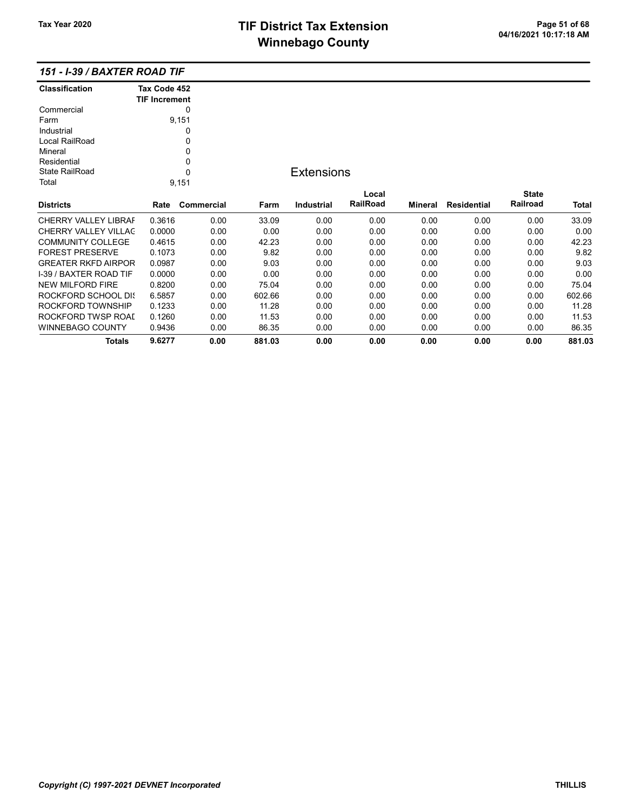### 151 - I-39 / BAXTER ROAD TIF

| <b>Classification</b> | Tax Code 452<br><b>TIF Increment</b> |
|-----------------------|--------------------------------------|
| Commercial            | O                                    |
| Farm                  | 9,151                                |
| Industrial            | 0                                    |
| Local RailRoad        | 0                                    |
| Mineral               | 0                                    |
| Residential           | 0                                    |
| State RailRoad        | 0                                    |
| Total                 | 9,151                                |

## **Extensions**

|                               |        |            |        |                   | Local           |         |             | <b>State</b> |              |
|-------------------------------|--------|------------|--------|-------------------|-----------------|---------|-------------|--------------|--------------|
| <b>Districts</b>              | Rate   | Commercial | Farm   | <b>Industrial</b> | <b>RailRoad</b> | Mineral | Residential | Railroad     | <b>Total</b> |
| <b>CHERRY VALLEY LIBRAF</b>   | 0.3616 | 0.00       | 33.09  | 0.00              | 0.00            | 0.00    | 0.00        | 0.00         | 33.09        |
| CHERRY VALLEY VILLAC          | 0.0000 | 0.00       | 0.00   | 0.00              | 0.00            | 0.00    | 0.00        | 0.00         | 0.00         |
| <b>COMMUNITY COLLEGE</b>      | 0.4615 | 0.00       | 42.23  | 0.00              | 0.00            | 0.00    | 0.00        | 0.00         | 42.23        |
| <b>FOREST PRESERVE</b>        | 0.1073 | 0.00       | 9.82   | 0.00              | 0.00            | 0.00    | 0.00        | 0.00         | 9.82         |
| <b>GREATER RKFD AIRPOR</b>    | 0.0987 | 0.00       | 9.03   | 0.00              | 0.00            | 0.00    | 0.00        | 0.00         | 9.03         |
| <b>I-39 / BAXTER ROAD TIF</b> | 0.0000 | 0.00       | 0.00   | 0.00              | 0.00            | 0.00    | 0.00        | 0.00         | 0.00         |
| NEW MILFORD FIRE              | 0.8200 | 0.00       | 75.04  | 0.00              | 0.00            | 0.00    | 0.00        | 0.00         | 75.04        |
| ROCKFORD SCHOOL DIS           | 6.5857 | 0.00       | 602.66 | 0.00              | 0.00            | 0.00    | 0.00        | 0.00         | 602.66       |
| ROCKFORD TOWNSHIP             | 0.1233 | 0.00       | 11.28  | 0.00              | 0.00            | 0.00    | 0.00        | 0.00         | 11.28        |
| ROCKFORD TWSP ROAL            | 0.1260 | 0.00       | 11.53  | 0.00              | 0.00            | 0.00    | 0.00        | 0.00         | 11.53        |
| WINNEBAGO COUNTY              | 0.9436 | 0.00       | 86.35  | 0.00              | 0.00            | 0.00    | 0.00        | 0.00         | 86.35        |
| Totals                        | 9.6277 | 0.00       | 881.03 | 0.00              | 0.00            | 0.00    | 0.00        | 0.00         | 881.03       |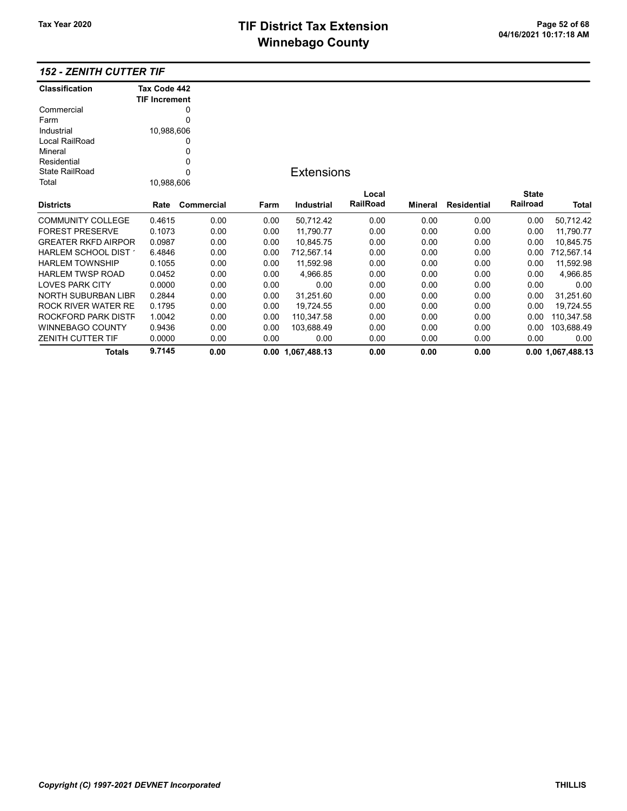## 152 - ZENITH CUTTER TIF

| <b>Classification</b>      | Tax Code 442         |            |      |                   |          |         |                    |              |                   |
|----------------------------|----------------------|------------|------|-------------------|----------|---------|--------------------|--------------|-------------------|
|                            | <b>TIF Increment</b> |            |      |                   |          |         |                    |              |                   |
| Commercial                 |                      | 0          |      |                   |          |         |                    |              |                   |
| Farm                       |                      | 0          |      |                   |          |         |                    |              |                   |
| Industrial                 | 10,988,606           |            |      |                   |          |         |                    |              |                   |
| Local RailRoad             |                      | 0          |      |                   |          |         |                    |              |                   |
| Mineral                    |                      | 0          |      |                   |          |         |                    |              |                   |
| Residential                |                      | 0          |      |                   |          |         |                    |              |                   |
| <b>State RailRoad</b>      |                      | 0          |      | <b>Extensions</b> |          |         |                    |              |                   |
| Total                      | 10,988,606           |            |      |                   |          |         |                    |              |                   |
|                            |                      |            |      |                   | Local    |         |                    | <b>State</b> |                   |
| <b>Districts</b>           | Rate                 | Commercial | Farm | <b>Industrial</b> | RailRoad | Mineral | <b>Residential</b> | Railroad     | <b>Total</b>      |
| <b>COMMUNITY COLLEGE</b>   | 0.4615               | 0.00       | 0.00 | 50,712.42         | 0.00     | 0.00    | 0.00               | 0.00         | 50,712.42         |
| <b>FOREST PRESERVE</b>     | 0.1073               | 0.00       | 0.00 | 11,790.77         | 0.00     | 0.00    | 0.00               | 0.00         | 11,790.77         |
| <b>GREATER RKFD AIRPOR</b> | 0.0987               | 0.00       | 0.00 | 10,845.75         | 0.00     | 0.00    | 0.00               | 0.00         | 10,845.75         |
| HARLEM SCHOOL DIST 1       | 6.4846               | 0.00       | 0.00 | 712,567.14        | 0.00     | 0.00    | 0.00               | 0.00         | 712,567.14        |
| <b>HARLEM TOWNSHIP</b>     | 0.1055               | 0.00       | 0.00 | 11,592.98         | 0.00     | 0.00    | 0.00               | 0.00         | 11,592.98         |
| <b>HARLEM TWSP ROAD</b>    | 0.0452               | 0.00       | 0.00 | 4,966.85          | 0.00     | 0.00    | 0.00               | 0.00         | 4,966.85          |
| <b>LOVES PARK CITY</b>     | 0.0000               | 0.00       | 0.00 | 0.00              | 0.00     | 0.00    | 0.00               | 0.00         | 0.00              |
| NORTH SUBURBAN LIBR        | 0.2844               | 0.00       | 0.00 | 31,251.60         | 0.00     | 0.00    | 0.00               | 0.00         | 31,251.60         |
| <b>ROCK RIVER WATER RE</b> | 0.1795               | 0.00       | 0.00 | 19,724.55         | 0.00     | 0.00    | 0.00               | 0.00         | 19,724.55         |
| ROCKFORD PARK DISTF        | 1.0042               | 0.00       | 0.00 | 110,347.58        | 0.00     | 0.00    | 0.00               | 0.00         | 110,347.58        |
| <b>WINNEBAGO COUNTY</b>    | 0.9436               | 0.00       | 0.00 | 103,688.49        | 0.00     | 0.00    | 0.00               | 0.00         | 103,688.49        |
| <b>ZENITH CUTTER TIF</b>   | 0.0000               | 0.00       | 0.00 | 0.00              | 0.00     | 0.00    | 0.00               | 0.00         | 0.00              |
| <b>Totals</b>              | 9.7145               | 0.00       |      | 0.00 1,067,488.13 | 0.00     | 0.00    | 0.00               |              | 0.00 1,067,488.13 |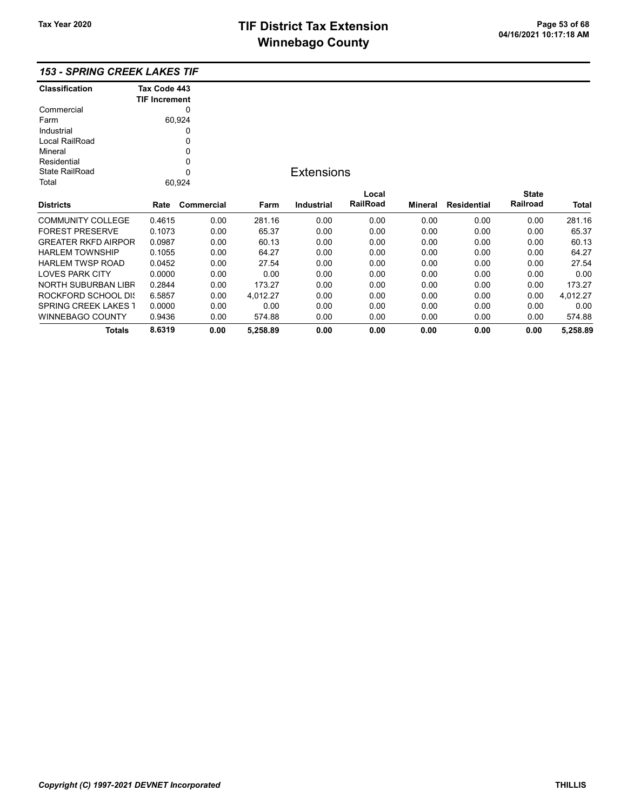# TIF District Tax Extension<br>
Mission 2009 10:17:18 AM **Winnebago County**

| <b>Classification</b>       | Tax Code 443<br><b>TIF Increment</b> |            |          |                   |          |                |                    |              |          |
|-----------------------------|--------------------------------------|------------|----------|-------------------|----------|----------------|--------------------|--------------|----------|
| Commercial                  |                                      | 0          |          |                   |          |                |                    |              |          |
| Farm                        |                                      | 60,924     |          |                   |          |                |                    |              |          |
| Industrial                  |                                      | 0          |          |                   |          |                |                    |              |          |
| Local RailRoad              |                                      | 0          |          |                   |          |                |                    |              |          |
| Mineral                     |                                      | 0          |          |                   |          |                |                    |              |          |
| Residential                 |                                      | 0          |          |                   |          |                |                    |              |          |
| <b>State RailRoad</b>       |                                      | $\Omega$   |          | <b>Extensions</b> |          |                |                    |              |          |
| Total                       |                                      | 60,924     |          |                   |          |                |                    |              |          |
|                             |                                      |            |          |                   | Local    |                |                    | <b>State</b> |          |
| <b>Districts</b>            | Rate                                 | Commercial | Farm     | <b>Industrial</b> | RailRoad | <b>Mineral</b> | <b>Residential</b> | Railroad     | Total    |
| <b>COMMUNITY COLLEGE</b>    | 0.4615                               | 0.00       | 281.16   | 0.00              | 0.00     | 0.00           | 0.00               | 0.00         | 281.16   |
| <b>FOREST PRESERVE</b>      | 0.1073                               | 0.00       | 65.37    | 0.00              | 0.00     | 0.00           | 0.00               | 0.00         | 65.37    |
| <b>GREATER RKFD AIRPOR</b>  | 0.0987                               | 0.00       | 60.13    | 0.00              | 0.00     | 0.00           | 0.00               | 0.00         | 60.13    |
| <b>HARLEM TOWNSHIP</b>      | 0.1055                               | 0.00       | 64.27    | 0.00              | 0.00     | 0.00           | 0.00               | 0.00         | 64.27    |
| <b>HARLEM TWSP ROAD</b>     | 0.0452                               | 0.00       | 27.54    | 0.00              | 0.00     | 0.00           | 0.00               | 0.00         | 27.54    |
| <b>LOVES PARK CITY</b>      | 0.0000                               | 0.00       | 0.00     | 0.00              | 0.00     | 0.00           | 0.00               | 0.00         | 0.00     |
| NORTH SUBURBAN LIBR         | 0.2844                               | 0.00       | 173.27   | 0.00              | 0.00     | 0.00           | 0.00               | 0.00         | 173.27   |
| <b>ROCKFORD SCHOOL DIS</b>  | 6.5857                               | 0.00       | 4,012.27 | 0.00              | 0.00     | 0.00           | 0.00               | 0.00         | 4,012.27 |
| <b>SPRING CREEK LAKES 1</b> | 0.0000                               | 0.00       | 0.00     | 0.00              | 0.00     | 0.00           | 0.00               | 0.00         | 0.00     |
| <b>WINNEBAGO COUNTY</b>     | 0.9436                               | 0.00       | 574.88   | 0.00              | 0.00     | 0.00           | 0.00               | 0.00         | 574.88   |
| Totals                      | 8.6319                               | 0.00       | 5,258.89 | 0.00              | 0.00     | 0.00           | 0.00               | 0.00         | 5,258.89 |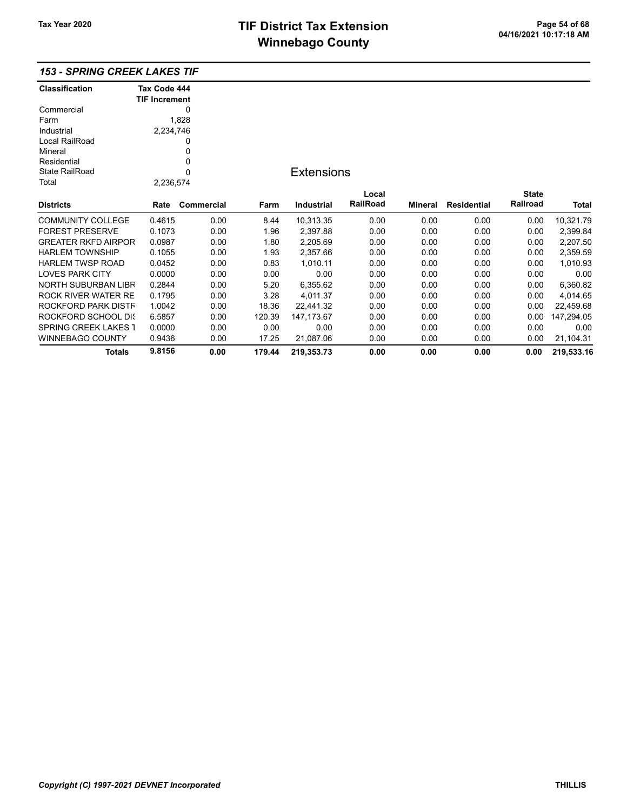| <b>Classification</b>       | Tax Code 444         |            |        |                   |          |                |                    |              |            |
|-----------------------------|----------------------|------------|--------|-------------------|----------|----------------|--------------------|--------------|------------|
|                             | <b>TIF Increment</b> |            |        |                   |          |                |                    |              |            |
| Commercial                  |                      | 0          |        |                   |          |                |                    |              |            |
| Farm                        |                      | 1,828      |        |                   |          |                |                    |              |            |
| Industrial                  | 2,234,746            |            |        |                   |          |                |                    |              |            |
| Local RailRoad              |                      | 0          |        |                   |          |                |                    |              |            |
| Mineral                     |                      | 0          |        |                   |          |                |                    |              |            |
| Residential                 |                      | 0          |        |                   |          |                |                    |              |            |
| <b>State RailRoad</b>       |                      | 0          |        | <b>Extensions</b> |          |                |                    |              |            |
| Total                       | 2,236,574            |            |        |                   |          |                |                    |              |            |
|                             |                      |            |        |                   | Local    |                |                    | <b>State</b> |            |
| <b>Districts</b>            | Rate                 | Commercial | Farm   | <b>Industrial</b> | RailRoad | <b>Mineral</b> | <b>Residential</b> | Railroad     | Total      |
| <b>COMMUNITY COLLEGE</b>    | 0.4615               | 0.00       | 8.44   | 10,313.35         | 0.00     | 0.00           | 0.00               | 0.00         | 10,321.79  |
| <b>FOREST PRESERVE</b>      | 0.1073               | 0.00       | 1.96   | 2,397.88          | 0.00     | 0.00           | 0.00               | 0.00         | 2,399.84   |
| <b>GREATER RKFD AIRPOR</b>  | 0.0987               | 0.00       | 1.80   | 2,205.69          | 0.00     | 0.00           | 0.00               | 0.00         | 2,207.50   |
| <b>HARLEM TOWNSHIP</b>      | 0.1055               | 0.00       | 1.93   | 2,357.66          | 0.00     | 0.00           | 0.00               | 0.00         | 2,359.59   |
| <b>HARLEM TWSP ROAD</b>     | 0.0452               | 0.00       | 0.83   | 1,010.11          | 0.00     | 0.00           | 0.00               | 0.00         | 1,010.93   |
| <b>LOVES PARK CITY</b>      | 0.0000               | 0.00       | 0.00   | 0.00              | 0.00     | 0.00           | 0.00               | 0.00         | 0.00       |
| NORTH SUBURBAN LIBR         | 0.2844               | 0.00       | 5.20   | 6,355.62          | 0.00     | 0.00           | 0.00               | 0.00         | 6,360.82   |
| ROCK RIVER WATER RE         | 0.1795               | 0.00       | 3.28   | 4,011.37          | 0.00     | 0.00           | 0.00               | 0.00         | 4,014.65   |
| ROCKFORD PARK DISTF         | 1.0042               | 0.00       | 18.36  | 22,441.32         | 0.00     | 0.00           | 0.00               | 0.00         | 22,459.68  |
| ROCKFORD SCHOOL DIS         | 6.5857               | 0.00       | 120.39 | 147.173.67        | 0.00     | 0.00           | 0.00               | 0.00         | 147,294.05 |
| <b>SPRING CREEK LAKES 1</b> | 0.0000               | 0.00       | 0.00   | 0.00              | 0.00     | 0.00           | 0.00               | 0.00         | 0.00       |
| WINNEBAGO COUNTY            | 0.9436               | 0.00       | 17.25  | 21,087.06         | 0.00     | 0.00           | 0.00               | 0.00         | 21,104.31  |
| <b>Totals</b>               | 9.8156               | 0.00       | 179.44 | 219,353.73        | 0.00     | 0.00           | 0.00               | 0.00         | 219,533.16 |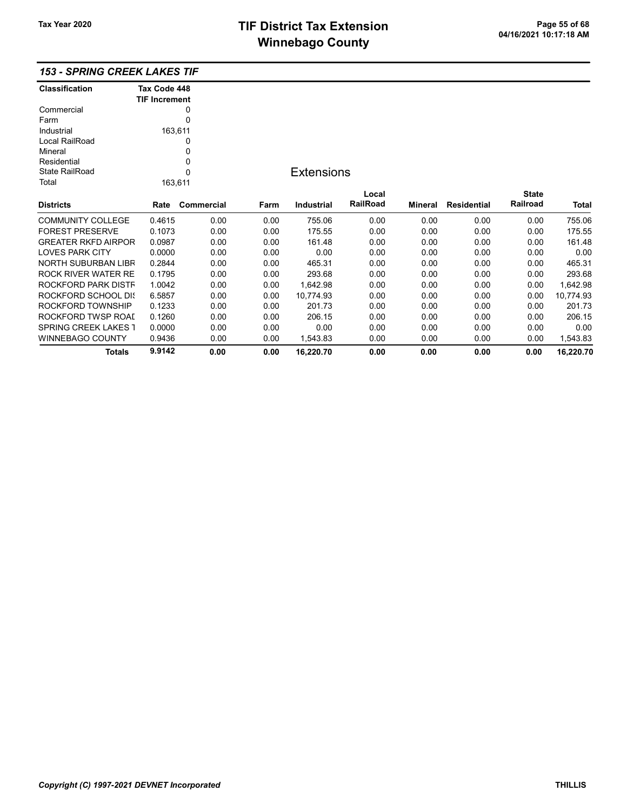| <b>Classification</b>       | Tax Code 448         |             |      |                   |          |                |                    |              |              |
|-----------------------------|----------------------|-------------|------|-------------------|----------|----------------|--------------------|--------------|--------------|
|                             | <b>TIF Increment</b> |             |      |                   |          |                |                    |              |              |
| Commercial                  |                      | 0           |      |                   |          |                |                    |              |              |
| Farm                        |                      | $\mathbf 0$ |      |                   |          |                |                    |              |              |
| Industrial                  | 163,611              |             |      |                   |          |                |                    |              |              |
| Local RailRoad              |                      | 0           |      |                   |          |                |                    |              |              |
| Mineral                     |                      | 0           |      |                   |          |                |                    |              |              |
| Residential                 |                      | 0           |      |                   |          |                |                    |              |              |
| <b>State RailRoad</b>       |                      | $\Omega$    |      | <b>Extensions</b> |          |                |                    |              |              |
| Total                       | 163,611              |             |      |                   |          |                |                    |              |              |
|                             |                      |             |      |                   | Local    |                |                    | <b>State</b> |              |
| <b>Districts</b>            | Rate                 | Commercial  | Farm | <b>Industrial</b> | RailRoad | <b>Mineral</b> | <b>Residential</b> | Railroad     | <b>Total</b> |
| <b>COMMUNITY COLLEGE</b>    | 0.4615               | 0.00        | 0.00 | 755.06            | 0.00     | 0.00           | 0.00               | 0.00         | 755.06       |
| <b>FOREST PRESERVE</b>      | 0.1073               | 0.00        | 0.00 | 175.55            | 0.00     | 0.00           | 0.00               | 0.00         | 175.55       |
| <b>GREATER RKFD AIRPOR</b>  | 0.0987               | 0.00        | 0.00 | 161.48            | 0.00     | 0.00           | 0.00               | 0.00         | 161.48       |
| <b>LOVES PARK CITY</b>      | 0.0000               | 0.00        | 0.00 | 0.00              | 0.00     | 0.00           | 0.00               | 0.00         | 0.00         |
| NORTH SUBURBAN LIBR         | 0.2844               | 0.00        | 0.00 | 465.31            | 0.00     | 0.00           | 0.00               | 0.00         | 465.31       |
| ROCK RIVER WATER RE         | 0.1795               | 0.00        | 0.00 | 293.68            | 0.00     | 0.00           | 0.00               | 0.00         | 293.68       |
| ROCKFORD PARK DISTF         | 1.0042               | 0.00        | 0.00 | 1,642.98          | 0.00     | 0.00           | 0.00               | 0.00         | 1,642.98     |
| ROCKFORD SCHOOL DIS         | 6.5857               | 0.00        | 0.00 | 10,774.93         | 0.00     | 0.00           | 0.00               | 0.00         | 10,774.93    |
| ROCKFORD TOWNSHIP           | 0.1233               | 0.00        | 0.00 | 201.73            | 0.00     | 0.00           | 0.00               | 0.00         | 201.73       |
| ROCKFORD TWSP ROAI          | 0.1260               | 0.00        | 0.00 | 206.15            | 0.00     | 0.00           | 0.00               | 0.00         | 206.15       |
| <b>SPRING CREEK LAKES 1</b> | 0.0000               | 0.00        | 0.00 | 0.00              | 0.00     | 0.00           | 0.00               | 0.00         | 0.00         |
| <b>WINNEBAGO COUNTY</b>     | 0.9436               | 0.00        | 0.00 | 1,543.83          | 0.00     | 0.00           | 0.00               | 0.00         | 1,543.83     |
| <b>Totals</b>               | 9.9142               | 0.00        | 0.00 | 16,220.70         | 0.00     | 0.00           | 0.00               | 0.00         | 16,220.70    |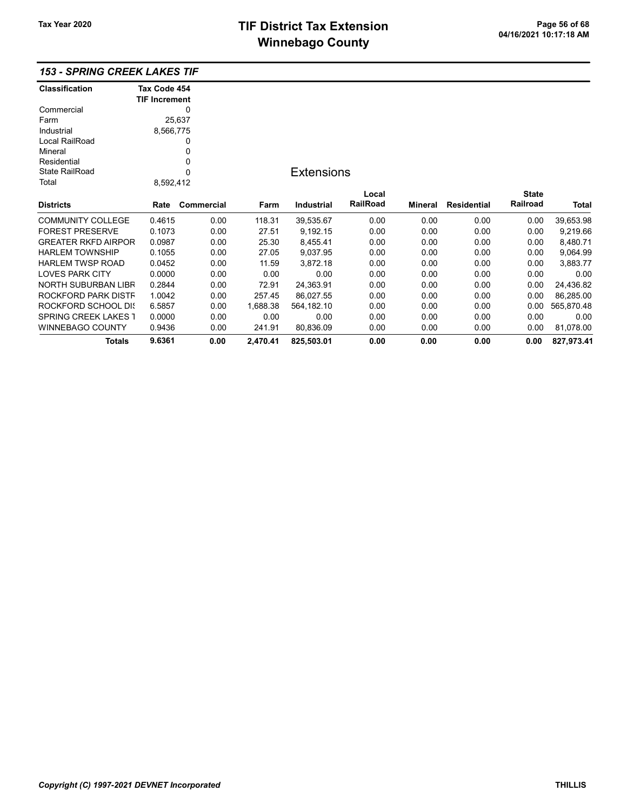# TIF District Tax Extension<br>
M's sales and Office 11 of the Capace Connect Attenual Connect Attenual Decay of the Capace of the Connect At **Winnebago County**

| <b>Classification</b>       | Tax Code 454         |            |          |                   |          |                |                    |              |              |
|-----------------------------|----------------------|------------|----------|-------------------|----------|----------------|--------------------|--------------|--------------|
|                             | <b>TIF Increment</b> |            |          |                   |          |                |                    |              |              |
| Commercial                  |                      | 0          |          |                   |          |                |                    |              |              |
| Farm                        |                      | 25,637     |          |                   |          |                |                    |              |              |
| Industrial                  | 8,566,775            |            |          |                   |          |                |                    |              |              |
| Local RailRoad              |                      | 0          |          |                   |          |                |                    |              |              |
| Mineral                     |                      | 0          |          |                   |          |                |                    |              |              |
| Residential                 |                      | 0          |          |                   |          |                |                    |              |              |
| <b>State RailRoad</b>       |                      | 0          |          | <b>Extensions</b> |          |                |                    |              |              |
| Total                       | 8,592,412            |            |          |                   |          |                |                    |              |              |
|                             |                      |            |          |                   | Local    |                |                    | <b>State</b> |              |
| <b>Districts</b>            | Rate                 | Commercial | Farm     | Industrial        | RailRoad | <b>Mineral</b> | <b>Residential</b> | Railroad     | <b>Total</b> |
| <b>COMMUNITY COLLEGE</b>    | 0.4615               | 0.00       | 118.31   | 39,535.67         | 0.00     | 0.00           | 0.00               | 0.00         | 39,653.98    |
| <b>FOREST PRESERVE</b>      | 0.1073               | 0.00       | 27.51    | 9,192.15          | 0.00     | 0.00           | 0.00               | 0.00         | 9,219.66     |
| <b>GREATER RKFD AIRPOR</b>  | 0.0987               | 0.00       | 25.30    | 8,455.41          | 0.00     | 0.00           | 0.00               | 0.00         | 8,480.71     |
| <b>HARLEM TOWNSHIP</b>      | 0.1055               | 0.00       | 27.05    | 9,037.95          | 0.00     | 0.00           | 0.00               | 0.00         | 9,064.99     |
| <b>HARLEM TWSP ROAD</b>     | 0.0452               | 0.00       | 11.59    | 3,872.18          | 0.00     | 0.00           | 0.00               | 0.00         | 3,883.77     |
| <b>LOVES PARK CITY</b>      | 0.0000               | 0.00       | 0.00     | 0.00              | 0.00     | 0.00           | 0.00               | 0.00         | 0.00         |
| NORTH SUBURBAN LIBR         | 0.2844               | 0.00       | 72.91    | 24,363.91         | 0.00     | 0.00           | 0.00               | 0.00         | 24,436.82    |
| ROCKFORD PARK DISTF         | 1.0042               | 0.00       | 257.45   | 86,027.55         | 0.00     | 0.00           | 0.00               | 0.00         | 86,285.00    |
| <b>ROCKFORD SCHOOL DIS</b>  | 6.5857               | 0.00       | 1,688.38 | 564,182.10        | 0.00     | 0.00           | 0.00               | 0.00         | 565,870.48   |
| <b>SPRING CREEK LAKES 1</b> | 0.0000               | 0.00       | 0.00     | 0.00              | 0.00     | 0.00           | 0.00               | 0.00         | 0.00         |
| WINNEBAGO COUNTY            | 0.9436               | 0.00       | 241.91   | 80,836.09         | 0.00     | 0.00           | 0.00               | 0.00         | 81,078.00    |
| Totals                      | 9.6361               | 0.00       | 2,470.41 | 825,503.01        | 0.00     | 0.00           | 0.00               | 0.00         | 827,973.41   |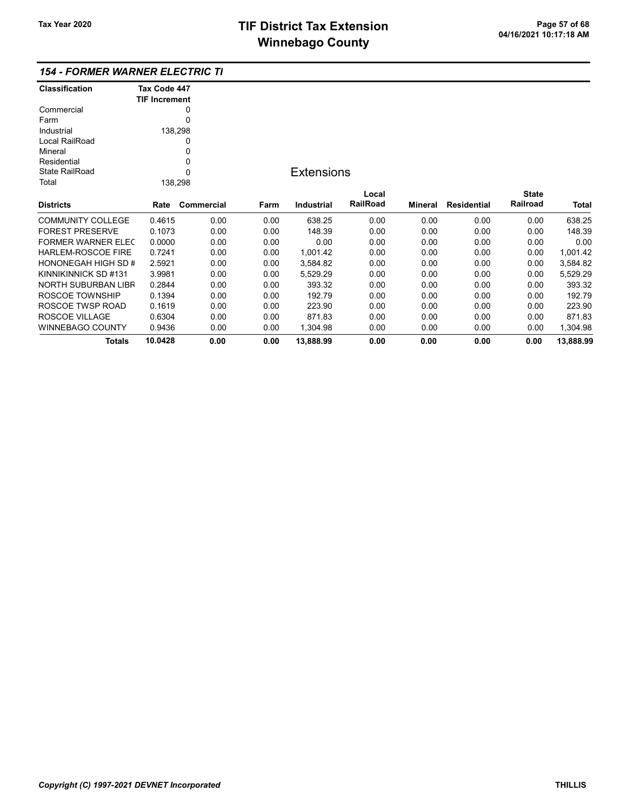### 154 - FORMER WARNER ELECTRIC TIF

| <b>Classification</b>     | Tax Code 447         |            |      |                   |          |                |                    |              |           |
|---------------------------|----------------------|------------|------|-------------------|----------|----------------|--------------------|--------------|-----------|
|                           | <b>TIF Increment</b> |            |      |                   |          |                |                    |              |           |
| Commercial                |                      | 0          |      |                   |          |                |                    |              |           |
| Farm                      |                      | 0          |      |                   |          |                |                    |              |           |
| Industrial                |                      | 138,298    |      |                   |          |                |                    |              |           |
| Local RailRoad            |                      | 0          |      |                   |          |                |                    |              |           |
| Mineral                   |                      | 0          |      |                   |          |                |                    |              |           |
| Residential               |                      | 0          |      |                   |          |                |                    |              |           |
| State RailRoad            |                      | $\Omega$   |      | <b>Extensions</b> |          |                |                    |              |           |
| Total                     |                      | 138,298    |      |                   |          |                |                    |              |           |
|                           |                      |            |      |                   | Local    |                |                    | <b>State</b> |           |
| <b>Districts</b>          | Rate                 | Commercial | Farm | Industrial        | RailRoad | <b>Mineral</b> | <b>Residential</b> | Railroad     | Total     |
| <b>COMMUNITY COLLEGE</b>  | 0.4615               | 0.00       | 0.00 | 638.25            | 0.00     | 0.00           | 0.00               | 0.00         | 638.25    |
| <b>FOREST PRESERVE</b>    | 0.1073               | 0.00       | 0.00 | 148.39            | 0.00     | 0.00           | 0.00               | 0.00         | 148.39    |
| <b>FORMER WARNER ELEC</b> | 0.0000               | 0.00       | 0.00 | 0.00              | 0.00     | 0.00           | 0.00               | 0.00         | 0.00      |
| HARLEM-ROSCOE FIRE        | 0.7241               | 0.00       | 0.00 | 1,001.42          | 0.00     | 0.00           | 0.00               | 0.00         | 1,001.42  |
| HONONEGAH HIGH SD #       | 2.5921               | 0.00       | 0.00 | 3,584.82          | 0.00     | 0.00           | 0.00               | 0.00         | 3,584.82  |
| KINNIKINNICK SD #131      | 3.9981               | 0.00       | 0.00 | 5,529.29          | 0.00     | 0.00           | 0.00               | 0.00         | 5,529.29  |
| NORTH SUBURBAN LIBR       | 0.2844               | 0.00       | 0.00 | 393.32            | 0.00     | 0.00           | 0.00               | 0.00         | 393.32    |
| ROSCOE TOWNSHIP           | 0.1394               | 0.00       | 0.00 | 192.79            | 0.00     | 0.00           | 0.00               | 0.00         | 192.79    |
| ROSCOE TWSP ROAD          | 0.1619               | 0.00       | 0.00 | 223.90            | 0.00     | 0.00           | 0.00               | 0.00         | 223.90    |
| ROSCOE VILLAGE            | 0.6304               | 0.00       | 0.00 | 871.83            | 0.00     | 0.00           | 0.00               | 0.00         | 871.83    |
| <b>WINNEBAGO COUNTY</b>   | 0.9436               | 0.00       | 0.00 | 1,304.98          | 0.00     | 0.00           | 0.00               | 0.00         | 1,304.98  |
| <b>Totals</b>             | 10.0428              | 0.00       | 0.00 | 13,888.99         | 0.00     | 0.00           | 0.00               | 0.00         | 13,888.99 |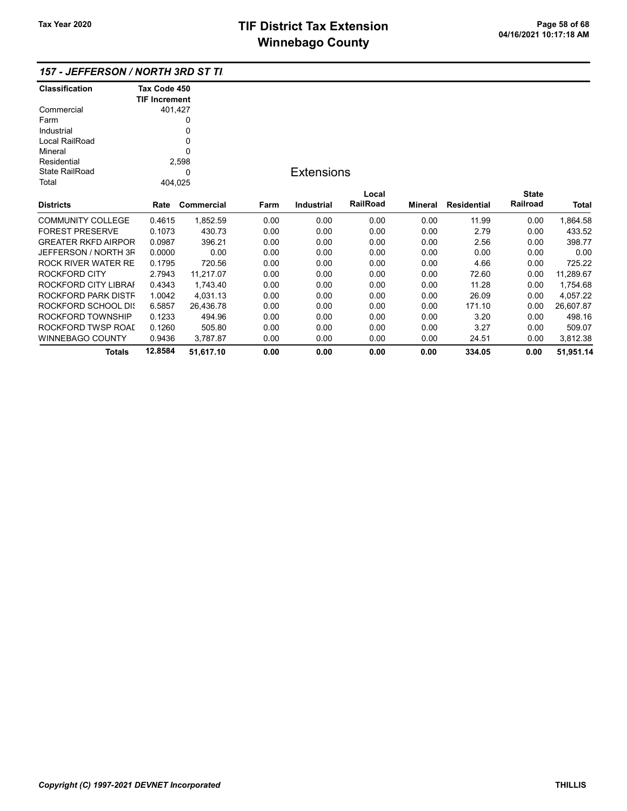| <b>Classification</b>      | Tax Code 450         |            |      |                   |          |         |                    |              |           |
|----------------------------|----------------------|------------|------|-------------------|----------|---------|--------------------|--------------|-----------|
|                            | <b>TIF Increment</b> |            |      |                   |          |         |                    |              |           |
| Commercial                 | 401,427              |            |      |                   |          |         |                    |              |           |
| Farm                       |                      | 0          |      |                   |          |         |                    |              |           |
| Industrial                 |                      | 0          |      |                   |          |         |                    |              |           |
| Local RailRoad             |                      | 0          |      |                   |          |         |                    |              |           |
| Mineral                    |                      | 0          |      |                   |          |         |                    |              |           |
| Residential                |                      | 2,598      |      |                   |          |         |                    |              |           |
| <b>State RailRoad</b>      |                      | 0          |      | <b>Extensions</b> |          |         |                    |              |           |
| Total                      | 404,025              |            |      |                   |          |         |                    |              |           |
|                            |                      |            |      |                   | Local    |         |                    | <b>State</b> |           |
| <b>Districts</b>           | Rate                 | Commercial | Farm | <b>Industrial</b> | RailRoad | Mineral | <b>Residential</b> | Railroad     | Total     |
| <b>COMMUNITY COLLEGE</b>   | 0.4615               | 1,852.59   | 0.00 | 0.00              | 0.00     | 0.00    | 11.99              | 0.00         | 1,864.58  |
| <b>FOREST PRESERVE</b>     | 0.1073               | 430.73     | 0.00 | 0.00              | 0.00     | 0.00    | 2.79               | 0.00         | 433.52    |
| <b>GREATER RKFD AIRPOR</b> | 0.0987               | 396.21     | 0.00 | 0.00              | 0.00     | 0.00    | 2.56               | 0.00         | 398.77    |
| JEFFERSON / NORTH 3F       | 0.0000               | 0.00       | 0.00 | 0.00              | 0.00     | 0.00    | 0.00               | 0.00         | 0.00      |
| ROCK RIVER WATER RE        | 0.1795               | 720.56     | 0.00 | 0.00              | 0.00     | 0.00    | 4.66               | 0.00         | 725.22    |
| ROCKFORD CITY              | 2.7943               | 11,217.07  | 0.00 | 0.00              | 0.00     | 0.00    | 72.60              | 0.00         | 11,289.67 |
| ROCKFORD CITY LIBRAI       | 0.4343               | 1,743.40   | 0.00 | 0.00              | 0.00     | 0.00    | 11.28              | 0.00         | 1,754.68  |
| ROCKFORD PARK DISTF        | 1.0042               | 4,031.13   | 0.00 | 0.00              | 0.00     | 0.00    | 26.09              | 0.00         | 4,057.22  |
| ROCKFORD SCHOOL DIS        | 6.5857               | 26,436.78  | 0.00 | 0.00              | 0.00     | 0.00    | 171.10             | 0.00         | 26,607.87 |
| ROCKFORD TOWNSHIP          | 0.1233               | 494.96     | 0.00 | 0.00              | 0.00     | 0.00    | 3.20               | 0.00         | 498.16    |
| ROCKFORD TWSP ROAI         | 0.1260               | 505.80     | 0.00 | 0.00              | 0.00     | 0.00    | 3.27               | 0.00         | 509.07    |
| <b>WINNEBAGO COUNTY</b>    | 0.9436               | 3,787.87   | 0.00 | 0.00              | 0.00     | 0.00    | 24.51              | 0.00         | 3,812.38  |
| <b>Totals</b>              | 12.8584              | 51,617.10  | 0.00 | 0.00              | 0.00     | 0.00    | 334.05             | 0.00         | 51,951.14 |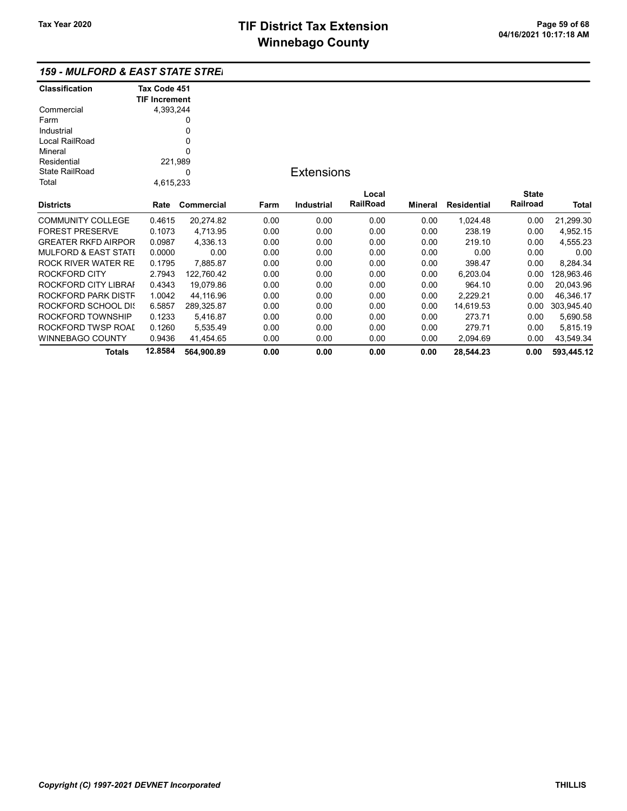## 159 - MULFORD & EAST STATE STREI

| <b>Classification</b>           | Tax Code 451         |            |      |                   |          |         |                    |              |            |
|---------------------------------|----------------------|------------|------|-------------------|----------|---------|--------------------|--------------|------------|
|                                 | <b>TIF Increment</b> |            |      |                   |          |         |                    |              |            |
| Commercial                      | 4,393,244            |            |      |                   |          |         |                    |              |            |
| Farm                            |                      | 0          |      |                   |          |         |                    |              |            |
| Industrial                      |                      | 0          |      |                   |          |         |                    |              |            |
| Local RailRoad                  |                      | 0          |      |                   |          |         |                    |              |            |
| Mineral                         |                      | 0          |      |                   |          |         |                    |              |            |
| Residential                     | 221,989              |            |      |                   |          |         |                    |              |            |
| <b>State RailRoad</b>           |                      | 0          |      | <b>Extensions</b> |          |         |                    |              |            |
| Total                           | 4,615,233            |            |      |                   |          |         |                    |              |            |
|                                 |                      |            |      |                   | Local    |         |                    | <b>State</b> |            |
| <b>Districts</b>                | Rate                 | Commercial | Farm | Industrial        | RailRoad | Mineral | <b>Residential</b> | Railroad     | Total      |
| <b>COMMUNITY COLLEGE</b>        | 0.4615               | 20,274.82  | 0.00 | 0.00              | 0.00     | 0.00    | 1,024.48           | 0.00         | 21,299.30  |
| <b>FOREST PRESERVE</b>          | 0.1073               | 4,713.95   | 0.00 | 0.00              | 0.00     | 0.00    | 238.19             | 0.00         | 4,952.15   |
| <b>GREATER RKFD AIRPOR</b>      | 0.0987               | 4,336.13   | 0.00 | 0.00              | 0.00     | 0.00    | 219.10             | 0.00         | 4,555.23   |
| <b>MULFORD &amp; EAST STATI</b> | 0.0000               | 0.00       | 0.00 | 0.00              | 0.00     | 0.00    | 0.00               | 0.00         | 0.00       |
| <b>ROCK RIVER WATER RE</b>      | 0.1795               | 7,885.87   | 0.00 | 0.00              | 0.00     | 0.00    | 398.47             | 0.00         | 8,284.34   |
| ROCKFORD CITY                   | 2.7943               | 122,760.42 | 0.00 | 0.00              | 0.00     | 0.00    | 6,203.04           | 0.00         | 128,963.46 |
| ROCKFORD CITY LIBRAI            | 0.4343               | 19,079.86  | 0.00 | 0.00              | 0.00     | 0.00    | 964.10             | 0.00         | 20,043.96  |
| ROCKFORD PARK DISTF             | 1.0042               | 44,116.96  | 0.00 | 0.00              | 0.00     | 0.00    | 2,229.21           | 0.00         | 46,346.17  |
| ROCKFORD SCHOOL DIS             | 6.5857               | 289,325.87 | 0.00 | 0.00              | 0.00     | 0.00    | 14,619.53          | 0.00         | 303,945.40 |
| ROCKFORD TOWNSHIP               | 0.1233               | 5,416.87   | 0.00 | 0.00              | 0.00     | 0.00    | 273.71             | 0.00         | 5,690.58   |
| ROCKFORD TWSP ROAI              | 0.1260               | 5,535.49   | 0.00 | 0.00              | 0.00     | 0.00    | 279.71             | 0.00         | 5,815.19   |
| <b>WINNEBAGO COUNTY</b>         | 0.9436               | 41,454.65  | 0.00 | 0.00              | 0.00     | 0.00    | 2,094.69           | 0.00         | 43,549.34  |
| <b>Totals</b>                   | 12.8584              | 564,900.89 | 0.00 | 0.00              | 0.00     | 0.00    | 28,544.23          | 0.00         | 593,445.12 |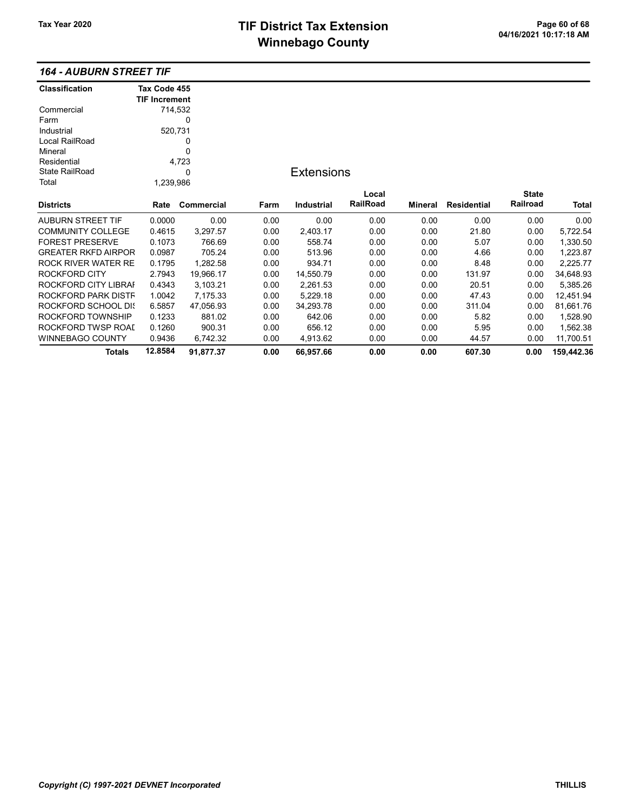#### 164 - AUBURN STREET TIF

| <b>Classification</b>      | Tax Code 455         |            |      |                   |          |         |                    |              |            |
|----------------------------|----------------------|------------|------|-------------------|----------|---------|--------------------|--------------|------------|
|                            | <b>TIF Increment</b> |            |      |                   |          |         |                    |              |            |
| Commercial                 |                      | 714,532    |      |                   |          |         |                    |              |            |
| Farm                       |                      | 0          |      |                   |          |         |                    |              |            |
| Industrial                 | 520,731              |            |      |                   |          |         |                    |              |            |
| Local RailRoad             |                      | 0          |      |                   |          |         |                    |              |            |
| Mineral                    |                      | 0          |      |                   |          |         |                    |              |            |
| Residential                |                      | 4,723      |      |                   |          |         |                    |              |            |
| <b>State RailRoad</b>      |                      | 0          |      | <b>Extensions</b> |          |         |                    |              |            |
| Total                      | 1,239,986            |            |      |                   |          |         |                    |              |            |
|                            |                      |            |      |                   | Local    |         |                    | <b>State</b> |            |
| <b>Districts</b>           | Rate                 | Commercial | Farm | <b>Industrial</b> | RailRoad | Mineral | <b>Residential</b> | Railroad     | Total      |
| <b>AUBURN STREET TIF</b>   | 0.0000               | 0.00       | 0.00 | 0.00              | 0.00     | 0.00    | 0.00               | 0.00         | 0.00       |
| <b>COMMUNITY COLLEGE</b>   | 0.4615               | 3,297.57   | 0.00 | 2,403.17          | 0.00     | 0.00    | 21.80              | 0.00         | 5,722.54   |
| <b>FOREST PRESERVE</b>     | 0.1073               | 766.69     | 0.00 | 558.74            | 0.00     | 0.00    | 5.07               | 0.00         | 1,330.50   |
| <b>GREATER RKFD AIRPOR</b> | 0.0987               | 705.24     | 0.00 | 513.96            | 0.00     | 0.00    | 4.66               | 0.00         | 1,223.87   |
| ROCK RIVER WATER RE        | 0.1795               | 1,282.58   | 0.00 | 934.71            | 0.00     | 0.00    | 8.48               | 0.00         | 2,225.77   |
| <b>ROCKFORD CITY</b>       | 2.7943               | 19,966.17  | 0.00 | 14,550.79         | 0.00     | 0.00    | 131.97             | 0.00         | 34,648.93  |
| ROCKFORD CITY LIBRAI       | 0.4343               | 3,103.21   | 0.00 | 2,261.53          | 0.00     | 0.00    | 20.51              | 0.00         | 5,385.26   |
| ROCKFORD PARK DISTF        | 1.0042               | 7,175.33   | 0.00 | 5,229.18          | 0.00     | 0.00    | 47.43              | 0.00         | 12,451.94  |
| <b>ROCKFORD SCHOOL DIS</b> | 6.5857               | 47,056.93  | 0.00 | 34,293.78         | 0.00     | 0.00    | 311.04             | 0.00         | 81,661.76  |
| ROCKFORD TOWNSHIP          | 0.1233               | 881.02     | 0.00 | 642.06            | 0.00     | 0.00    | 5.82               | 0.00         | 1,528.90   |
| ROCKFORD TWSP ROAI         | 0.1260               | 900.31     | 0.00 | 656.12            | 0.00     | 0.00    | 5.95               | 0.00         | 1,562.38   |
| <b>WINNEBAGO COUNTY</b>    | 0.9436               | 6,742.32   | 0.00 | 4,913.62          | 0.00     | 0.00    | 44.57              | 0.00         | 11,700.51  |
| <b>Totals</b>              | 12.8584              | 91,877.37  | 0.00 | 66,957.66         | 0.00     | 0.00    | 607.30             | 0.00         | 159,442.36 |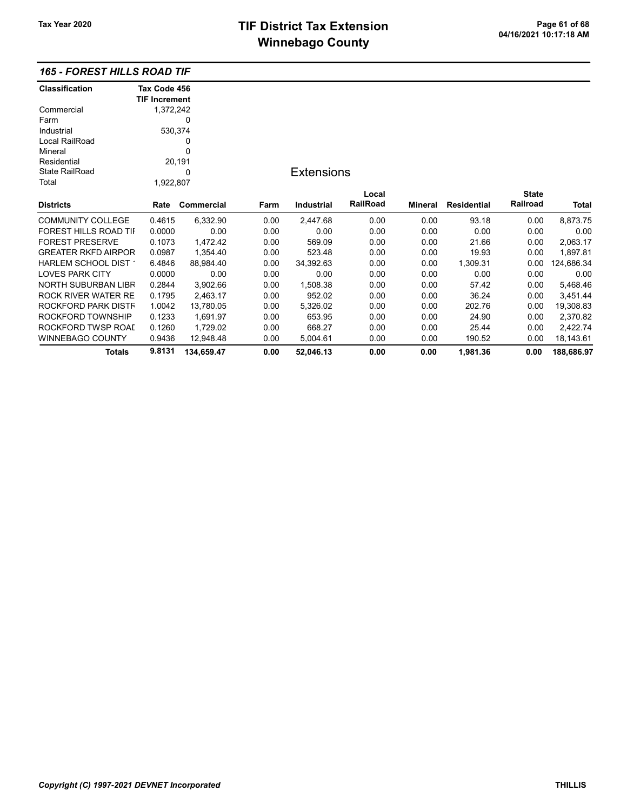### 165 - FOREST HILLS ROAD TIF

| <b>Classification</b>        | Tax Code 456         |            |      |                   |          |         |                    |              |            |
|------------------------------|----------------------|------------|------|-------------------|----------|---------|--------------------|--------------|------------|
|                              | <b>TIF Increment</b> |            |      |                   |          |         |                    |              |            |
| Commercial                   | 1,372,242            |            |      |                   |          |         |                    |              |            |
| Farm                         |                      | 0          |      |                   |          |         |                    |              |            |
| Industrial                   | 530,374              |            |      |                   |          |         |                    |              |            |
| Local RailRoad               |                      | 0          |      |                   |          |         |                    |              |            |
| Mineral                      |                      | 0          |      |                   |          |         |                    |              |            |
| Residential                  |                      | 20,191     |      |                   |          |         |                    |              |            |
| <b>State RailRoad</b>        |                      | 0          |      | <b>Extensions</b> |          |         |                    |              |            |
| Total                        | 1,922,807            |            |      |                   |          |         |                    |              |            |
|                              |                      |            |      |                   | Local    |         |                    | <b>State</b> |            |
| <b>Districts</b>             | Rate                 | Commercial | Farm | <b>Industrial</b> | RailRoad | Mineral | <b>Residential</b> | Railroad     | Total      |
| <b>COMMUNITY COLLEGE</b>     | 0.4615               | 6,332.90   | 0.00 | 2,447.68          | 0.00     | 0.00    | 93.18              | 0.00         | 8,873.75   |
| <b>FOREST HILLS ROAD TII</b> | 0.0000               | 0.00       | 0.00 | 0.00              | 0.00     | 0.00    | 0.00               | 0.00         | 0.00       |
| <b>FOREST PRESERVE</b>       | 0.1073               | 1,472.42   | 0.00 | 569.09            | 0.00     | 0.00    | 21.66              | 0.00         | 2,063.17   |
| <b>GREATER RKFD AIRPOR</b>   | 0.0987               | 1,354.40   | 0.00 | 523.48            | 0.00     | 0.00    | 19.93              | 0.00         | 1,897.81   |
| HARLEM SCHOOL DIST           | 6.4846               | 88.984.40  | 0.00 | 34,392.63         | 0.00     | 0.00    | 1,309.31           | 0.00         | 124,686.34 |
| <b>LOVES PARK CITY</b>       | 0.0000               | 0.00       | 0.00 | 0.00              | 0.00     | 0.00    | 0.00               | 0.00         | 0.00       |
| NORTH SUBURBAN LIBR          | 0.2844               | 3,902.66   | 0.00 | 1,508.38          | 0.00     | 0.00    | 57.42              | 0.00         | 5,468.46   |
| <b>ROCK RIVER WATER RE</b>   | 0.1795               | 2,463.17   | 0.00 | 952.02            | 0.00     | 0.00    | 36.24              | 0.00         | 3,451.44   |
| ROCKFORD PARK DISTF          | 1.0042               | 13,780.05  | 0.00 | 5,326.02          | 0.00     | 0.00    | 202.76             | 0.00         | 19,308.83  |
| ROCKFORD TOWNSHIP            | 0.1233               | 1,691.97   | 0.00 | 653.95            | 0.00     | 0.00    | 24.90              | 0.00         | 2,370.82   |
| ROCKFORD TWSP ROAI           | 0.1260               | 1,729.02   | 0.00 | 668.27            | 0.00     | 0.00    | 25.44              | 0.00         | 2,422.74   |
| <b>WINNEBAGO COUNTY</b>      | 0.9436               | 12,948.48  | 0.00 | 5.004.61          | 0.00     | 0.00    | 190.52             | 0.00         | 18,143.61  |
| Totals                       | 9.8131               | 134,659.47 | 0.00 | 52,046.13         | 0.00     | 0.00    | 1,981.36           | 0.00         | 188,686.97 |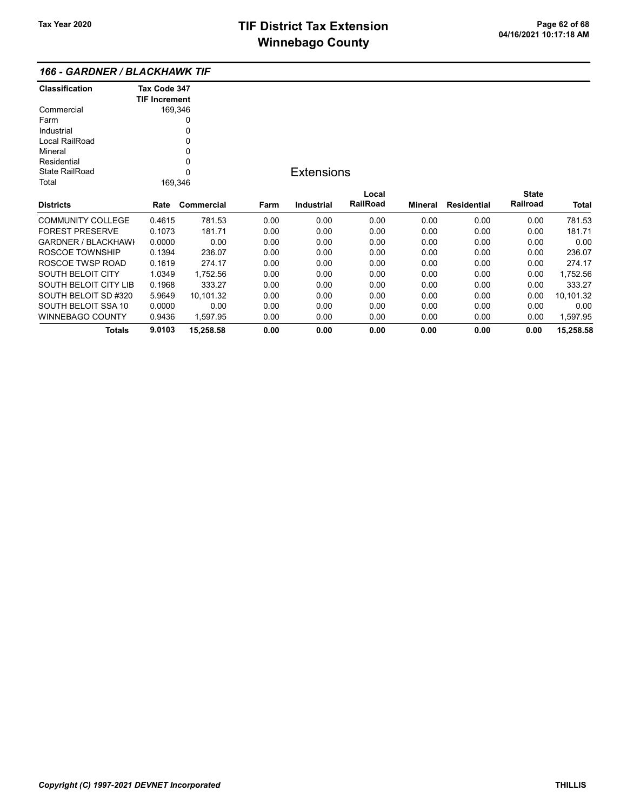| 166 - GARDNER / BLACKHAWK TIF |  |
|-------------------------------|--|
|-------------------------------|--|

| <b>Classification</b>      | Tax Code 347         |            |      |                   |          |         |                    |              |              |
|----------------------------|----------------------|------------|------|-------------------|----------|---------|--------------------|--------------|--------------|
|                            | <b>TIF Increment</b> |            |      |                   |          |         |                    |              |              |
| Commercial                 |                      | 169,346    |      |                   |          |         |                    |              |              |
| Farm                       |                      | 0          |      |                   |          |         |                    |              |              |
| Industrial                 |                      | 0          |      |                   |          |         |                    |              |              |
| Local RailRoad             |                      | 0          |      |                   |          |         |                    |              |              |
| Mineral                    |                      | 0          |      |                   |          |         |                    |              |              |
| Residential                |                      | 0          |      |                   |          |         |                    |              |              |
| <b>State RailRoad</b>      |                      | 0          |      | <b>Extensions</b> |          |         |                    |              |              |
| Total                      |                      | 169,346    |      |                   |          |         |                    |              |              |
|                            |                      |            |      |                   | Local    |         |                    | <b>State</b> |              |
| <b>Districts</b>           | Rate                 | Commercial | Farm | <b>Industrial</b> | RailRoad | Mineral | <b>Residential</b> | Railroad     | <b>Total</b> |
| <b>COMMUNITY COLLEGE</b>   | 0.4615               | 781.53     | 0.00 | 0.00              | 0.00     | 0.00    | 0.00               | 0.00         | 781.53       |
| <b>FOREST PRESERVE</b>     | 0.1073               | 181.71     | 0.00 | 0.00              | 0.00     | 0.00    | 0.00               | 0.00         | 181.71       |
| <b>GARDNER / BLACKHAWI</b> | 0.0000               | 0.00       | 0.00 | 0.00              | 0.00     | 0.00    | 0.00               | 0.00         | 0.00         |
| ROSCOE TOWNSHIP            | 0.1394               | 236.07     | 0.00 | 0.00              | 0.00     | 0.00    | 0.00               | 0.00         | 236.07       |
| ROSCOE TWSP ROAD           | 0.1619               | 274.17     | 0.00 | 0.00              | 0.00     | 0.00    | 0.00               | 0.00         | 274.17       |
| <b>SOUTH BELOIT CITY</b>   | 1.0349               | 1,752.56   | 0.00 | 0.00              | 0.00     | 0.00    | 0.00               | 0.00         | 1,752.56     |
| SOUTH BELOIT CITY LIB      | 0.1968               | 333.27     | 0.00 | 0.00              | 0.00     | 0.00    | 0.00               | 0.00         | 333.27       |
| SOUTH BELOIT SD #320       | 5.9649               | 10,101.32  | 0.00 | 0.00              | 0.00     | 0.00    | 0.00               | 0.00         | 10,101.32    |
| SOUTH BELOIT SSA 10        | 0.0000               | 0.00       | 0.00 | 0.00              | 0.00     | 0.00    | 0.00               | 0.00         | 0.00         |
| <b>WINNEBAGO COUNTY</b>    | 0.9436               | 1,597.95   | 0.00 | 0.00              | 0.00     | 0.00    | 0.00               | 0.00         | 1,597.95     |
| <b>Totals</b>              | 9.0103               | 15,258.58  | 0.00 | 0.00              | 0.00     | 0.00    | 0.00               | 0.00         | 15,258.58    |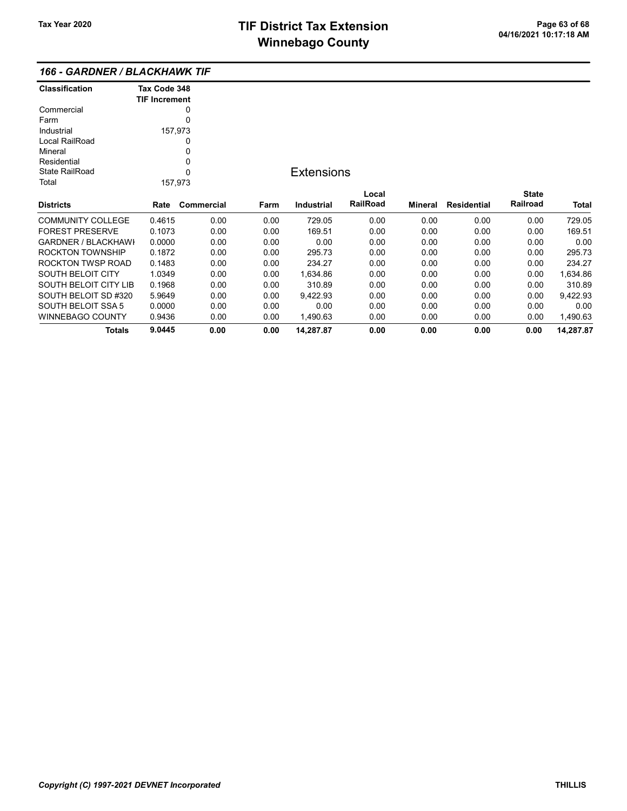# 166 - GARDNER / BLACKHAWK TIF

| <b>Classification</b>  | Tax Code 348         |            |      |                   |          |                |                    |              |           |
|------------------------|----------------------|------------|------|-------------------|----------|----------------|--------------------|--------------|-----------|
|                        | <b>TIF Increment</b> |            |      |                   |          |                |                    |              |           |
| Commercial             |                      | 0          |      |                   |          |                |                    |              |           |
| Farm                   |                      | 0          |      |                   |          |                |                    |              |           |
| Industrial             | 157,973              |            |      |                   |          |                |                    |              |           |
| Local RailRoad         |                      | 0          |      |                   |          |                |                    |              |           |
| Mineral                |                      | 0          |      |                   |          |                |                    |              |           |
| Residential            |                      | 0          |      |                   |          |                |                    |              |           |
| <b>State RailRoad</b>  |                      | 0          |      | <b>Extensions</b> |          |                |                    |              |           |
| Total                  | 157,973              |            |      |                   |          |                |                    |              |           |
|                        |                      |            |      |                   | Local    |                |                    | <b>State</b> |           |
| Districts              | Rate                 | Commercial | Farm | <b>Industrial</b> | RailRoad | <b>Mineral</b> | <b>Residential</b> | Railroad     | Total     |
| COMMUNITY COLLEGE      | 0.4615               | 0.00       | 0.00 | 729.05            | 0.00     | 0.00           | 0.00               | 0.00         | 729.05    |
| <b>FOREST PRESERVE</b> | 0.1073               | 0.00       | 0.00 | 169.51            | 0.00     | 0.00           | 0.00               | 0.00         | 169.51    |
| GARDNER / BLACKHAWI    | 0.0000               | 0.00       | 0.00 | 0.00              | 0.00     | 0.00           | 0.00               | 0.00         | 0.00      |
| ROCKTON TOWNSHIP       | 0.1872               | 0.00       | 0.00 | 295.73            | 0.00     | 0.00           | 0.00               | 0.00         | 295.73    |
| ROCKTON TWSP ROAD      | 0.1483               | 0.00       | 0.00 | 234.27            | 0.00     | 0.00           | 0.00               | 0.00         | 234.27    |
| SOUTH BELOIT CITY      | 1.0349               | 0.00       | 0.00 | 1,634.86          | 0.00     | 0.00           | 0.00               | 0.00         | 1,634.86  |
| SOUTH BELOIT CITY LIB  | 0.1968               | 0.00       | 0.00 | 310.89            | 0.00     | 0.00           | 0.00               | 0.00         | 310.89    |
| SOUTH BELOIT SD #320   | 5.9649               | 0.00       | 0.00 | 9,422.93          | 0.00     | 0.00           | 0.00               | 0.00         | 9,422.93  |
| SOUTH BELOIT SSA 5     | 0.0000               | 0.00       | 0.00 | 0.00              | 0.00     | 0.00           | 0.00               | 0.00         | 0.00      |
| WINNEBAGO COUNTY       | 0.9436               | 0.00       | 0.00 | 1,490.63          | 0.00     | 0.00           | 0.00               | 0.00         | 1,490.63  |
| Totals                 | 9.0445               | 0.00       | 0.00 | 14,287.87         | 0.00     | 0.00           | 0.00               | 0.00         | 14,287.87 |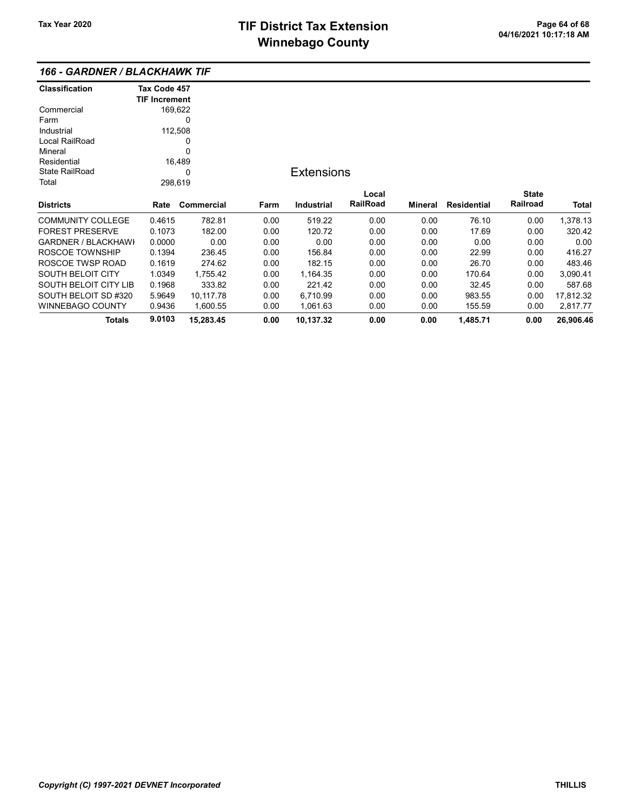## 166 - GARDNER / BLACKHAWK TIF

| <b>Classification</b>      | Tax Code 457         |            |      |                   |          |         |                    |              |           |
|----------------------------|----------------------|------------|------|-------------------|----------|---------|--------------------|--------------|-----------|
|                            | <b>TIF Increment</b> |            |      |                   |          |         |                    |              |           |
| Commercial                 | 169,622              |            |      |                   |          |         |                    |              |           |
| Farm                       |                      | 0          |      |                   |          |         |                    |              |           |
| Industrial                 | 112,508              |            |      |                   |          |         |                    |              |           |
| Local RailRoad             |                      | 0          |      |                   |          |         |                    |              |           |
| Mineral                    |                      | 0          |      |                   |          |         |                    |              |           |
| Residential                |                      | 16,489     |      |                   |          |         |                    |              |           |
| <b>State RailRoad</b>      |                      | 0          |      | <b>Extensions</b> |          |         |                    |              |           |
| Total                      | 298,619              |            |      |                   |          |         |                    |              |           |
|                            |                      |            |      |                   | Local    |         |                    | <b>State</b> |           |
| <b>Districts</b>           | Rate                 | Commercial | Farm | <b>Industrial</b> | RailRoad | Mineral | <b>Residential</b> | Railroad     | Total     |
| <b>COMMUNITY COLLEGE</b>   | 0.4615               | 782.81     | 0.00 | 519.22            | 0.00     | 0.00    | 76.10              | 0.00         | 1,378.13  |
| <b>FOREST PRESERVE</b>     | 0.1073               | 182.00     | 0.00 | 120.72            | 0.00     | 0.00    | 17.69              | 0.00         | 320.42    |
| <b>GARDNER / BLACKHAWI</b> | 0.0000               | 0.00       | 0.00 | 0.00              | 0.00     | 0.00    | 0.00               | 0.00         | 0.00      |
| ROSCOE TOWNSHIP            | 0.1394               | 236.45     | 0.00 | 156.84            | 0.00     | 0.00    | 22.99              | 0.00         | 416.27    |
| ROSCOE TWSP ROAD           | 0.1619               | 274.62     | 0.00 | 182.15            | 0.00     | 0.00    | 26.70              | 0.00         | 483.46    |
| SOUTH BELOIT CITY          | 1.0349               | 1,755.42   | 0.00 | 1,164.35          | 0.00     | 0.00    | 170.64             | 0.00         | 3,090.41  |
| SOUTH BELOIT CITY LIB      | 0.1968               | 333.82     | 0.00 | 221.42            | 0.00     | 0.00    | 32.45              | 0.00         | 587.68    |
| SOUTH BELOIT SD #320       | 5.9649               | 10,117.78  | 0.00 | 6,710.99          | 0.00     | 0.00    | 983.55             | 0.00         | 17,812.32 |
| <b>WINNEBAGO COUNTY</b>    | 0.9436               | 1,600.55   | 0.00 | 1,061.63          | 0.00     | 0.00    | 155.59             | 0.00         | 2,817.77  |
| <b>Totals</b>              | 9.0103               | 15,283.45  | 0.00 | 10,137.32         | 0.00     | 0.00    | 1,485.71           | 0.00         | 26,906.46 |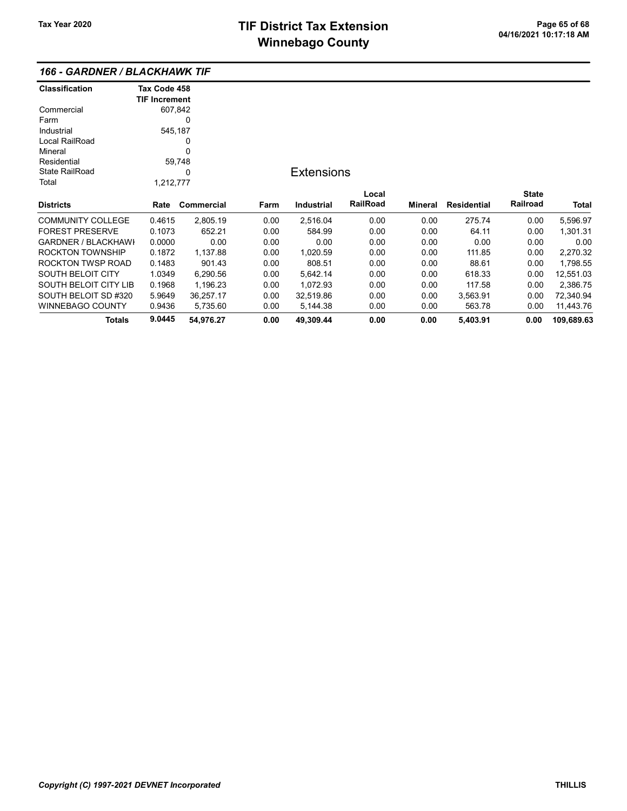## 166 - GARDNER / BLACKHAWK TIF

| <b>Classification</b>      | Tax Code 458         |            |      |                   |          |         |                    |              |            |
|----------------------------|----------------------|------------|------|-------------------|----------|---------|--------------------|--------------|------------|
|                            | <b>TIF Increment</b> |            |      |                   |          |         |                    |              |            |
| Commercial                 | 607,842              |            |      |                   |          |         |                    |              |            |
| Farm                       |                      | 0          |      |                   |          |         |                    |              |            |
| Industrial                 | 545,187              |            |      |                   |          |         |                    |              |            |
| Local RailRoad             |                      | 0          |      |                   |          |         |                    |              |            |
| Mineral                    |                      | 0          |      |                   |          |         |                    |              |            |
| Residential                |                      | 59,748     |      |                   |          |         |                    |              |            |
| <b>State RailRoad</b>      |                      | 0          |      | <b>Extensions</b> |          |         |                    |              |            |
| Total                      | 1,212,777            |            |      |                   |          |         |                    |              |            |
|                            |                      |            |      |                   | Local    |         |                    | <b>State</b> |            |
| <b>Districts</b>           | Rate                 | Commercial | Farm | <b>Industrial</b> | RailRoad | Mineral | <b>Residential</b> | Railroad     | Total      |
| <b>COMMUNITY COLLEGE</b>   | 0.4615               | 2,805.19   | 0.00 | 2,516.04          | 0.00     | 0.00    | 275.74             | 0.00         | 5,596.97   |
| <b>FOREST PRESERVE</b>     | 0.1073               | 652.21     | 0.00 | 584.99            | 0.00     | 0.00    | 64.11              | 0.00         | 1,301.31   |
| <b>GARDNER / BLACKHAWI</b> | 0.0000               | 0.00       | 0.00 | 0.00              | 0.00     | 0.00    | 0.00               | 0.00         | 0.00       |
| <b>ROCKTON TOWNSHIP</b>    | 0.1872               | 1,137.88   | 0.00 | 1,020.59          | 0.00     | 0.00    | 111.85             | 0.00         | 2,270.32   |
| <b>ROCKTON TWSP ROAD</b>   | 0.1483               | 901.43     | 0.00 | 808.51            | 0.00     | 0.00    | 88.61              | 0.00         | 1,798.55   |
| <b>SOUTH BELOIT CITY</b>   | 1.0349               | 6,290.56   | 0.00 | 5,642.14          | 0.00     | 0.00    | 618.33             | 0.00         | 12,551.03  |
| SOUTH BELOIT CITY LIB      | 0.1968               | 1,196.23   | 0.00 | 1,072.93          | 0.00     | 0.00    | 117.58             | 0.00         | 2,386.75   |
| SOUTH BELOIT SD #320       | 5.9649               | 36,257.17  | 0.00 | 32,519.86         | 0.00     | 0.00    | 3,563.91           | 0.00         | 72,340.94  |
| <b>WINNEBAGO COUNTY</b>    | 0.9436               | 5,735.60   | 0.00 | 5,144.38          | 0.00     | 0.00    | 563.78             | 0.00         | 11,443.76  |
| Totals                     | 9.0445               | 54,976.27  | 0.00 | 49,309.44         | 0.00     | 0.00    | 5,403.91           | 0.00         | 109,689.63 |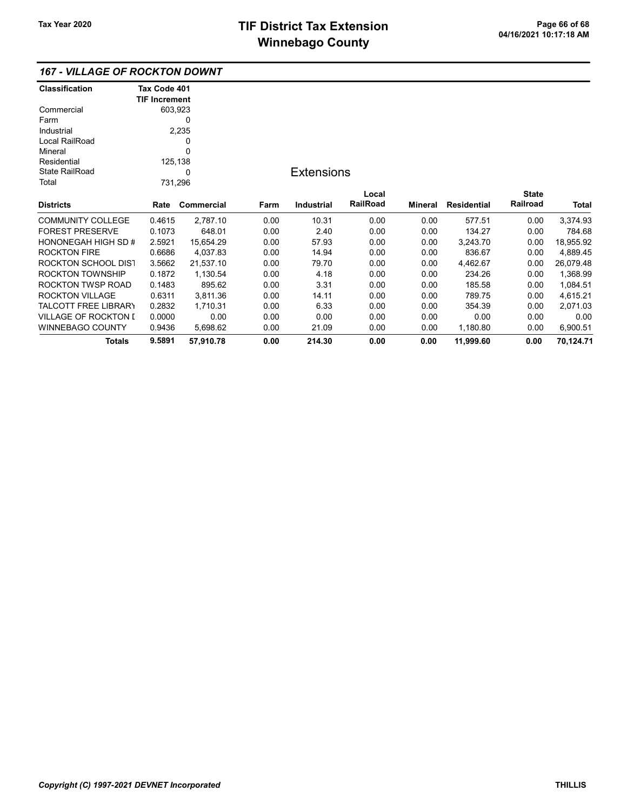| <b>Classification</b> | Tax Code 401         |            |      |                   |          |         |                    |              |           |
|-----------------------|----------------------|------------|------|-------------------|----------|---------|--------------------|--------------|-----------|
|                       | <b>TIF Increment</b> |            |      |                   |          |         |                    |              |           |
| Commercial            | 603,923              |            |      |                   |          |         |                    |              |           |
| Farm                  |                      | 0          |      |                   |          |         |                    |              |           |
| Industrial            |                      | 2,235      |      |                   |          |         |                    |              |           |
| Local RailRoad        |                      | 0          |      |                   |          |         |                    |              |           |
| Mineral               |                      | 0          |      |                   |          |         |                    |              |           |
| Residential           |                      | 125,138    |      |                   |          |         |                    |              |           |
| State RailRoad        |                      | 0          |      | <b>Extensions</b> |          |         |                    |              |           |
| Total                 |                      | 731,296    |      |                   |          |         |                    |              |           |
|                       |                      |            |      |                   | Local    |         |                    | <b>State</b> |           |
| Districts             | Rate                 | Commercial | Farm | Industrial        | RailRoad | Mineral | <b>Residential</b> | Railroad     | Total     |
| COMMUNITY COLLEGE     | 0.4615               | 2,787.10   | 0.00 | 10.31             | 0.00     | 0.00    | 577.51             | 0.00         | 3,374.93  |
| FOREST PRESERVE       | 0.1073               | 648.01     | 0.00 | 2.40              | 0.00     | 0.00    | 134.27             | 0.00         | 784.68    |
| HONONEGAH HIGH SD #   | 2.5921               | 15,654.29  | 0.00 | 57.93             | 0.00     | 0.00    | 3,243.70           | 0.00         | 18,955.92 |
| ROCKTON FIRE          | 0.6686               | 4,037.83   | 0.00 | 14.94             | 0.00     | 0.00    | 836.67             | 0.00         | 4,889.45  |
| ROCKTON SCHOOL DIS1   | 3.5662               | 21,537.10  | 0.00 | 79.70             | 0.00     | 0.00    | 4,462.67           | 0.00         | 26,079.48 |
| ROCKTON TOWNSHIP      | 0.1872               | 1,130.54   | 0.00 | 4.18              | 0.00     | 0.00    | 234.26             | 0.00         | 1,368.99  |
| ROCKTON TWSP ROAD     | 0.1483               | 895.62     | 0.00 | 3.31              | 0.00     | 0.00    | 185.58             | 0.00         | 1,084.51  |
| ROCKTON VILLAGE       | 0.6311               | 3,811.36   | 0.00 | 14.11             | 0.00     | 0.00    | 789.75             | 0.00         | 4,615.21  |
| TALCOTT FREE LIBRARY  | 0.2832               | 1,710.31   | 0.00 | 6.33              | 0.00     | 0.00    | 354.39             | 0.00         | 2,071.03  |
| VILLAGE OF ROCKTON I  | 0.0000               | 0.00       | 0.00 | 0.00              | 0.00     | 0.00    | 0.00               | 0.00         | 0.00      |
| WINNEBAGO COUNTY      | 0.9436               | 5,698.62   | 0.00 | 21.09             | 0.00     | 0.00    | 1,180.80           | 0.00         | 6,900.51  |
| Totals                | 9.5891               | 57,910.78  | 0.00 | 214.30            | 0.00     | 0.00    | 11,999.60          | 0.00         | 70,124.71 |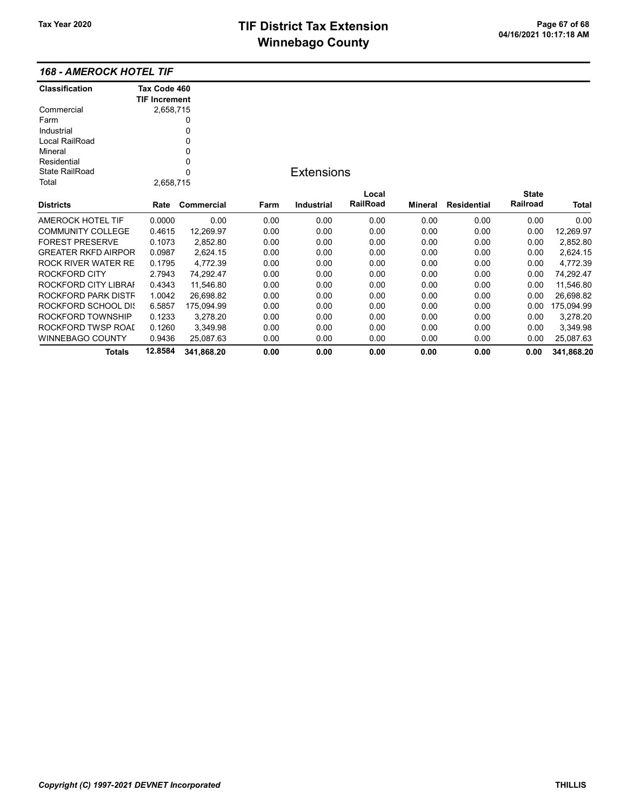## TIF District Tax Extension Page 67 of 68<br>04/16/2021 10:17:18 AM **Winnebago County**

### 168 - AMEROCK HOTEL TIF

| <b>Classification</b>      | Tax Code 460         |            |      |                   |          |         |                    |                 |            |
|----------------------------|----------------------|------------|------|-------------------|----------|---------|--------------------|-----------------|------------|
|                            | <b>TIF Increment</b> |            |      |                   |          |         |                    |                 |            |
| Commercial                 | 2,658,715            |            |      |                   |          |         |                    |                 |            |
| Farm                       |                      | 0          |      |                   |          |         |                    |                 |            |
| Industrial                 |                      | 0          |      |                   |          |         |                    |                 |            |
| Local RailRoad             |                      | 0          |      |                   |          |         |                    |                 |            |
| Mineral                    |                      | 0          |      |                   |          |         |                    |                 |            |
| Residential                |                      | 0          |      |                   |          |         |                    |                 |            |
| <b>State RailRoad</b>      |                      | 0          |      | <b>Extensions</b> |          |         |                    |                 |            |
| Total                      | 2,658,715            |            |      |                   |          |         |                    |                 |            |
|                            |                      |            |      |                   | Local    |         |                    | <b>State</b>    |            |
| <b>Districts</b>           | Rate                 | Commercial | Farm | <b>Industrial</b> | RailRoad | Mineral | <b>Residential</b> | <b>Railroad</b> | Total      |
| AMEROCK HOTEL TIF          | 0.0000               | 0.00       | 0.00 | 0.00              | 0.00     | 0.00    | 0.00               | 0.00            | 0.00       |
| <b>COMMUNITY COLLEGE</b>   | 0.4615               | 12,269.97  | 0.00 | 0.00              | 0.00     | 0.00    | 0.00               | 0.00            | 12,269.97  |
| <b>FOREST PRESERVE</b>     | 0.1073               | 2,852.80   | 0.00 | 0.00              | 0.00     | 0.00    | 0.00               | 0.00            | 2,852.80   |
| <b>GREATER RKFD AIRPOR</b> | 0.0987               | 2,624.15   | 0.00 | 0.00              | 0.00     | 0.00    | 0.00               | 0.00            | 2,624.15   |
| ROCK RIVER WATER RE        | 0.1795               | 4,772.39   | 0.00 | 0.00              | 0.00     | 0.00    | 0.00               | 0.00            | 4,772.39   |
| ROCKFORD CITY              | 2.7943               | 74,292.47  | 0.00 | 0.00              | 0.00     | 0.00    | 0.00               | 0.00            | 74,292.47  |
| ROCKFORD CITY LIBRAI       | 0.4343               | 11,546.80  | 0.00 | 0.00              | 0.00     | 0.00    | 0.00               | 0.00            | 11,546.80  |
| ROCKFORD PARK DISTF        | 1.0042               | 26,698.82  | 0.00 | 0.00              | 0.00     | 0.00    | 0.00               | 0.00            | 26,698.82  |
| ROCKFORD SCHOOL DIS        | 6.5857               | 175,094.99 | 0.00 | 0.00              | 0.00     | 0.00    | 0.00               | 0.00            | 175,094.99 |
| ROCKFORD TOWNSHIP          | 0.1233               | 3,278.20   | 0.00 | 0.00              | 0.00     | 0.00    | 0.00               | 0.00            | 3,278.20   |
| ROCKFORD TWSP ROAI         | 0.1260               | 3,349.98   | 0.00 | 0.00              | 0.00     | 0.00    | 0.00               | 0.00            | 3,349.98   |
| WINNEBAGO COUNTY           | 0.9436               | 25,087.63  | 0.00 | 0.00              | 0.00     | 0.00    | 0.00               | 0.00            | 25,087.63  |
| <b>Totals</b>              | 12.8584              | 341,868.20 | 0.00 | 0.00              | 0.00     | 0.00    | 0.00               | 0.00            | 341.868.20 |